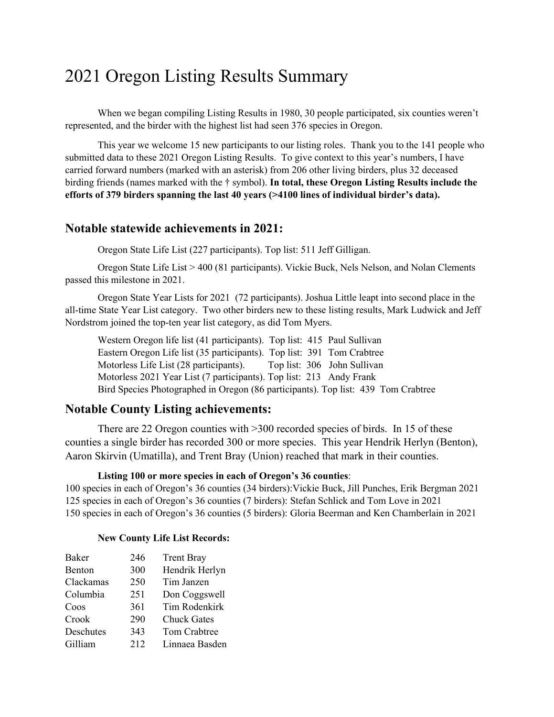# 2021 Oregon Listing Results Summary

When we began compiling Listing Results in 1980, 30 people participated, six counties weren't represented, and the birder with the highest list had seen 376 species in Oregon.

This year we welcome 15 new participants to our listing roles. Thank you to the 141 people who submitted data to these 2021 Oregon Listing Results. To give context to this year's numbers, I have carried forward numbers (marked with an asterisk) from 206 other living birders, plus 32 deceased birding friends (names marked with the † symbol). **In total, these Oregon Listing Results include the efforts of 379 birders spanning the last 40 years (>4100 lines of individual birder's data).**

#### **Notable statewide achievements in 2021:**

Oregon State Life List (227 participants). Top list: 511 Jeff Gilligan.

Oregon State Life List > 400 (81 participants). Vickie Buck, Nels Nelson, and Nolan Clements passed this milestone in 2021.

Oregon State Year Lists for 2021 (72 participants). Joshua Little leapt into second place in the all-time State Year List category. Two other birders new to these listing results, Mark Ludwick and Jeff Nordstrom joined the top-ten year list category, as did Tom Myers.

Western Oregon life list (41 participants). Top list: 415 Paul Sullivan Eastern Oregon Life list (35 participants). Top list: 391 Tom Crabtree Motorless Life List (28 participants). Top list: 306 John Sullivan Motorless 2021 Year List (7 participants). Top list: 213 Andy Frank Bird Species Photographed in Oregon (86 participants). Top list: 439 Tom Crabtree

#### **Notable County Listing achievements:**

There are 22 Oregon counties with >300 recorded species of birds. In 15 of these counties a single birder has recorded 300 or more species. This year Hendrik Herlyn (Benton), Aaron Skirvin (Umatilla), and Trent Bray (Union) reached that mark in their counties.

#### **Listing 100 or more species in each of Oregon's 36 counties**:

100 species in each of Oregon's 36 counties (34 birders):Vickie Buck, Jill Punches, Erik Bergman 2021 125 species in each of Oregon's 36 counties (7 birders): Stefan Schlick and Tom Love in 2021 150 species in each of Oregon's 36 counties (5 birders): Gloria Beerman and Ken Chamberlain in 2021

#### **New County Life List Records:**

| <b>Baker</b> | 246 | <b>Trent Bray</b>  |
|--------------|-----|--------------------|
| Benton       | 300 | Hendrik Herlyn     |
| Clackamas    | 250 | Tim Janzen         |
| Columbia     | 251 | Don Coggswell      |
| Coos         | 361 | Tim Rodenkirk      |
| Crook        | 290 | <b>Chuck Gates</b> |
| Deschutes    | 343 | Tom Crabtree       |
| Gilliam      | 212 | Linnaea Basden     |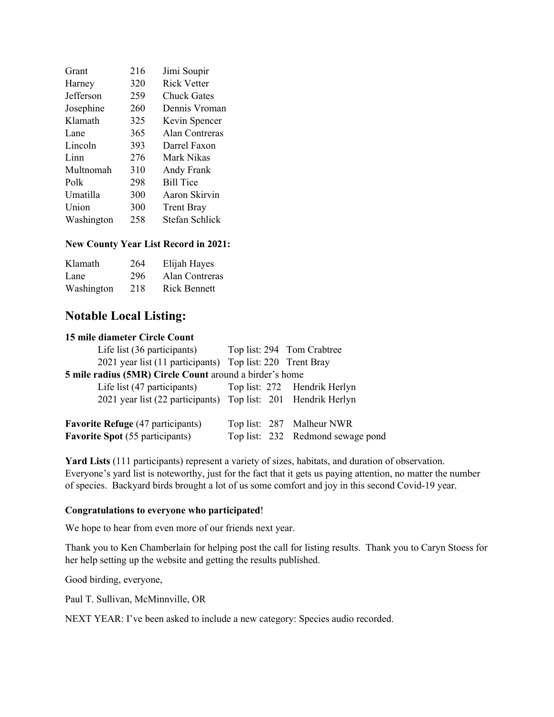| Grant      | 216 | Jimi Soupir        |
|------------|-----|--------------------|
| Harney     | 320 | <b>Rick Vetter</b> |
| Jefferson  | 259 | <b>Chuck Gates</b> |
| Josephine  | 260 | Dennis Vroman      |
| Klamath    | 325 | Kevin Spencer      |
| Lane       | 365 | Alan Contreras     |
| Lincoln    | 393 | Darrel Faxon       |
| Linn       | 276 | Mark Nikas         |
| Multnomah  | 310 | Andy Frank         |
| Polk       | 298 | <b>Bill Tice</b>   |
| Umatilla   | 300 | Aaron Skirvin      |
| Union      | 300 | <b>Trent Bray</b>  |
| Washington | 258 | Stefan Schlick     |

#### **New County Year List Record in 2021:**

| Klamath    | 264 | Elijah Hayes        |
|------------|-----|---------------------|
| Lane       | 296 | Alan Contreras      |
| Washington | 218 | <b>Rick Bennett</b> |

#### **Notable Local Listing:**

#### **15 mile diameter Circle Count**

| Life list (36 participants) Top list: 294 Tom Crabtree        |                                   |
|---------------------------------------------------------------|-----------------------------------|
| 2021 year list (11 participants) Top list: 220 Trent Bray     |                                   |
| 5 mile radius (5MR) Circle Count around a birder's home       |                                   |
| Life list (47 participants) Top list: 272 Hendrik Herlyn      |                                   |
| 2021 year list (22 participants) Top list: 201 Hendrik Herlyn |                                   |
| <b>Favorite Refuge</b> (47 participants)                      | Top list: 287 Malheur NWR         |
| <b>Favorite Spot</b> (55 participants)                        | Top list: 232 Redmond sewage pond |
|                                                               |                                   |

**Yard Lists** (111 participants) represent a variety of sizes, habitats, and duration of observation. Everyone's yard list is noteworthy, just for the fact that it gets us paying attention, no matter the number of species. Backyard birds brought a lot of us some comfort and joy in this second Covid-19 year.

#### **Congratulations to everyone who participated**!

We hope to hear from even more of our friends next year.

Thank you to Ken Chamberlain for helping post the call for listing results. Thank you to Caryn Stoess for her help setting up the website and getting the results published.

Good birding, everyone,

Paul T. Sullivan, McMinnville, OR

NEXT YEAR: I've been asked to include a new category: Species audio recorded.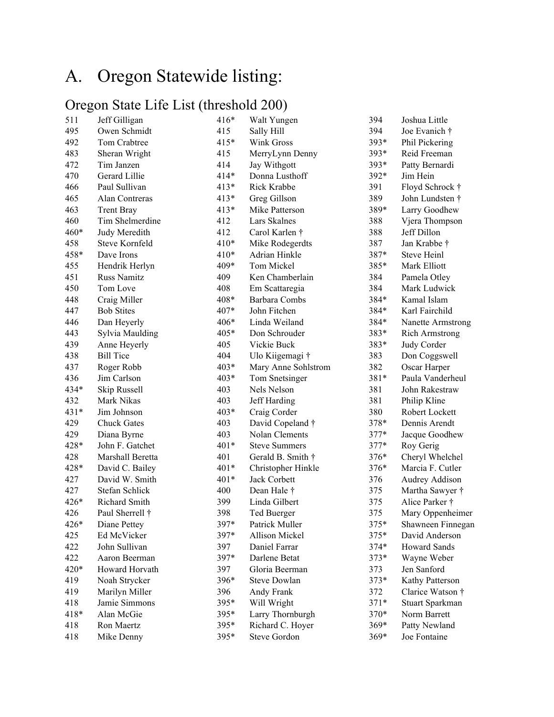# A. Oregon Statewide listing:

### Oregon State Life List (threshold 200)

| 511    | Jeff Gilligan      | $416*$ | Walt Yungen          | 394    | Joshua Little         |
|--------|--------------------|--------|----------------------|--------|-----------------------|
| 495    | Owen Schmidt       | 415    | Sally Hill           | 394    | Joe Evanich †         |
| 492    | Tom Crabtree       | $415*$ | Wink Gross           | 393*   | Phil Pickering        |
| 483    | Sheran Wright      | 415    | MerryLynn Denny      | 393*   | Reid Freeman          |
| 472    | Tim Janzen         | 414    | Jay Withgott         | 393*   | Patty Bernardi        |
| 470    | Gerard Lillie      | $414*$ | Donna Lusthoff       | 392*   | Jim Hein              |
| 466    | Paul Sullivan      | $413*$ | Rick Krabbe          | 391    | Floyd Schrock †       |
| 465    | Alan Contreras     | $413*$ | Greg Gillson         | 389    | John Lundsten †       |
| 463    | <b>Trent Bray</b>  | $413*$ | Mike Patterson       | 389*   | Larry Goodhew         |
| 460    | Tim Shelmerdine    | 412    | Lars Skalnes         | 388    | Vjera Thompson        |
| $460*$ | Judy Meredith      | 412    | Carol Karlen †       | 388    | Jeff Dillon           |
| 458    | Steve Kornfeld     | 410*   | Mike Rodegerdts      | 387    | Jan Krabbe †          |
| 458*   | Dave Irons         | $410*$ | Adrian Hinkle        | 387*   | <b>Steve Heinl</b>    |
| 455    | Hendrik Herlyn     | 409*   | Tom Mickel           | 385*   | Mark Elliott          |
| 451    | <b>Russ Namitz</b> | 409    | Ken Chamberlain      | 384    | Pamela Otley          |
| 450    | Tom Love           | 408    | Em Scattaregia       | 384    | Mark Ludwick          |
| 448    | Craig Miller       | 408*   | Barbara Combs        | 384*   | Kamal Islam           |
| 447    | <b>Bob Stites</b>  | 407*   | John Fitchen         | 384*   | Karl Fairchild        |
| 446    | Dan Heyerly        | 406*   | Linda Weiland        | 384*   | Nanette Armstrong     |
| 443    | Sylvia Maulding    | 405*   | Don Schrouder        | 383*   | <b>Rich Armstrong</b> |
| 439    | Anne Heyerly       | 405    | Vickie Buck          | 383*   | Judy Corder           |
| 438    | <b>Bill Tice</b>   | 404    | Ulo Kiigemagi †      | 383    | Don Coggswell         |
| 437    | Roger Robb         | 403*   | Mary Anne Sohlstrom  | 382    | Oscar Harper          |
| 436    | Jim Carlson        | 403*   | Tom Snetsinger       | 381*   | Paula Vanderheul      |
| 434*   | Skip Russell       | 403    | Nels Nelson          | 381    | John Rakestraw        |
| 432    | Mark Nikas         | 403    | Jeff Harding         | 381    | Philip Kline          |
| 431*   | Jim Johnson        | 403*   | Craig Corder         | 380    | Robert Lockett        |
| 429    | <b>Chuck Gates</b> | 403    | David Copeland †     | 378*   | Dennis Arendt         |
| 429    | Diana Byrne        | 403    | Nolan Clements       | 377*   | Jacque Goodhew        |
| 428*   | John F. Gatchet    | 401*   | <b>Steve Summers</b> | 377*   | Roy Gerig             |
| 428    | Marshall Beretta   | 401    | Gerald B. Smith †    | 376*   | Cheryl Whelchel       |
| 428*   | David C. Bailey    | 401*   | Christopher Hinkle   | 376*   | Marcia F. Cutler      |
| 427    | David W. Smith     | 401*   | Jack Corbett         | 376    | Audrey Addison        |
| 427    | Stefan Schlick     | 400    | Dean Hale †          | 375    | Martha Sawyer †       |
| 426*   | Richard Smith      | 399    | Linda Gilbert        | 375    | Alice Parker †        |
| 426    | Paul Sherrell †    | 398    | Ted Buerger          | 375    | Mary Oppenheimer      |
| 426*   | Diane Pettey       | 397*   | Patrick Muller       | 375*   | Shawneen Finnegan     |
| 425    | Ed McVicker        | 397*   | Allison Mickel       | 375*   | David Anderson        |
| 422    | John Sullivan      | 397    | Daniel Farrar        | $374*$ | Howard Sands          |
| 422    | Aaron Beerman      | 397*   | Darlene Betat        | $373*$ | Wayne Weber           |
| 420*   | Howard Horvath     | 397    | Gloria Beerman       | 373    | Jen Sanford           |
| 419    | Noah Strycker      | 396*   | <b>Steve Dowlan</b>  | $373*$ | Kathy Patterson       |
| 419    | Marilyn Miller     | 396    | Andy Frank           | 372    | Clarice Watson †      |
| 418    | Jamie Simmons      | 395*   | Will Wright          | $371*$ | Stuart Sparkman       |
| 418*   | Alan McGie         | 395*   | Larry Thornburgh     | $370*$ | Norm Barrett          |
| 418    | Ron Maertz         | 395*   | Richard C. Hoyer     | $369*$ | Patty Newland         |
| 418    | Mike Denny         | 395*   | Steve Gordon         | $369*$ | Joe Fontaine          |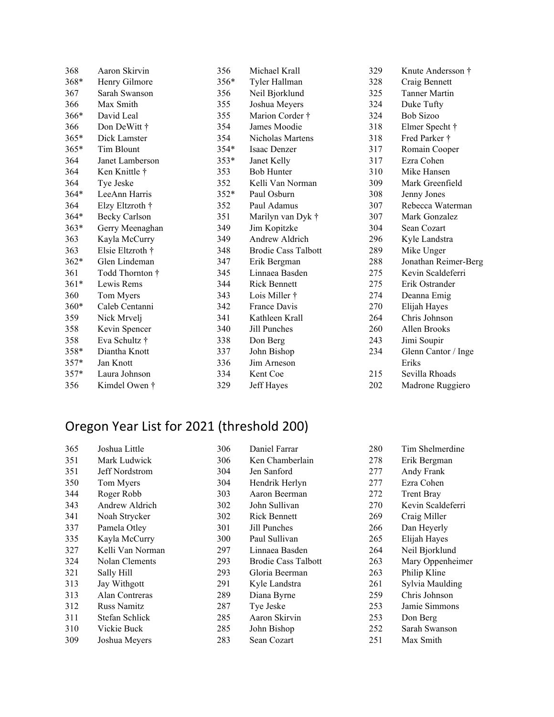| 368    | Aaron Skirvin        | 356    | Michael Krall              | 329 | Knute Andersson †    |
|--------|----------------------|--------|----------------------------|-----|----------------------|
| 368*   | Henry Gilmore        | 356*   | Tyler Hallman              | 328 | Craig Bennett        |
| 367    | Sarah Swanson        | 356    | Neil Bjorklund             | 325 | <b>Tanner Martin</b> |
| 366    | Max Smith            | 355    | Joshua Meyers              | 324 | Duke Tufty           |
| 366*   | David Leal           | 355    | Marion Corder †            | 324 | <b>Bob Sizoo</b>     |
| 366    | Don DeWitt †         | 354    | James Moodie               | 318 | Elmer Specht †       |
| $365*$ | Dick Lamster         | 354    | Nicholas Martens           | 318 | Fred Parker †        |
| 365*   | Tim Blount           | $354*$ | Isaac Denzer               | 317 | Romain Cooper        |
| 364    | Janet Lamberson      | $353*$ | Janet Kelly                | 317 | Ezra Cohen           |
| 364    | Ken Knittle †        | 353    | <b>Bob Hunter</b>          | 310 | Mike Hansen          |
| 364    | Tye Jeske            | 352    | Kelli Van Norman           | 309 | Mark Greenfield      |
| $364*$ | LeeAnn Harris        | $352*$ | Paul Osburn                | 308 | Jenny Jones          |
| 364    | Elzy Eltzroth †      | 352    | Paul Adamus                | 307 | Rebecca Waterman     |
| 364*   | <b>Becky Carlson</b> | 351    | Marilyn van Dyk †          | 307 | Mark Gonzalez        |
| $363*$ | Gerry Meenaghan      | 349    | Jim Kopitzke               | 304 | Sean Cozart          |
| 363    | Kayla McCurry        | 349    | Andrew Aldrich             | 296 | Kyle Landstra        |
| 363    | Elsie Eltzroth †     | 348    | <b>Brodie Cass Talbott</b> | 289 | Mike Unger           |
| $362*$ | Glen Lindeman        | 347    | Erik Bergman               | 288 | Jonathan Reimer-Berg |
| 361    | Todd Thornton †      | 345    | Linnaea Basden             | 275 | Kevin Scaldeferri    |
| $361*$ | Lewis Rems           | 344    | <b>Rick Bennett</b>        | 275 | Erik Ostrander       |
| 360    | Tom Myers            | 343    | Lois Miller †              | 274 | Deanna Emig          |
| $360*$ | Caleb Centanni       | 342    | France Davis               | 270 | Elijah Hayes         |
| 359    | Nick Mrvelj          | 341    | Kathleen Krall             | 264 | Chris Johnson        |
| 358    | Kevin Spencer        | 340    | Jill Punches               | 260 | Allen Brooks         |
| 358    | Eva Schultz †        | 338    | Don Berg                   | 243 | Jimi Soupir          |
| 358*   | Diantha Knott        | 337    | John Bishop                | 234 | Glenn Cantor / Inge  |
| $357*$ | Jan Knott            | 336    | Jim Arneson                |     | Eriks                |
| 357*   | Laura Johnson        | 334    | Kent Coe                   | 215 | Sevilla Rhoads       |
| 356    | Kimdel Owen †        | 329    | Jeff Hayes                 | 202 | Madrone Ruggiero     |

# Oregon Year List for 2021 (threshold 200)

| 365 | Joshua Little      | 306 | Daniel Farrar              | 280 | Tim Shelmerdine   |
|-----|--------------------|-----|----------------------------|-----|-------------------|
| 351 | Mark Ludwick       | 306 | Ken Chamberlain            | 278 | Erik Bergman      |
| 351 | Jeff Nordstrom     | 304 | Jen Sanford                | 277 | Andy Frank        |
| 350 | Tom Myers          | 304 | Hendrik Herlyn             | 277 | Ezra Cohen        |
| 344 | Roger Robb         | 303 | Aaron Beerman              | 272 | <b>Trent Bray</b> |
| 343 | Andrew Aldrich     | 302 | John Sullivan              | 270 | Kevin Scaldeferri |
| 341 | Noah Strycker      | 302 | <b>Rick Bennett</b>        | 269 | Craig Miller      |
| 337 | Pamela Otley       | 301 | Jill Punches               | 266 | Dan Heyerly       |
| 335 | Kayla McCurry      | 300 | Paul Sullivan              | 265 | Elijah Hayes      |
| 327 | Kelli Van Norman   | 297 | Linnaea Basden             | 264 | Neil Bjorklund    |
| 324 | Nolan Clements     | 293 | <b>Brodie Cass Talbott</b> | 263 | Mary Oppenheimer  |
| 321 | Sally Hill         | 293 | Gloria Beerman             | 263 | Philip Kline      |
| 313 | Jay Withgott       | 291 | Kyle Landstra              | 261 | Sylvia Maulding   |
| 313 | Alan Contreras     | 289 | Diana Byrne                | 259 | Chris Johnson     |
| 312 | <b>Russ Namitz</b> | 287 | Tye Jeske                  | 253 | Jamie Simmons     |
| 311 | Stefan Schlick     | 285 | Aaron Skirvin              | 253 | Don Berg          |
| 310 | Vickie Buck        | 285 | John Bishop                | 252 | Sarah Swanson     |
| 309 | Joshua Meyers      | 283 | Sean Cozart                | 251 | Max Smith         |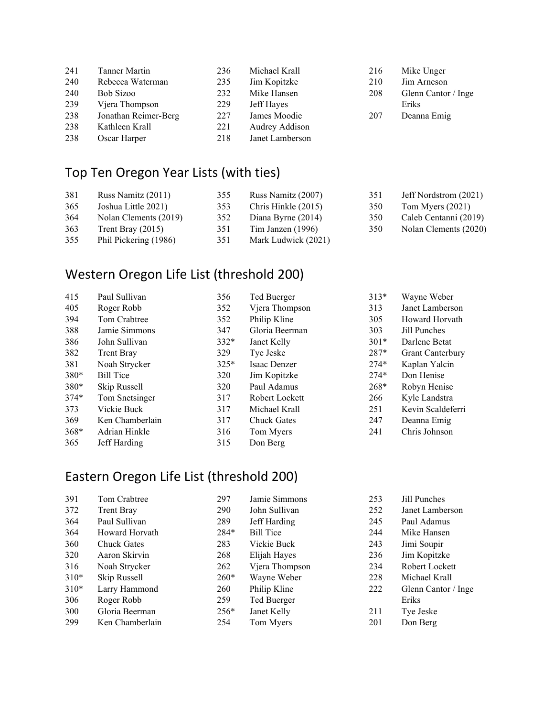| 241 | <b>Tanner Martin</b> | 236 | Michael Krall   |
|-----|----------------------|-----|-----------------|
| 240 | Rebecca Waterman     | 235 | Jim Kopitzke    |
| 240 | Bob Sizoo            | 232 | Mike Hansen     |
| 239 | Vjera Thompson       | 229 | Jeff Hayes      |
| 238 | Jonathan Reimer-Berg | 227 | James Moodie    |
| 238 | Kathleen Krall       | 221 | Audrey Addison  |
| 238 | Oscar Harper         | 218 | Janet Lamberson |

## Top Ten Oregon Year Lists (with ties)

| 381 | Russ Namitz (2011)    | 355 | Russ Namitz (2007)  | 351 | Jeff Nordstrom (2021) |
|-----|-----------------------|-----|---------------------|-----|-----------------------|
| 365 | Joshua Little 2021)   | 353 | Chris Hinkle (2015) | 350 | Tom Myers $(2021)$    |
| 364 | Nolan Clements (2019) | 352 | Diana Byrne (2014)  | 350 | Caleb Centanni (2019) |
| 363 | Trent Bray $(2015)$   | 351 | Tim Janzen (1996)   | 350 | Nolan Clements (2020) |
| 355 | Phil Pickering (1986) | 351 | Mark Ludwick (2021) |     |                       |

 Mike Unger Jim Arneson Glenn Cantor / Inge Eriks Deanna Emig

### Western Oregon Life List (threshold 200)

| 415    | Paul Sullivan     | 356    | Ted Buerger        | $313*$ | Wayne Weber             |
|--------|-------------------|--------|--------------------|--------|-------------------------|
| 405    | Roger Robb        | 352    | Vjera Thompson     | 313    | Janet Lamberson         |
| 394    | Tom Crabtree      | 352    | Philip Kline       | 305    | Howard Horvath          |
| 388    | Jamie Simmons     | 347    | Gloria Beerman     | 303    | Jill Punches            |
| 386    | John Sullivan     | $332*$ | Janet Kelly        | $301*$ | Darlene Betat           |
| 382    | <b>Trent Bray</b> | 329    | Tye Jeske          | $287*$ | <b>Grant Canterbury</b> |
| 381    | Noah Strycker     | $325*$ | Isaac Denzer       | $274*$ | Kaplan Yalcin           |
| 380*   | <b>Bill Tice</b>  | 320    | Jim Kopitzke       | $274*$ | Don Henise              |
| $380*$ | Skip Russell      | 320    | Paul Adamus        | $268*$ | Robyn Henise            |
| $374*$ | Tom Snetsinger    | 317    | Robert Lockett     | 266    | Kyle Landstra           |
| 373    | Vickie Buck       | 317    | Michael Krall      | 251    | Kevin Scaldeferri       |
| 369    | Ken Chamberlain   | 317    | <b>Chuck Gates</b> | 247    | Deanna Emig             |
| 368*   | Adrian Hinkle     | 316    | Tom Myers          | 241    | Chris Johnson           |
| 365    | Jeff Harding      | 315    | Don Berg           |        |                         |

### Eastern Oregon Life List (threshold 200)

| 391    | Tom Crabtree       | 297    | Jamie Simmons    | 253 | Jill Punches        |
|--------|--------------------|--------|------------------|-----|---------------------|
| 372    | <b>Trent Bray</b>  | 290    | John Sullivan    | 252 | Janet Lamberson     |
| 364    | Paul Sullivan      | 289    | Jeff Harding     | 245 | Paul Adamus         |
| 364    | Howard Horvath     | $284*$ | <b>Bill Tice</b> | 244 | Mike Hansen         |
| 360    | <b>Chuck Gates</b> | 283    | Vickie Buck      | 243 | Jimi Soupir         |
| 320    | Aaron Skirvin      | 268    | Elijah Hayes     | 236 | Jim Kopitzke        |
| 316    | Noah Strycker      | 262    | Vjera Thompson   | 234 | Robert Lockett      |
| $310*$ | Skip Russell       | $260*$ | Wayne Weber      | 228 | Michael Krall       |
| $310*$ | Larry Hammond      | 260    | Philip Kline     | 222 | Glenn Cantor / Inge |
| 306    | Roger Robb         | 259    | Ted Buerger      |     | Eriks               |
| 300    | Gloria Beerman     | $256*$ | Janet Kelly      | 211 | Tye Jeske           |
| 299    | Ken Chamberlain    | 254    | Tom Myers        | 201 | Don Berg            |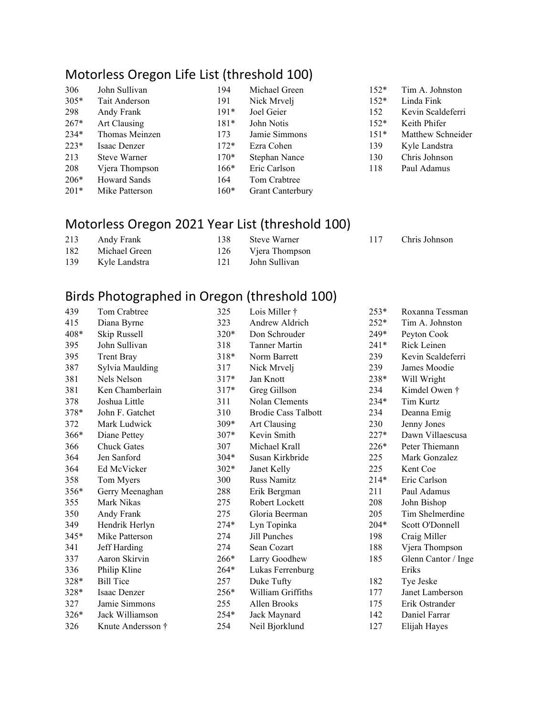### Motorless Oregon Life List (threshold 100)

| 306    | John Sullivan       | 194    | Michael Green           | $152*$ | Tin |
|--------|---------------------|--------|-------------------------|--------|-----|
| $305*$ | Tait Anderson       | 191    | Nick Mrvelj             | $152*$ | Lin |
| 298    | Andy Frank          | $191*$ | Joel Geier              | 152    | Key |
| $267*$ | Art Clausing        | $181*$ | John Notis              | $152*$ | Kei |
| $234*$ | Thomas Meinzen      | 173    | Jamie Simmons           | $151*$ | Ma  |
| $223*$ | Isaac Denzer        | $172*$ | Ezra Cohen              | 139    | Kyl |
| 213    | <b>Steve Warner</b> | $170*$ | Stephan Nance           | 130    | Chr |
| 208    | Vjera Thompson      | $166*$ | Eric Carlson            | 118    | Pau |
| $206*$ | <b>Howard Sands</b> | 164    | Tom Crabtree            |        |     |
| $201*$ | Mike Patterson      | $160*$ | <b>Grant Canterbury</b> |        |     |

## Motorless Oregon 2021 Year List (threshold 100)

| 213 | Andy Frank    | 138. | Steve Warner   |
|-----|---------------|------|----------------|
| 182 | Michael Green | 126  | Vjera Thompson |
| 139 | Kyle Landstra | 121  | John Sullivan  |

n A. Johnston da Fink vin Scaldeferri ith Phifer tthew Schneider le Landstra ris Johnson ıl Adamus

117 Chris Johnson

| Birds Photographed in Oregon (threshold 100) |  |
|----------------------------------------------|--|

| 439  | Tom Crabtree       | 325    | Lois Miller †              | $253*$ | Roxanna Tessman     |
|------|--------------------|--------|----------------------------|--------|---------------------|
| 415  | Diana Byrne        | 323    | Andrew Aldrich             | $252*$ | Tim A. Johnston     |
| 408* | Skip Russell       | $320*$ | Don Schrouder              | 249*   | Peyton Cook         |
| 395  | John Sullivan      | 318    | <b>Tanner Martin</b>       | $241*$ | Rick Leinen         |
| 395  | <b>Trent Bray</b>  | 318*   | Norm Barrett               | 239    | Kevin Scaldeferri   |
| 387  | Sylvia Maulding    | 317    | Nick Mrvelj                | 239    | James Moodie        |
| 381  | Nels Nelson        | $317*$ | Jan Knott                  | 238*   | Will Wright         |
| 381  | Ken Chamberlain    | $317*$ | Greg Gillson               | 234    | Kimdel Owen †       |
| 378  | Joshua Little      | 311    | Nolan Clements             | $234*$ | Tim Kurtz           |
| 378* | John F. Gatchet    | 310    | <b>Brodie Cass Talbott</b> | 234    | Deanna Emig         |
| 372  | Mark Ludwick       | 309*   | Art Clausing               | 230    | Jenny Jones         |
| 366* | Diane Pettey       | $307*$ | Kevin Smith                | $227*$ | Dawn Villaescusa    |
| 366  | <b>Chuck Gates</b> | 307    | Michael Krall              | $226*$ | Peter Thiemann      |
| 364  | Jen Sanford        | $304*$ | Susan Kirkbride            | 225    | Mark Gonzalez       |
| 364  | Ed McVicker        | $302*$ | Janet Kelly                | 225    | Kent Coe            |
| 358  | Tom Myers          | 300    | <b>Russ Namitz</b>         | $214*$ | Eric Carlson        |
| 356* | Gerry Meenaghan    | 288    | Erik Bergman               | 211    | Paul Adamus         |
| 355  | Mark Nikas         | 275    | Robert Lockett             | 208    | John Bishop         |
| 350  | Andy Frank         | 275    | Gloria Beerman             | 205    | Tim Shelmerdine     |
| 349  | Hendrik Herlyn     | $274*$ | Lyn Topinka                | $204*$ | Scott O'Donnell     |
| 345* | Mike Patterson     | 274    | Jill Punches               | 198    | Craig Miller        |
| 341  | Jeff Harding       | 274    | Sean Cozart                | 188    | Vjera Thompson      |
| 337  | Aaron Skirvin      | $266*$ | Larry Goodhew              | 185    | Glenn Cantor / Inge |
| 336  | Philip Kline       | $264*$ | Lukas Ferrenburg           |        | Eriks               |
| 328* | <b>Bill Tice</b>   | 257    | Duke Tufty                 | 182    | Tye Jeske           |
| 328* | Isaac Denzer       | 256*   | William Griffiths          | 177    | Janet Lamberson     |
| 327  | Jamie Simmons      | 255    | Allen Brooks               | 175    | Erik Ostrander      |
| 326* | Jack Williamson    | 254*   | Jack Maynard               | 142    | Daniel Farrar       |
| 326  | Knute Andersson †  | 254    | Neil Bjorklund             | 127    | Elijah Hayes        |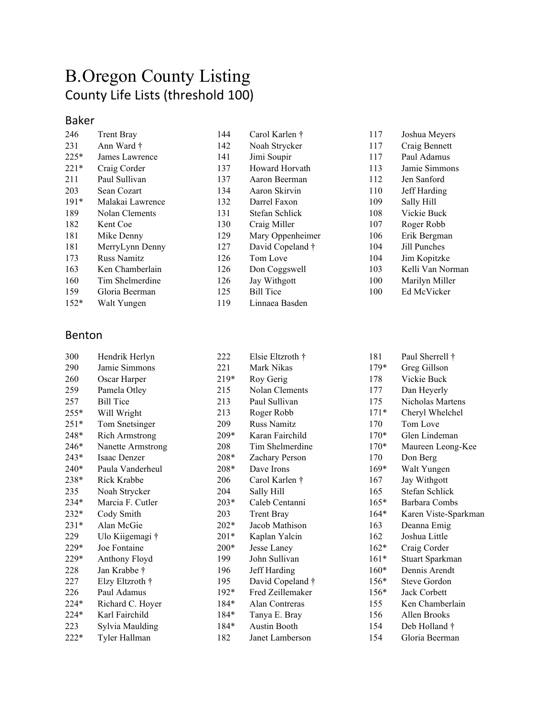# B.Oregon County Listing County Life Lists (threshold 100)

#### Baker

| 246    | <b>Trent Bray</b> | 144 | Carol Karlen †   | 117 | Joshua Meyers    |
|--------|-------------------|-----|------------------|-----|------------------|
| 231    | Ann Ward †        | 142 | Noah Strycker    | 117 | Craig Bennett    |
| $225*$ | James Lawrence    | 141 | Jimi Soupir      | 117 | Paul Adamus      |
| $221*$ | Craig Corder      | 137 | Howard Horvath   | 113 | Jamie Simmons    |
| 211    | Paul Sullivan     | 137 | Aaron Beerman    | 112 | Jen Sanford      |
| 203    | Sean Cozart       | 134 | Aaron Skirvin    | 110 | Jeff Harding     |
| $191*$ | Malakai Lawrence  | 132 | Darrel Faxon     | 109 | Sally Hill       |
| 189    | Nolan Clements    | 131 | Stefan Schlick   | 108 | Vickie Buck      |
| 182    | Kent Coe          | 130 | Craig Miller     | 107 | Roger Robb       |
| 181    | Mike Denny        | 129 | Mary Oppenheimer | 106 | Erik Bergman     |
| 181    | MerryLynn Denny   | 127 | David Copeland † | 104 | Jill Punches     |
| 173    | Russ Namitz       | 126 | Tom Love         | 104 | Jim Kopitzke     |
| 163    | Ken Chamberlain   | 126 | Don Coggswell    | 103 | Kelli Van Norman |
| 160    | Tim Shelmerdine   | 126 | Jay Withgott     | 100 | Marilyn Miller   |
| 159    | Gloria Beerman    | 125 | <b>Bill Tice</b> | 100 | Ed McVicker      |
| $152*$ | Walt Yungen       | 119 | Linnaea Basden   |     |                  |
|        |                   |     |                  |     |                  |

#### Benton

| 300    | Hendrik Herlyn        | 222    | Elsie Eltzroth †    | 181                |
|--------|-----------------------|--------|---------------------|--------------------|
| 290    | Jamie Simmons         | 221    | Mark Nikas          | 179.               |
| 260    | Oscar Harper          | $219*$ | Roy Gerig           | 178                |
| 259    | Pamela Otley          | 215    | Nolan Clements      | 177                |
| 257    | <b>Bill Tice</b>      | 213    | Paul Sullivan       | 175                |
| $255*$ | Will Wright           | 213    | Roger Robb          | $171$ <sup>*</sup> |
| $251*$ | Tom Snetsinger        | 209    | <b>Russ Namitz</b>  | 170                |
| 248*   | <b>Rich Armstrong</b> | 209*   | Karan Fairchild     | $170^{\circ}$      |
| $246*$ | Nanette Armstrong     | 208    | Tim Shelmerdine     | $170^{\circ}$      |
| $243*$ | Isaac Denzer          | 208*   | Zachary Person      | 170                |
| $240*$ | Paula Vanderheul      | $208*$ | Dave Irons          | $169^{\circ}$      |
| $238*$ | Rick Krabbe           | 206    | Carol Karlen †      | 167                |
| 235    | Noah Strycker         | 204    | Sally Hill          | 165                |
| $234*$ | Marcia F. Cutler      | $203*$ | Caleb Centanni      | $165^{\circ}$      |
| $232*$ | Cody Smith            | 203    | <b>Trent Bray</b>   | 164                |
| $231*$ | Alan McGie            | $202*$ | Jacob Mathison      | 163                |
| 229    | Ulo Kiigemagi †       | $201*$ | Kaplan Yalcin       | 162                |
| 229*   | Joe Fontaine          | $200*$ | Jesse Laney         | 162                |
| 229*   | Anthony Floyd         | 199    | John Sullivan       | 161                |
| 228    | Jan Krabbe †          | 196    | Jeff Harding        | $160^{\circ}$      |
| 227    | Elzy Eltzroth †       | 195    | David Copeland †    | $156^{\circ}$      |
| 226    | Paul Adamus           | $192*$ | Fred Zeillemaker    | $156^{\circ}$      |
| $224*$ | Richard C. Hoyer      | 184*   | Alan Contreras      | 155                |
| $224*$ | Karl Fairchild        | $184*$ | Tanya E. Bray       | 156                |
| 223    | Sylvia Maulding       | 184*   | <b>Austin Booth</b> | 154                |
| $222*$ | Tyler Hallman         | 182    | Janet Lamberson     | 154                |
|        |                       |        |                     |                    |

| 181    | Paul Sherrell †      |
|--------|----------------------|
| $179*$ | Greg Gillson         |
| 178    | Vickie Buck          |
| 177    | Dan Heyerly          |
| 175    | Nicholas Martens     |
| $171*$ | Cheryl Whelchel      |
| 170    | Tom Love             |
| $170*$ | Glen Lindeman        |
| $170*$ | Maureen Leong-Kee    |
| 170    | Don Berg             |
| $169*$ | Walt Yungen          |
| 167    | Jay Withgott         |
| 165    | Stefan Schlick       |
| 165*   | Barbara Combs        |
| 164*   | Karen Viste-Sparkman |
| 163    | Deanna Emig          |
| 162    | Joshua Little        |
| $162*$ | Craig Corder         |
| $161*$ | Stuart Sparkman      |
| 160*   | Dennis Arendt        |
| $156*$ | Steve Gordon         |
| $156*$ | Jack Corbett         |
| 155    | Ken Chamberlain      |
| 156    | Allen Brooks         |
| 154    | Deb Holland †        |
| 154    | Gloria Beerman       |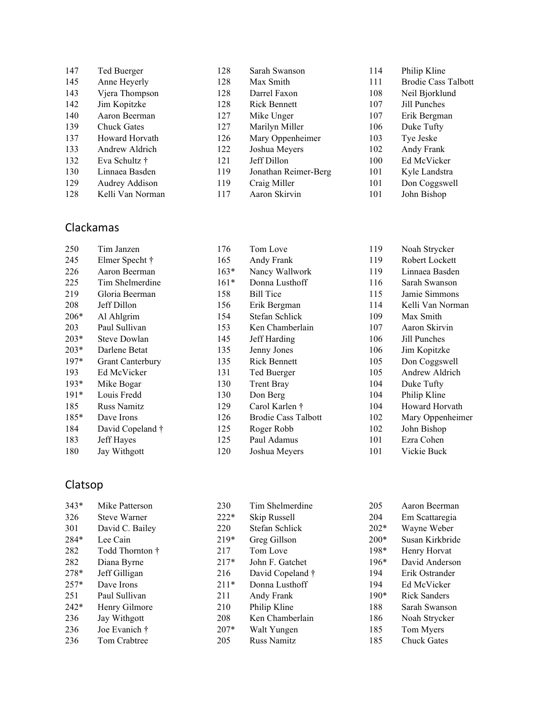| 147 | Ted Buerger        | 128 | Sarah Swanson        | 114 | Philip Kline               |
|-----|--------------------|-----|----------------------|-----|----------------------------|
| 145 | Anne Heyerly       | 128 | Max Smith            | 111 | <b>Brodie Cass Talbott</b> |
| 143 | Vjera Thompson     | 128 | Darrel Faxon         | 108 | Neil Bjorklund             |
| 142 | Jim Kopitzke       | 128 | <b>Rick Bennett</b>  | 107 | Jill Punches               |
| 140 | Aaron Beerman      | 127 | Mike Unger           | 107 | Erik Bergman               |
| 139 | <b>Chuck Gates</b> | 127 | Marilyn Miller       | 106 | Duke Tufty                 |
| 137 | Howard Horvath     | 126 | Mary Oppenheimer     | 103 | Tye Jeske                  |
| 133 | Andrew Aldrich     | 122 | Joshua Meyers        | 102 | Andy Frank                 |
| 132 | Eva Schultz †      | 121 | Jeff Dillon          | 100 | Ed McVicker                |
| 130 | Linnaea Basden     | 119 | Jonathan Reimer-Berg | 101 | Kyle Landstra              |
| 129 | Audrey Addison     | 119 | Craig Miller         | 101 | Don Coggswell              |
| 128 | Kelli Van Norman   | 117 | Aaron Skirvin        | 101 | John Bishop                |

### Clackamas

| 250    | Tim Janzen          | 176    | Tom Love                   | 119 | Noah Strycker    |
|--------|---------------------|--------|----------------------------|-----|------------------|
| 245    | Elmer Specht †      | 165    | Andy Frank                 | 119 | Robert Lockett   |
| 226    | Aaron Beerman       | $163*$ | Nancy Wallwork             | 119 | Linnaea Basden   |
| 225    | Tim Shelmerdine     | $161*$ | Donna Lusthoff             | 116 | Sarah Swanson    |
| 219    | Gloria Beerman      | 158    | <b>Bill Tice</b>           | 115 | Jamie Simmons    |
| 208    | Jeff Dillon         | 156    | Erik Bergman               | 114 | Kelli Van Norman |
| $206*$ | Al Ahlgrim          | 154    | Stefan Schlick             | 109 | Max Smith        |
| 203    | Paul Sullivan       | 153    | Ken Chamberlain            | 107 | Aaron Skirvin    |
| $203*$ | <b>Steve Dowlan</b> | 145    | Jeff Harding               | 106 | Jill Punches     |
| $203*$ | Darlene Betat       | 135    | Jenny Jones                | 106 | Jim Kopitzke     |
| $197*$ | Grant Canterbury    | 135    | <b>Rick Bennett</b>        | 105 | Don Coggswell    |
| 193    | Ed McVicker         | 131    | Ted Buerger                | 105 | Andrew Aldrich   |
| $193*$ | Mike Bogar          | 130    | <b>Trent Bray</b>          | 104 | Duke Tufty       |
| $191*$ | Louis Fredd         | 130    | Don Berg                   | 104 | Philip Kline     |
| 185    | <b>Russ Namitz</b>  | 129    | Carol Karlen †             | 104 | Howard Horvath   |
| $185*$ | Dave Irons          | 126    | <b>Brodie Cass Talbott</b> | 102 | Mary Oppenheimer |
| 184    | David Copeland †    | 125    | Roger Robb                 | 102 | John Bishop      |
| 183    | Jeff Hayes          | 125    | Paul Adamus                | 101 | Ezra Cohen       |
| 180    | Jay Withgott        | 120    | Joshua Meyers              | 101 | Vickie Buck      |
|        |                     |        |                            |     |                  |

## Clatsop

| $343*$ | Mike Patterson  | 230    | Tim Shelmerdine  | 205    | Aaron Beerman       |
|--------|-----------------|--------|------------------|--------|---------------------|
| 326    | Steve Warner    | $222*$ | Skip Russell     | 204    | Em Scattaregia      |
| 301    | David C. Bailey | 220    | Stefan Schlick   | $202*$ | Wayne Weber         |
| 284*   | Lee Cain        | $219*$ | Greg Gillson     | $200*$ | Susan Kirkbride     |
| 282    | Todd Thornton † | 217    | Tom Love         | $198*$ | Henry Horvat        |
| 282    | Diana Byrne     | $217*$ | John F. Gatchet  | $196*$ | David Anderson      |
| 278*   | Jeff Gilligan   | 216    | David Copeland † | 194    | Erik Ostrander      |
| $257*$ | Dave Irons      | $211*$ | Donna Lusthoff   | 194    | Ed McVicker         |
| 251    | Paul Sullivan   | 211    | Andy Frank       | $190*$ | <b>Rick Sanders</b> |
| $242*$ | Henry Gilmore   | 210    | Philip Kline     | 188    | Sarah Swanson       |
| 236    | Jay Withgott    | 208    | Ken Chamberlain  | 186    | Noah Strycker       |
| 236    | Joe Evanich †   | $207*$ | Walt Yungen      | 185    | Tom Myers           |
| 236    | Tom Crabtree    | 205    | Russ Namitz      | 185    | <b>Chuck Gates</b>  |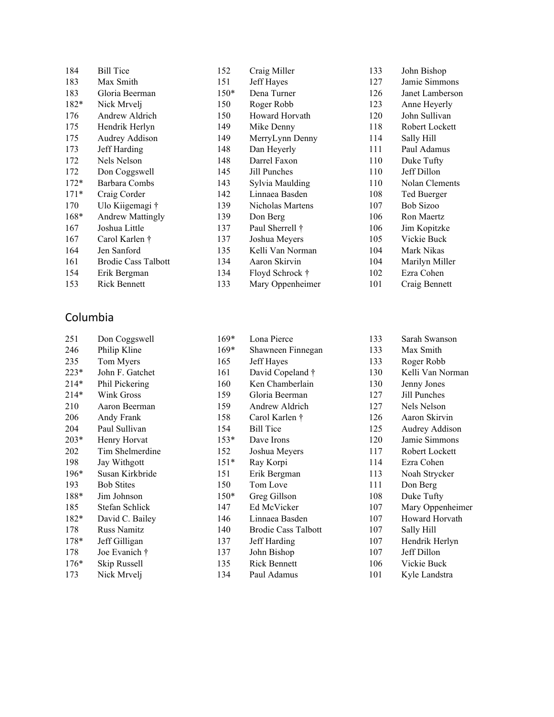| 184    | <b>Bill Tice</b>           | 152    | Craig Miller     | 133 | John Bishop     |
|--------|----------------------------|--------|------------------|-----|-----------------|
| 183    | Max Smith                  | 151    | Jeff Hayes       | 127 | Jamie Simmons   |
| 183    | Gloria Beerman             | $150*$ | Dena Turner      | 126 | Janet Lamberson |
| 182*   | Nick Mrvelj                | 150    | Roger Robb       | 123 | Anne Heyerly    |
| 176    | Andrew Aldrich             | 150    | Howard Horvath   | 120 | John Sullivan   |
| 175    | Hendrik Herlyn             | 149    | Mike Denny       | 118 | Robert Lockett  |
| 175    | Audrey Addison             | 149    | MerryLynn Denny  | 114 | Sally Hill      |
| 173    | Jeff Harding               | 148    | Dan Heyerly      | 111 | Paul Adamus     |
| 172    | Nels Nelson                | 148    | Darrel Faxon     | 110 | Duke Tufty      |
| 172    | Don Coggswell              | 145    | Jill Punches     | 110 | Jeff Dillon     |
| $172*$ | Barbara Combs              | 143    | Sylvia Maulding  | 110 | Nolan Clements  |
| $171*$ | Craig Corder               | 142    | Linnaea Basden   | 108 | Ted Buerger     |
| 170    | Ulo Kiigemagi †            | 139    | Nicholas Martens | 107 | Bob Sizoo       |
| $168*$ | <b>Andrew Mattingly</b>    | 139    | Don Berg         | 106 | Ron Maertz      |
| 167    | Joshua Little              | 137    | Paul Sherrell †  | 106 | Jim Kopitzke    |
| 167    | Carol Karlen †             | 137    | Joshua Meyers    | 105 | Vickie Buck     |
| 164    | Jen Sanford                | 135    | Kelli Van Norman | 104 | Mark Nikas      |
| 161    | <b>Brodie Cass Talbott</b> | 134    | Aaron Skirvin    | 104 | Marilyn Miller  |
| 154    | Erik Bergman               | 134    | Floyd Schrock †  | 102 | Ezra Cohen      |
| 153    | <b>Rick Bennett</b>        | 133    | Mary Oppenheimer | 101 | Craig Bennett   |

#### Columbia

| 251    | Don Coggswell      | $169*$ | Lona Pierce                |
|--------|--------------------|--------|----------------------------|
| 246    | Philip Kline       | $169*$ | Shawneen Finnegan          |
| 235    | Tom Myers          | 165    | Jeff Hayes                 |
| $223*$ | John F. Gatchet    | 161    | David Copeland †           |
| $214*$ | Phil Pickering     | 160    | Ken Chamberlain            |
| $214*$ | Wink Gross         | 159    | Gloria Beerman             |
| 210    | Aaron Beerman      | 159    | Andrew Aldrich             |
| 206    | Andy Frank         | 158    | Carol Karlen †             |
| 204    | Paul Sullivan      | 154    | <b>Bill Tice</b>           |
| $203*$ | Henry Horvat       | $153*$ | Dave Irons                 |
| 202    | Tim Shelmerdine    | 152    | Joshua Meyers              |
| 198    | Jay Withgott       | $151*$ | Ray Korpi                  |
| $196*$ | Susan Kirkbride    | 151    | Erik Bergman               |
| 193    | <b>Bob Stites</b>  | 150    | Tom Love                   |
| 188*   | Jim Johnson        | $150*$ | Greg Gillson               |
| 185    | Stefan Schlick     | 147    | Ed McVicker                |
| $182*$ | David C. Bailey    | 146    | Linnaea Basden             |
| 178    | <b>Russ Namitz</b> | 140    | <b>Brodie Cass Talbott</b> |
| $178*$ | Jeff Gilligan      | 137    | Jeff Harding               |
| 178    | Joe Evanich †      | 137    | John Bishop                |
| $176*$ | Skip Russell       | 135    | <b>Rick Bennett</b>        |
| 173    | Nick Mrvelj        | 134    | Paul Adamus                |

| 133 | Sarah Swanson    |
|-----|------------------|
| 133 | Max Smith        |
| 133 | Roger Robb       |
| 130 | Kelli Van Norman |
| 130 | Jenny Jones      |
| 127 | Jill Punches     |
| 127 | Nels Nelson      |
| 126 | Aaron Skirvin    |
| 125 | Audrey Addison   |
| 120 | Jamie Simmons    |
| 117 | Robert Lockett   |
| 114 | Ezra Cohen       |
| 113 | Noah Strycker    |
| 111 | Don Berg         |
| 108 | Duke Tufty       |
| 107 | Mary Oppenheimer |
| 107 | Howard Horvath   |
| 107 | Sally Hill       |
| 107 | Hendrik Herlyn   |
| 107 | Jeff Dillon      |
| 106 | Vickie Buck      |
| 101 | Kyle Landstra    |
|     |                  |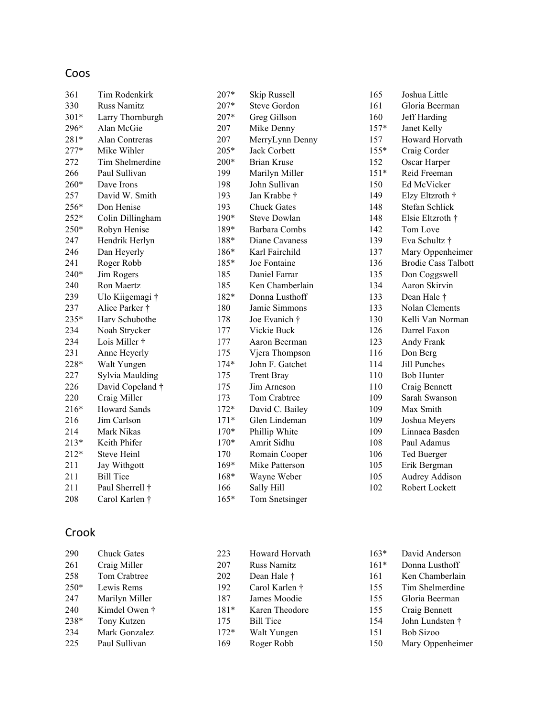## Coos

| 361    | Tim Rodenkirk       | 207*   | Skip Russell         | 165    | Joshua Little              |
|--------|---------------------|--------|----------------------|--------|----------------------------|
| 330    | <b>Russ Namitz</b>  | 207*   | <b>Steve Gordon</b>  | 161    | Gloria Beerman             |
| 301*   | Larry Thornburgh    | 207*   | Greg Gillson         | 160    | Jeff Harding               |
| 296*   | Alan McGie          | 207    | Mike Denny           | $157*$ | Janet Kelly                |
| 281*   | Alan Contreras      | 207    | MerryLynn Denny      | 157    | Howard Horvath             |
| $277*$ | Mike Wihler         | 205*   | Jack Corbett         | $155*$ | Craig Corder               |
| 272    | Tim Shelmerdine     | 200*   | <b>Brian Kruse</b>   | 152    | Oscar Harper               |
| 266    | Paul Sullivan       | 199    | Marilyn Miller       | $151*$ | Reid Freeman               |
| 260*   | Dave Irons          | 198    | John Sullivan        | 150    | Ed McVicker                |
| 257    | David W. Smith      | 193    | Jan Krabbe †         | 149    | Elzy Eltzroth †            |
| 256*   | Don Henise          | 193    | <b>Chuck Gates</b>   | 148    | Stefan Schlick             |
| 252*   | Colin Dillingham    | 190*   | <b>Steve Dowlan</b>  | 148    | Elsie Eltzroth †           |
| 250*   | Robyn Henise        | 189*   | <b>Barbara Combs</b> | 142    | Tom Love                   |
| 247    | Hendrik Herlyn      | 188*   | Diane Cavaness       | 139    | Eva Schultz †              |
| 246    | Dan Heyerly         | 186*   | Karl Fairchild       | 137    | Mary Oppenheimer           |
| 241    | Roger Robb          | 185*   | Joe Fontaine         | 136    | <b>Brodie Cass Talbott</b> |
| 240*   | Jim Rogers          | 185    | Daniel Farrar        | 135    | Don Coggswell              |
| 240    | Ron Maertz          | 185    | Ken Chamberlain      | 134    | Aaron Skirvin              |
| 239    | Ulo Kiigemagi †     | 182*   | Donna Lusthoff       | 133    | Dean Hale †                |
| 237    | Alice Parker †      | 180    | Jamie Simmons        | 133    | Nolan Clements             |
| 235*   | Harv Schubothe      | 178    | Joe Evanich †        | 130    | Kelli Van Norman           |
| 234    | Noah Strycker       | 177    | Vickie Buck          | 126    | Darrel Faxon               |
| 234    | Lois Miller †       | 177    | Aaron Beerman        | 123    | Andy Frank                 |
| 231    | Anne Heyerly        | 175    | Vjera Thompson       | 116    | Don Berg                   |
| 228*   | Walt Yungen         | $174*$ | John F. Gatchet      | 114    | <b>Jill Punches</b>        |
| 227    | Sylvia Maulding     | 175    | <b>Trent Bray</b>    | 110    | <b>Bob Hunter</b>          |
| 226    | David Copeland †    | 175    | Jim Arneson          | 110    | Craig Bennett              |
| 220    | Craig Miller        | 173    | Tom Crabtree         | 109    | Sarah Swanson              |
| 216*   | <b>Howard Sands</b> | 172*   | David C. Bailey      | 109    | Max Smith                  |
| 216    | Jim Carlson         | $171*$ | Glen Lindeman        | 109    | Joshua Meyers              |
| 214    | Mark Nikas          | 170*   | Phillip White        | 109    | Linnaea Basden             |
| $213*$ | Keith Phifer        | $170*$ | Amrit Sidhu          | 108    | Paul Adamus                |
| 212*   | <b>Steve Heinl</b>  | 170    | Romain Cooper        | 106    | Ted Buerger                |
| 211    | Jay Withgott        | 169*   | Mike Patterson       | 105    | Erik Bergman               |
| 211    | <b>Bill Tice</b>    | 168*   | Wayne Weber          | 105    | Audrey Addison             |
| 211    | Paul Sherrell †     | 166    | Sally Hill           | 102    | Robert Lockett             |
| 208    | Carol Karlen †      | $165*$ | Tom Snetsinger       |        |                            |
|        |                     |        |                      |        |                            |

## Crook

| 290    | <b>Chuck Gates</b> | 223    | Howard Horvath     | $163*$ | David Anderson   |
|--------|--------------------|--------|--------------------|--------|------------------|
| 261    | Craig Miller       | 207    | <b>Russ Namitz</b> | $161*$ | Donna Lusthoff   |
| 258    | Tom Crabtree       | 202    | Dean Hale †        | 161    | Ken Chamberlain  |
| $250*$ | Lewis Rems         | 192    | Carol Karlen †     | 155    | Tim Shelmerdine  |
| 247    | Marilyn Miller     | 187    | James Moodie       | 155    | Gloria Beerman   |
| 240    | Kimdel Owen †      | $181*$ | Karen Theodore     | 155    | Craig Bennett    |
| 238*   | Tony Kutzen        | 175    | <b>Bill Tice</b>   | 154    | John Lundsten †  |
| 234    | Mark Gonzalez      | $172*$ | Walt Yungen        | 151    | Bob Sizoo        |
| 225    | Paul Sullivan      | 169    | Roger Robb         | 150    | Mary Oppenheimer |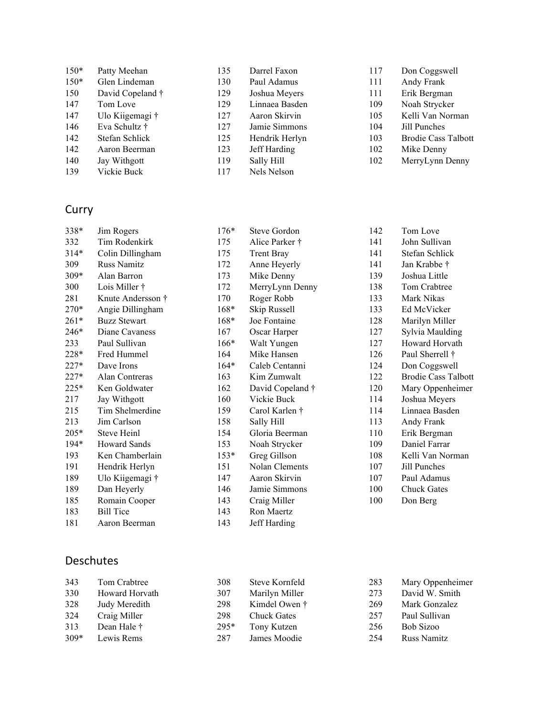| $150*$ | Patty Meehan     | 135 | Darrel Faxon   | 117 | Don Coggswell              |
|--------|------------------|-----|----------------|-----|----------------------------|
| $150*$ | Glen Lindeman    | 130 | Paul Adamus    | 111 | Andy Frank                 |
| 150    | David Copeland † | 129 | Joshua Meyers  | 111 | Erik Bergman               |
| 147    | Tom Love         | 129 | Linnaea Basden | 109 | Noah Strycker              |
| 147    | Ulo Kiigemagi †  | 127 | Aaron Skirvin  | 105 | Kelli Van Norman           |
| 146    | Eva Schultz †    | 127 | Jamie Simmons  | 104 | Jill Punches               |
| 142    | Stefan Schlick   | 125 | Hendrik Herlyn | 103 | <b>Brodie Cass Talbott</b> |
| 142    | Aaron Beerman    | 123 | Jeff Harding   | 102 | Mike Denny                 |
| 140    | Jay Withgott     | 119 | Sally Hill     | 102 | MerryLynn Denny            |
| 139    | Vickie Buck      | 117 | Nels Nelson    |     |                            |

## Curry

| 338*   | Jim Rogers          | $176*$ | Steve Gordon      | 142 | Tom Love                   |
|--------|---------------------|--------|-------------------|-----|----------------------------|
| 332    | Tim Rodenkirk       | 175    | Alice Parker †    | 141 | John Sullivan              |
| $314*$ | Colin Dillingham    | 175    | <b>Trent Bray</b> | 141 | Stefan Schlick             |
| 309    | <b>Russ Namitz</b>  | 172    | Anne Heyerly      | 141 | Jan Krabbe †               |
| 309*   | Alan Barron         | 173    | Mike Denny        | 139 | Joshua Little              |
| 300    | Lois Miller †       | 172    | MerryLynn Denny   | 138 | Tom Crabtree               |
| 281    | Knute Andersson †   | 170    | Roger Robb        | 133 | Mark Nikas                 |
| 270*   | Angie Dillingham    | $168*$ | Skip Russell      | 133 | Ed McVicker                |
| $261*$ | <b>Buzz Stewart</b> | $168*$ | Joe Fontaine      | 128 | Marilyn Miller             |
| 246*   | Diane Cavaness      | 167    | Oscar Harper      | 127 | Sylvia Maulding            |
| 233    | Paul Sullivan       | $166*$ | Walt Yungen       | 127 | Howard Horvath             |
| 228*   | Fred Hummel         | 164    | Mike Hansen       | 126 | Paul Sherrell †            |
| $227*$ | Dave Irons          | $164*$ | Caleb Centanni    | 124 | Don Coggswell              |
| $227*$ | Alan Contreras      | 163    | Kim Zumwalt       | 122 | <b>Brodie Cass Talbott</b> |
| 225*   | Ken Goldwater       | 162    | David Copeland †  | 120 | Mary Oppenheimer           |
| 217    | Jay Withgott        | 160    | Vickie Buck       | 114 | Joshua Meyers              |
| 215    | Tim Shelmerdine     | 159    | Carol Karlen †    | 114 | Linnaea Basden             |
| 213    | Jim Carlson         | 158    | Sally Hill        | 113 | Andy Frank                 |
| $205*$ | Steve Heinl         | 154    | Gloria Beerman    | 110 | Erik Bergman               |
| $194*$ | <b>Howard Sands</b> | 153    | Noah Strycker     | 109 | Daniel Farrar              |
| 193    | Ken Chamberlain     | $153*$ | Greg Gillson      | 108 | Kelli Van Norman           |
| 191    | Hendrik Herlyn      | 151    | Nolan Clements    | 107 | Jill Punches               |
| 189    | Ulo Kiigemagi †     | 147    | Aaron Skirvin     | 107 | Paul Adamus                |
| 189    | Dan Heyerly         | 146    | Jamie Simmons     | 100 | <b>Chuck Gates</b>         |
| 185    | Romain Cooper       | 143    | Craig Miller      | 100 | Don Berg                   |
| 183    | <b>Bill Tice</b>    | 143    | Ron Maertz        |     |                            |
| 181    | Aaron Beerman       | 143    | Jeff Harding      |     |                            |

### Deschutes

| 343    | Tom Crabtree   | 308    | Steve Kornfeld     | 283 | Mary Oppenheimer |
|--------|----------------|--------|--------------------|-----|------------------|
| 330    | Howard Horvath | 307    | Marilyn Miller     | 273 | David W. Smith   |
| 328    | Judy Meredith  | 298    | Kimdel Owen †      | 269 | Mark Gonzalez    |
| 324    | Craig Miller   | 298    | <b>Chuck Gates</b> | 257 | Paul Sullivan    |
| 313    | Dean Hale †    | $295*$ | Tony Kutzen        | 256 | Bob Sizoo        |
| $309*$ | Lewis Rems     | 287    | James Moodie       | 254 | Russ Namitz      |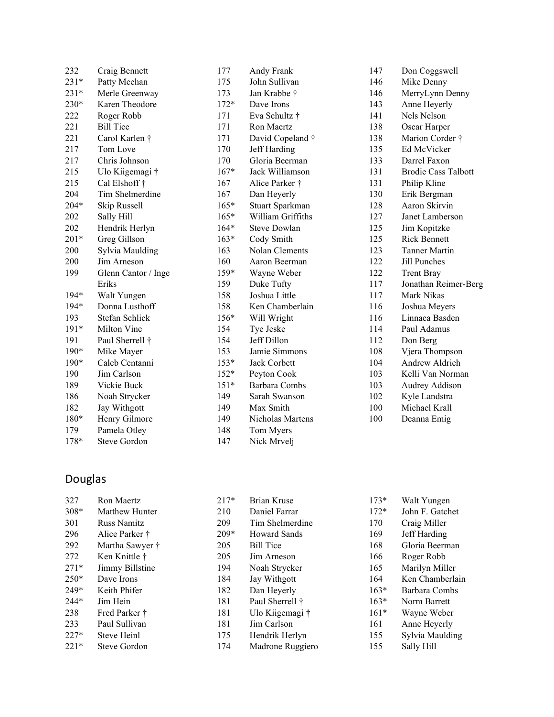| 232    | Craig Bennett       | 177    | Andy Frank          | 147 | Don Coggswell              |
|--------|---------------------|--------|---------------------|-----|----------------------------|
| $231*$ | Patty Meehan        | 175    | John Sullivan       | 146 | Mike Denny                 |
| $231*$ | Merle Greenway      | 173    | Jan Krabbe †        | 146 | MerryLynn Denny            |
| 230*   | Karen Theodore      | $172*$ | Dave Irons          | 143 | Anne Heyerly               |
| 222    | Roger Robb          | 171    | Eva Schultz †       | 141 | Nels Nelson                |
| 221    | <b>Bill Tice</b>    | 171    | Ron Maertz          | 138 | Oscar Harper               |
| 221    | Carol Karlen †      | 171    | David Copeland †    | 138 | Marion Corder †            |
| 217    | Tom Love            | 170    | Jeff Harding        | 135 | Ed McVicker                |
| 217    | Chris Johnson       | 170    | Gloria Beerman      | 133 | Darrel Faxon               |
| 215    | Ulo Kiigemagi †     | $167*$ | Jack Williamson     | 131 | <b>Brodie Cass Talbott</b> |
| 215    | Cal Elshoff †       | 167    | Alice Parker †      | 131 | Philip Kline               |
| 204    | Tim Shelmerdine     | 167    | Dan Heyerly         | 130 | Erik Bergman               |
| 204*   | Skip Russell        | $165*$ | Stuart Sparkman     | 128 | Aaron Skirvin              |
| 202    | Sally Hill          | $165*$ | William Griffiths   | 127 | Janet Lamberson            |
| 202    | Hendrik Herlyn      | $164*$ | <b>Steve Dowlan</b> | 125 | Jim Kopitzke               |
| $201*$ | Greg Gillson        | $163*$ | Cody Smith          | 125 | <b>Rick Bennett</b>        |
| 200    | Sylvia Maulding     | 163    | Nolan Clements      | 123 | <b>Tanner Martin</b>       |
| 200    | Jim Arneson         | 160    | Aaron Beerman       | 122 | Jill Punches               |
| 199    | Glenn Cantor / Inge | $159*$ | Wayne Weber         | 122 | <b>Trent Bray</b>          |
|        | Eriks               | 159    | Duke Tufty          | 117 | Jonathan Reimer-Berg       |
| $194*$ | Walt Yungen         | 158    | Joshua Little       | 117 | Mark Nikas                 |
| $194*$ | Donna Lusthoff      | 158    | Ken Chamberlain     | 116 | Joshua Meyers              |
| 193    | Stefan Schlick      | $156*$ | Will Wright         | 116 | Linnaea Basden             |
| $191*$ | Milton Vine         | 154    | Tye Jeske           | 114 | Paul Adamus                |
| 191    | Paul Sherrell †     | 154    | Jeff Dillon         | 112 | Don Berg                   |
| $190*$ | Mike Mayer          | 153    | Jamie Simmons       | 108 | Vjera Thompson             |
| $190*$ | Caleb Centanni      | $153*$ | Jack Corbett        | 104 | Andrew Aldrich             |
| 190    | Jim Carlson         | $152*$ | Peyton Cook         | 103 | Kelli Van Norman           |
| 189    | Vickie Buck         | $151*$ | Barbara Combs       | 103 | Audrey Addison             |
| 186    | Noah Strycker       | 149    | Sarah Swanson       | 102 | Kyle Landstra              |
| 182    | Jay Withgott        | 149    | Max Smith           | 100 | Michael Krall              |
| 180*   | Henry Gilmore       | 149    | Nicholas Martens    | 100 | Deanna Emig                |
| 179    | Pamela Otley        | 148    | Tom Myers           |     |                            |
| 178*   | <b>Steve Gordon</b> | 147    | Nick Mrvelj         |     |                            |

## Douglas

| 327    | Ron Maertz         | $217*$ | Brian Kruse         | $173*$ | Walt Yungen     |
|--------|--------------------|--------|---------------------|--------|-----------------|
| $308*$ | Matthew Hunter     | 210    | Daniel Farrar       | $172*$ | John F. Gatchet |
| 301    | <b>Russ Namitz</b> | 209    | Tim Shelmerdine     | 170    | Craig Miller    |
| 296    | Alice Parker †     | $209*$ | <b>Howard Sands</b> | 169    | Jeff Harding    |
| 292    | Martha Sawyer †    | 205    | <b>Bill Tice</b>    | 168    | Gloria Beerman  |
| 272    | Ken Knittle †      | 205    | Jim Arneson         | 166    | Roger Robb      |
| $271*$ | Jimmy Billstine    | 194    | Noah Strycker       | 165    | Marilyn Miller  |
| $250*$ | Dave Irons         | 184    | Jay Withgott        | 164    | Ken Chamberlain |
| $249*$ | Keith Phifer       | 182    | Dan Heyerly         | $163*$ | Barbara Combs   |
| $244*$ | Jim Hein           | 181    | Paul Sherrell †     | $163*$ | Norm Barrett    |
| 238    | Fred Parker †      | 181    | Ulo Kiigemagi †     | $161*$ | Wayne Weber     |
| 233    | Paul Sullivan      | 181    | Jim Carlson         | 161    | Anne Heyerly    |
| $227*$ | Steve Heinl        | 175    | Hendrik Herlyn      | 155    | Sylvia Maulding |
| $221*$ | Steve Gordon       | 174    | Madrone Ruggiero    | 155    | Sally Hill      |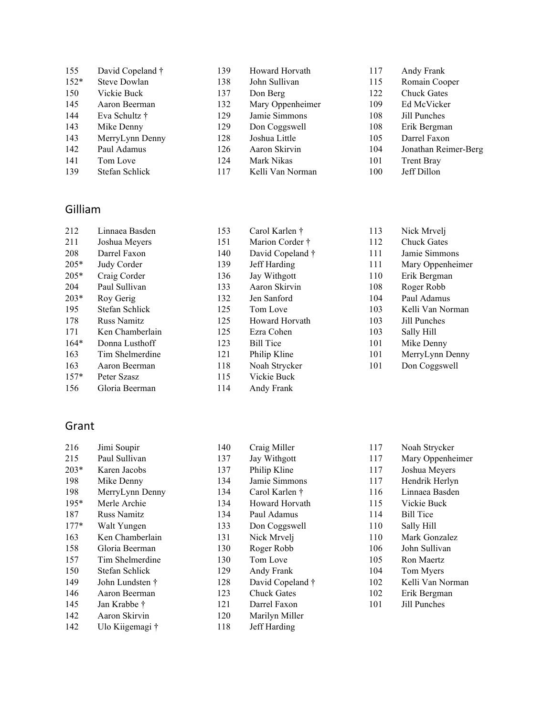| 155    | David Copeland † | 139 | Howard Horvath   | 117 | Andy Frank           |
|--------|------------------|-----|------------------|-----|----------------------|
| $152*$ | Steve Dowlan     | 138 | John Sullivan    | 115 | Romain Cooper        |
| 150    | Vickie Buck      | 137 | Don Berg         | 122 | <b>Chuck Gates</b>   |
| 145    | Aaron Beerman    | 132 | Mary Oppenheimer | 109 | Ed McVicker          |
| 144    | Eva Schultz †    | 129 | Jamie Simmons    | 108 | Jill Punches         |
| 143    | Mike Denny       | 129 | Don Coggswell    | 108 | Erik Bergman         |
| 143    | MerryLynn Denny  | 128 | Joshua Little    | 105 | Darrel Faxon         |
| 142    | Paul Adamus      | 126 | Aaron Skirvin    | 104 | Jonathan Reimer-Berg |
| 141    | Tom Love         | 124 | Mark Nikas       | 101 | <b>Trent Bray</b>    |
| 139    | Stefan Schlick   | 117 | Kelli Van Norman | 100 | Jeff Dillon          |
|        |                  |     |                  |     |                      |

#### Gilliam

| 212    | Linnaea Basden     | 153 | Carol Karlen †   | 113 | Nick Mrvelj      |
|--------|--------------------|-----|------------------|-----|------------------|
| 211    | Joshua Meyers      | 151 | Marion Corder †  | 112 | Chuck Gates      |
| 208    | Darrel Faxon       | 140 | David Copeland † | 111 | Jamie Simmons    |
| $205*$ | Judy Corder        | 139 | Jeff Harding     | 111 | Mary Oppenheimer |
| $205*$ | Craig Corder       | 136 | Jay Withgott     | 110 | Erik Bergman     |
| 204    | Paul Sullivan      | 133 | Aaron Skirvin    | 108 | Roger Robb       |
| $203*$ | Roy Gerig          | 132 | Jen Sanford      | 104 | Paul Adamus      |
| 195    | Stefan Schlick     | 125 | Tom Love         | 103 | Kelli Van Norman |
| 178    | <b>Russ Namitz</b> | 125 | Howard Horvath   | 103 | Jill Punches     |
| 171    | Ken Chamberlain    | 125 | Ezra Cohen       | 103 | Sally Hill       |
| $164*$ | Donna Lusthoff     | 123 | <b>Bill Tice</b> | 101 | Mike Denny       |
| 163    | Tim Shelmerdine    | 121 | Philip Kline     | 101 | MerryLynn Denny  |
| 163    | Aaron Beerman      | 118 | Noah Strycker    | 101 | Don Coggswell    |
| $157*$ | Peter Szasz        | 115 | Vickie Buck      |     |                  |
| 156    | Gloria Beerman     | 114 | Andy Frank       |     |                  |

### Grant

| 216    | Jimi Soupir     | 140 | Craig Miller       | 117 | Noah Strycker    |
|--------|-----------------|-----|--------------------|-----|------------------|
| 215    | Paul Sullivan   | 137 | Jay Withgott       | 117 | Mary Oppenheimer |
| $203*$ | Karen Jacobs    | 137 | Philip Kline       | 117 | Joshua Meyers    |
| 198    | Mike Denny      | 134 | Jamie Simmons      | 117 | Hendrik Herlyn   |
| 198    | MerryLynn Denny | 134 | Carol Karlen †     | 116 | Linnaea Basden   |
| $195*$ | Merle Archie    | 134 | Howard Horvath     | 115 | Vickie Buck      |
| 187    | Russ Namitz     | 134 | Paul Adamus        | 114 | <b>Bill Tice</b> |
| $177*$ | Walt Yungen     | 133 | Don Coggswell      | 110 | Sally Hill       |
| 163    | Ken Chamberlain | 131 | Nick Mrvelj        | 110 | Mark Gonzalez    |
| 158    | Gloria Beerman  | 130 | Roger Robb         | 106 | John Sullivan    |
| 157    | Tim Shelmerdine | 130 | Tom Love           | 105 | Ron Maertz       |
| 150    | Stefan Schlick  | 129 | Andy Frank         | 104 | Tom Myers        |
| 149    | John Lundsten † | 128 | David Copeland †   | 102 | Kelli Van Norman |
| 146    | Aaron Beerman   | 123 | <b>Chuck Gates</b> | 102 | Erik Bergman     |
| 145    | Jan Krabbe †    | 121 | Darrel Faxon       | 101 | Jill Punches     |
| 142    | Aaron Skirvin   | 120 | Marilyn Miller     |     |                  |
| 142    | Ulo Kiigemagi † | 118 | Jeff Harding       |     |                  |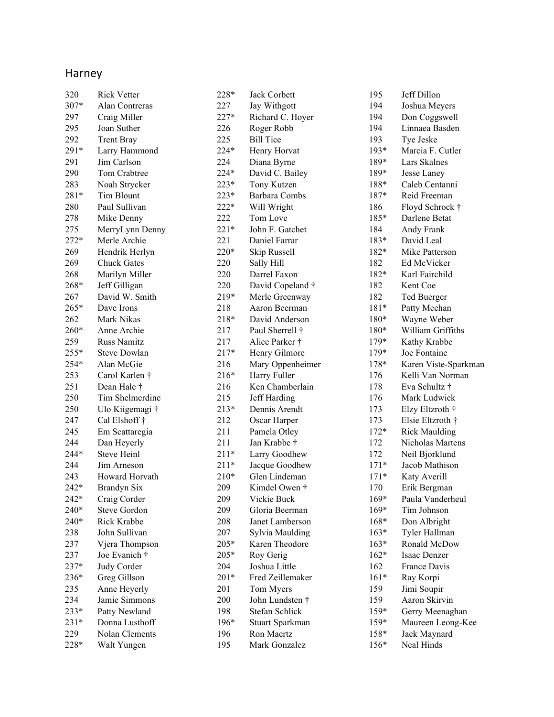## Harney

| 320    | <b>Rick Vetter</b>  | 228*   | Jack Corbett     |
|--------|---------------------|--------|------------------|
| 307*   | Alan Contreras      | 227    | Jay Withgott     |
| 297    | Craig Miller        | $227*$ | Richard C. Hoyer |
| 295    | Joan Suther         | 226    | Roger Robb       |
| 292    | <b>Trent Bray</b>   | 225    | <b>Bill Tice</b> |
| 291*   | Larry Hammond       | $224*$ | Henry Horvat     |
| 291    | Jim Carlson         | 224    | Diana Byrne      |
| 290    | Tom Crabtree        | 224*   | David C. Bailey  |
| 283    | Noah Strycker       | $223*$ | Tony Kutzen      |
| 281*   | Tim Blount          | 223*   | Barbara Combs    |
| 280    | Paul Sullivan       | $222*$ | Will Wright      |
| 278    | Mike Denny          | 222    | Tom Love         |
| 275    | MerryLynn Denny     | $221*$ | John F. Gatchet  |
| $272*$ | Merle Archie        | 221    | Daniel Farrar    |
| 269    | Hendrik Herlyn      | $220*$ | Skip Russell     |
| 269    | <b>Chuck Gates</b>  | 220    | Sally Hill       |
| 268    | Marilyn Miller      | 220    | Darrel Faxon     |
| 268*   | Jeff Gilligan       | 220    | David Copeland † |
| 267    | David W. Smith      | $219*$ | Merle Greenway   |
| 265*   | Dave Irons          | 218    | Aaron Beerman    |
| 262    | Mark Nikas          | $218*$ | David Anderson   |
| 260*   | Anne Archie         | 217    | Paul Sherrell †  |
| 259    | <b>Russ Namitz</b>  | 217    | Alice Parker †   |
| 255*   | <b>Steve Dowlan</b> | $217*$ | Henry Gilmore    |
| 254*   | Alan McGie          | 216    | Mary Oppenheimer |
| 253    | Carol Karlen †      | $216*$ | Harry Fuller     |
| 251    | Dean Hale †         | 216    | Ken Chamberlain  |
| 250    | Tim Shelmerdine     | 215    | Jeff Harding     |
| 250    | Ulo Kiigemagi †     | $213*$ | Dennis Arendt    |
| 247    | Cal Elshoff †       | 212    | Oscar Harper     |
| 245    | Em Scattaregia      | 211    | Pamela Otley     |
| 244    | Dan Heyerly         | 211    | Jan Krabbe †     |
| 244*   | Steve Heinl         | $211*$ | Larry Goodhew    |
| 244    | Jim Arneson         | $211*$ | Jacque Goodhew   |
| 243    | Howard Horvath      | $210*$ | Glen Lindeman    |
| 242*   | Brandyn Six         | 209    | Kimdel Owen †    |
| $242*$ | Craig Corder        | 209    | Vickie Buck      |
| 240*   | Steve Gordon        | 209    | Gloria Beerman   |
| 240*   | Rick Krabbe         | 208    | Janet Lamberson  |
| 238    | John Sullivan       | 207    | Sylvia Maulding  |
| 237    | Vjera Thompson      | 205*   | Karen Theodore   |
| 237    | Joe Evanich †       | 205*   | Roy Gerig        |
| 237*   | Judy Corder         | 204    | Joshua Little    |
| 236*   | Greg Gillson        | $201*$ | Fred Zeillemaker |
| 235    | Anne Heyerly        | 201    | Tom Myers        |
| 234    | Jamie Simmons       | 200    | John Lundsten †  |
| 233*   | Patty Newland       | 198    | Stefan Schlick   |
| $231*$ | Donna Lusthoff      | $196*$ | Stuart Sparkman  |
| 229    | Nolan Clements      | 196    | Ron Maertz       |
| 228*   | Walt Yungen         | 195    | Mark Gonzalez    |
|        |                     |        |                  |

| 195    | Jeff Dillon          |
|--------|----------------------|
| 194    | Joshua Meyers        |
| 194    | Don Coggswell        |
| 194    | Linnaea Basden       |
| 193    | Tye Jeske            |
| 193*   | Marcia F. Cutler     |
| 189*   | Lars Skalnes         |
| 189*   | Jesse Laney          |
| 188*   | Caleb Centanni       |
| 187*   | Reid Freeman         |
| 186    | Floyd Schrock †      |
| 185*   | Darlene Betat        |
| 184    | Andy Frank           |
| 183*   | David Leal           |
| 182*   | Mike Patterson       |
| 182    | Ed McVicker          |
| 182*   | Karl Fairchild       |
| 182    | Kent Coe             |
| 182    | Ted Buerger          |
| 181*   | Patty Meehan         |
| 180*   | Wayne Weber          |
| 180*   | William Griffiths    |
| 179*   | Kathy Krabbe         |
| 179*   | Joe Fontaine         |
| 178*   | Karen Viste-Sparkman |
| 176    | Kelli Van Norman     |
| 178    | Eva Schultz †        |
| 176    | Mark Ludwick         |
| 173    | Elzy Eltzroth †      |
| 173    | Elsie Eltzroth †     |
| $172*$ | <b>Rick Maulding</b> |
| 172    | Nicholas Martens     |
| 172    | Neil Bjorklund       |
| $171*$ | Jacob Mathison       |
| $171*$ | Katy Averill         |
| 170    | Erik Bergman         |
| $169*$ | Paula Vanderheul     |
| $169*$ | Tim Johnson          |
| 168*   | Don Albright         |
| $163*$ | Tyler Hallman        |
| $163*$ | Ronald McDow         |
| $162*$ | Isaac Denzer         |
| 162    | France Davis         |
| $161*$ | Ray Korpi            |
| 159    | Jimi Soupir          |
| 159    | Aaron Skirvin        |
| 159*   | Gerry Meenaghan      |
| 159*   | Maureen Leong-Kee    |
| 158*   | Jack Maynard         |
| 156*   | Neal Hinds           |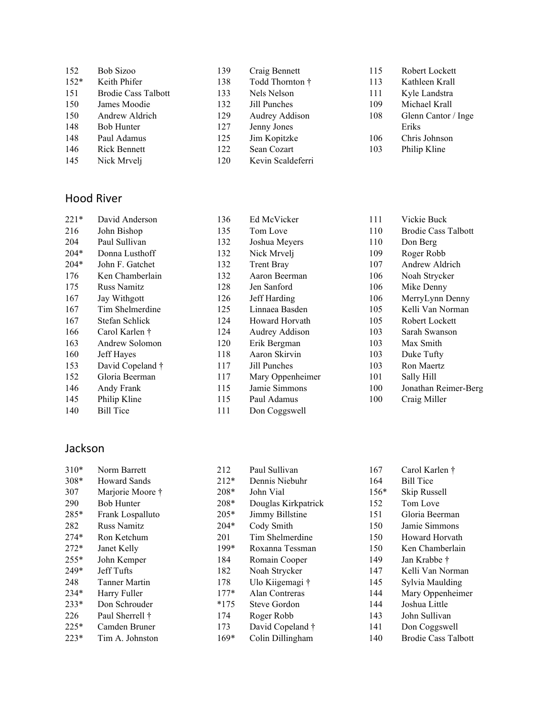| 152    | Bob Sizoo                  | 139 | Craig Bennett     | 115 | Robert Lockett      |
|--------|----------------------------|-----|-------------------|-----|---------------------|
| $152*$ | Keith Phifer               | 138 | Todd Thornton †   | 113 | Kathleen Krall      |
| 151    | <b>Brodie Cass Talbott</b> | 133 | Nels Nelson       | 111 | Kyle Landstra       |
| 150    | James Moodie               | 132 | Jill Punches      | 109 | Michael Krall       |
| 150    | Andrew Aldrich             | 129 | Audrey Addison    | 108 | Glenn Cantor / Inge |
| 148    | Bob Hunter                 | 127 | Jenny Jones       |     | Eriks               |
| 148    | Paul Adamus                | 125 | Jim Kopitzke      | 106 | Chris Johnson       |
| 146    | <b>Rick Bennett</b>        | 122 | Sean Cozart       | 103 | Philip Kline        |
| 145    | Nick Mrvelj                | 120 | Kevin Scaldeferri |     |                     |

#### Hood River

| $221*$ | David Anderson     | 136 | Ed McVicker       | 111 | Vickie Buck                |
|--------|--------------------|-----|-------------------|-----|----------------------------|
| 216    | John Bishop        | 135 | Tom Love          | 110 | <b>Brodie Cass Talbott</b> |
| 204    | Paul Sullivan      | 132 | Joshua Meyers     | 110 | Don Berg                   |
| $204*$ | Donna Lusthoff     | 132 | Nick Mrvelj       | 109 | Roger Robb                 |
| $204*$ | John F. Gatchet    | 132 | <b>Trent Bray</b> | 107 | Andrew Aldrich             |
| 176    | Ken Chamberlain    | 132 | Aaron Beerman     | 106 | Noah Strycker              |
| 175    | <b>Russ Namitz</b> | 128 | Jen Sanford       | 106 | Mike Denny                 |
| 167    | Jay Withgott       | 126 | Jeff Harding      | 106 | MerryLynn Denny            |
| 167    | Tim Shelmerdine    | 125 | Linnaea Basden    | 105 | Kelli Van Norman           |
| 167    | Stefan Schlick     | 124 | Howard Horvath    | 105 | Robert Lockett             |
| 166    | Carol Karlen †     | 124 | Audrey Addison    | 103 | Sarah Swanson              |
| 163    | Andrew Solomon     | 120 | Erik Bergman      | 103 | Max Smith                  |
| 160    | Jeff Hayes         | 118 | Aaron Skirvin     | 103 | Duke Tufty                 |
| 153    | David Copeland †   | 117 | Jill Punches      | 103 | Ron Maertz                 |
| 152    | Gloria Beerman     | 117 | Mary Oppenheimer  | 101 | Sally Hill                 |
| 146    | Andy Frank         | 115 | Jamie Simmons     | 100 | Jonathan Reimer-Berg       |
| 145    | Philip Kline       | 115 | Paul Adamus       | 100 | Craig Miller               |
| 140    | <b>Bill Tice</b>   | 111 | Don Coggswell     |     |                            |

#### Jackson

| $310*$ | Norm Barrett       | 212    | Paul Sullivan       | 167    | Carol Karlen †             |
|--------|--------------------|--------|---------------------|--------|----------------------------|
| $308*$ | Howard Sands       | $212*$ | Dennis Niebuhr      | 164    | <b>Bill Tice</b>           |
| 307    | Marjorie Moore †   | $208*$ | John Vial           | $156*$ | Skip Russell               |
| 290    | <b>Bob Hunter</b>  | $208*$ | Douglas Kirkpatrick | 152    | Tom Love                   |
| 285*   | Frank Lospalluto   | $205*$ | Jimmy Billstine     | 151    | Gloria Beerman             |
| 282    | <b>Russ Namitz</b> | $204*$ | Cody Smith          | 150    | Jamie Simmons              |
| $274*$ | Ron Ketchum        | 201    | Tim Shelmerdine     | 150    | Howard Horvath             |
| $272*$ | Janet Kelly        | 199*   | Roxanna Tessman     | 150    | Ken Chamberlain            |
| $255*$ | John Kemper        | 184    | Romain Cooper       | 149    | Jan Krabbe †               |
| $249*$ | Jeff Tufts         | 182    | Noah Strycker       | 147    | Kelli Van Norman           |
| 248    | Tanner Martin      | 178    | Ulo Kiigemagi †     | 145    | Sylvia Maulding            |
| $234*$ | Harry Fuller       | $177*$ | Alan Contreras      | 144    | Mary Oppenheimer           |
| $233*$ | Don Schrouder      | $*175$ | Steve Gordon        | 144    | Joshua Little              |
| 226    | Paul Sherrell †    | 174    | Roger Robb          | 143    | John Sullivan              |
| $225*$ | Camden Bruner      | 173    | David Copeland †    | 141    | Don Coggswell              |
| $223*$ | Tim A. Johnston    | $169*$ | Colin Dillingham    | 140    | <b>Brodie Cass Talbott</b> |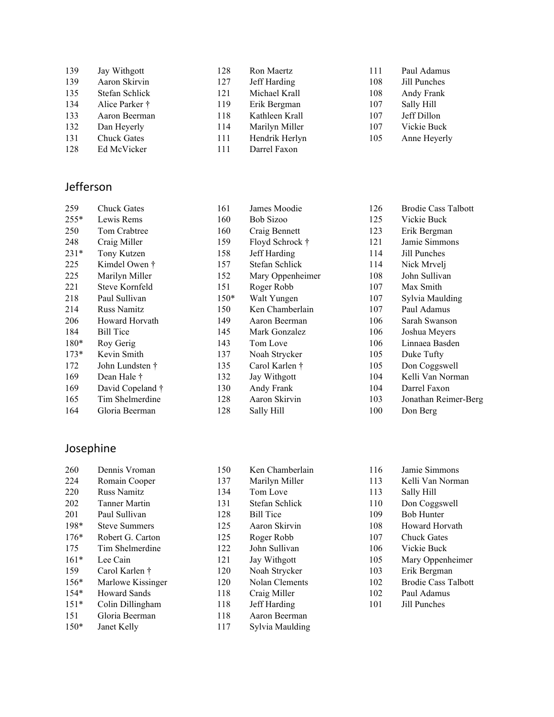| 139 | Jay Withgott       | 128 | Ron Maertz     | 111 | Paul Adamus  |
|-----|--------------------|-----|----------------|-----|--------------|
| 139 | Aaron Skirvin      | 127 | Jeff Harding   | 108 | Jill Punches |
| 135 | Stefan Schlick     | 121 | Michael Krall  | 108 | Andy Frank   |
| 134 | Alice Parker †     | 119 | Erik Bergman   | 107 | Sally Hill   |
| 133 | Aaron Beerman      | 118 | Kathleen Krall | 107 | Jeff Dillon  |
| 132 | Dan Heyerly        | 114 | Marilyn Miller | 107 | Vickie Buck  |
| 131 | <b>Chuck Gates</b> | 111 | Hendrik Herlyn | 105 | Anne Heyerly |
| 128 | Ed McVicker        | 111 | Darrel Faxon   |     |              |

### Jefferson

| 259    | <b>Chuck Gates</b> | 161    | James Moodie     | 126 | <b>Brodie Cass Talbott</b> |
|--------|--------------------|--------|------------------|-----|----------------------------|
| $255*$ | Lewis Rems         | 160    | <b>Bob Sizoo</b> | 125 | Vickie Buck                |
| 250    | Tom Crabtree       | 160    | Craig Bennett    | 123 | Erik Bergman               |
| 248    | Craig Miller       | 159    | Floyd Schrock †  | 121 | Jamie Simmons              |
| $231*$ | Tony Kutzen        | 158    | Jeff Harding     | 114 | Jill Punches               |
| 225    | Kimdel Owen †      | 157    | Stefan Schlick   | 114 | Nick Mrvelj                |
| 225    | Marilyn Miller     | 152    | Mary Oppenheimer | 108 | John Sullivan              |
| 221    | Steve Kornfeld     | 151    | Roger Robb       | 107 | Max Smith                  |
| 218    | Paul Sullivan      | $150*$ | Walt Yungen      | 107 | Sylvia Maulding            |
| 214    | <b>Russ Namitz</b> | 150    | Ken Chamberlain  | 107 | Paul Adamus                |
| 206    | Howard Horvath     | 149    | Aaron Beerman    | 106 | Sarah Swanson              |
| 184    | <b>Bill Tice</b>   | 145    | Mark Gonzalez    | 106 | Joshua Meyers              |
| $180*$ | Roy Gerig          | 143    | Tom Love         | 106 | Linnaea Basden             |
| $173*$ | Kevin Smith        | 137    | Noah Strycker    | 105 | Duke Tufty                 |
| 172    | John Lundsten †    | 135    | Carol Karlen †   | 105 | Don Coggswell              |
| 169    | Dean Hale †        | 132    | Jay Withgott     | 104 | Kelli Van Norman           |
| 169    | David Copeland †   | 130    | Andy Frank       | 104 | Darrel Faxon               |
| 165    | Tim Shelmerdine    | 128    | Aaron Skirvin    | 103 | Jonathan Reimer-Berg       |
| 164    | Gloria Beerman     | 128    | Sally Hill       | 100 | Don Berg                   |
|        |                    |        |                  |     |                            |

## Josephine

| 260    | Dennis Vroman        | 150 | Ken Chamberlain  | 116 | Jamie Simmons              |
|--------|----------------------|-----|------------------|-----|----------------------------|
| 224    | Romain Cooper        | 137 | Marilyn Miller   | 113 | Kelli Van Norman           |
| 220    | <b>Russ Namitz</b>   | 134 | Tom Love         | 113 | Sally Hill                 |
| 202    | <b>Tanner Martin</b> | 131 | Stefan Schlick   | 110 | Don Coggswell              |
| 201    | Paul Sullivan        | 128 | <b>Bill Tice</b> | 109 | <b>Bob Hunter</b>          |
| 198*   | <b>Steve Summers</b> | 125 | Aaron Skirvin    | 108 | Howard Horvath             |
| $176*$ | Robert G. Carton     | 125 | Roger Robb       | 107 | <b>Chuck Gates</b>         |
| 175    | Tim Shelmerdine      | 122 | John Sullivan    | 106 | Vickie Buck                |
| $161*$ | Lee Cain             | 121 | Jay Withgott     | 105 | Mary Oppenheimer           |
| 159    | Carol Karlen †       | 120 | Noah Strycker    | 103 | Erik Bergman               |
| $156*$ | Marlowe Kissinger    | 120 | Nolan Clements   | 102 | <b>Brodie Cass Talbott</b> |
| $154*$ | <b>Howard Sands</b>  | 118 | Craig Miller     | 102 | Paul Adamus                |
| $151*$ | Colin Dillingham     | 118 | Jeff Harding     | 101 | Jill Punches               |
| 151    | Gloria Beerman       | 118 | Aaron Beerman    |     |                            |
| $150*$ | Janet Kelly          | 117 | Sylvia Maulding  |     |                            |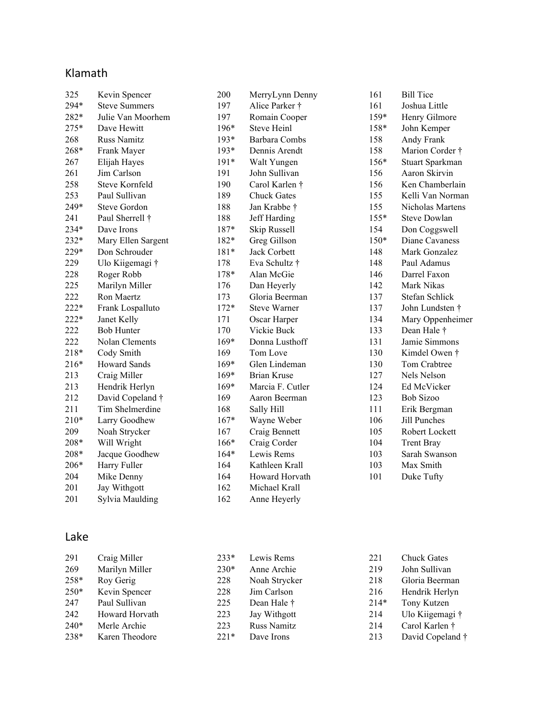### Klamath

| 325    | Kevin Spencer        | 200    | MerryLynn Denny     | 161    | <b>Bill Tice</b>    |
|--------|----------------------|--------|---------------------|--------|---------------------|
| 294*   | <b>Steve Summers</b> | 197    | Alice Parker †      | 161    | Joshua Little       |
| 282*   | Julie Van Moorhem    | 197    | Romain Cooper       | 159*   | Henry Gilmore       |
| 275*   | Dave Hewitt          | 196*   | <b>Steve Heinl</b>  | 158*   | John Kemper         |
| 268    | <b>Russ Namitz</b>   | $193*$ | Barbara Combs       | 158    | Andy Frank          |
| 268*   | Frank Mayer          | $193*$ | Dennis Arendt       | 158    | Marion Corder †     |
| 267    | Elijah Hayes         | $191*$ | Walt Yungen         | $156*$ | Stuart Sparkman     |
| 261    | Jim Carlson          | 191    | John Sullivan       | 156    | Aaron Skirvin       |
| 258    | Steve Kornfeld       | 190    | Carol Karlen †      | 156    | Ken Chamberlain     |
| 253    | Paul Sullivan        | 189    | <b>Chuck Gates</b>  | 155    | Kelli Van Norman    |
| 249*   | Steve Gordon         | 188    | Jan Krabbe †        | 155    | Nicholas Martens    |
| 241    | Paul Sherrell †      | 188    | Jeff Harding        | $155*$ | <b>Steve Dowlan</b> |
| 234*   | Dave Irons           | 187*   | Skip Russell        | 154    | Don Coggswell       |
| 232*   | Mary Ellen Sargent   | 182*   | Greg Gillson        | $150*$ | Diane Cavaness      |
| 229*   | Don Schrouder        | $181*$ | Jack Corbett        | 148    | Mark Gonzalez       |
| 229    | Ulo Kiigemagi †      | 178    | Eva Schultz †       | 148    | Paul Adamus         |
| 228    | Roger Robb           | 178*   | Alan McGie          | 146    | Darrel Faxon        |
| 225    | Marilyn Miller       | 176    | Dan Heyerly         | 142    | Mark Nikas          |
| 222    | Ron Maertz           | 173    | Gloria Beerman      | 137    | Stefan Schlick      |
| 222*   | Frank Lospalluto     | $172*$ | <b>Steve Warner</b> | 137    | John Lundsten †     |
| 222*   | Janet Kelly          | 171    | Oscar Harper        | 134    | Mary Oppenheimer    |
| 222    | <b>Bob Hunter</b>    | 170    | Vickie Buck         | 133    | Dean Hale $\dagger$ |
| 222    | Nolan Clements       | $169*$ | Donna Lusthoff      | 131    | Jamie Simmons       |
| 218*   | Cody Smith           | 169    | Tom Love            | 130    | Kimdel Owen †       |
| 216*   | <b>Howard Sands</b>  | $169*$ | Glen Lindeman       | 130    | Tom Crabtree        |
| 213    | Craig Miller         | 169*   | <b>Brian Kruse</b>  | 127    | Nels Nelson         |
| 213    | Hendrik Herlyn       | 169*   | Marcia F. Cutler    | 124    | Ed McVicker         |
| 212    | David Copeland †     | 169    | Aaron Beerman       | 123    | <b>Bob Sizoo</b>    |
| 211    | Tim Shelmerdine      | 168    | Sally Hill          | 111    | Erik Bergman        |
| $210*$ | Larry Goodhew        | $167*$ | Wayne Weber         | 106    | <b>Jill Punches</b> |
| 209    | Noah Strycker        | 167    | Craig Bennett       | 105    | Robert Lockett      |
| 208*   | Will Wright          | 166*   | Craig Corder        | 104    | <b>Trent Bray</b>   |
| 208*   | Jacque Goodhew       | $164*$ | Lewis Rems          | 103    | Sarah Swanson       |
| 206*   | Harry Fuller         | 164    | Kathleen Krall      | 103    | Max Smith           |
| 204    | Mike Denny           | 164    | Howard Horvath      | 101    | Duke Tufty          |
| 201    | Jay Withgott         | 162    | Michael Krall       |        |                     |
| 201    | Sylvia Maulding      | 162    | Anne Heyerly        |        |                     |
|        |                      |        |                     |        |                     |

## Lake

| 291    | Craig Miller   | $233*$ | Lewis Rems         | 221    | <b>Chuck Gates</b> |
|--------|----------------|--------|--------------------|--------|--------------------|
| 269    | Marilyn Miller | $230*$ | Anne Archie        | 219    | John Sullivan      |
| 258*   | Roy Gerig      | 228    | Noah Strycker      | 218    | Gloria Beerman     |
| $250*$ | Kevin Spencer  | 228    | Jim Carlson        | 216    | Hendrik Herlyn     |
| 247    | Paul Sullivan  | 225    | Dean Hale †        | $214*$ | Tony Kutzen        |
| 242    | Howard Horvath | 223    | Jay Withgott       | 214    | Ulo Kiigemagi †    |
| $240*$ | Merle Archie   | 223    | <b>Russ Namitz</b> | 214    | Carol Karlen †     |
| 238*   | Karen Theodore | $221*$ | Dave Irons         | 213    | David Copeland †   |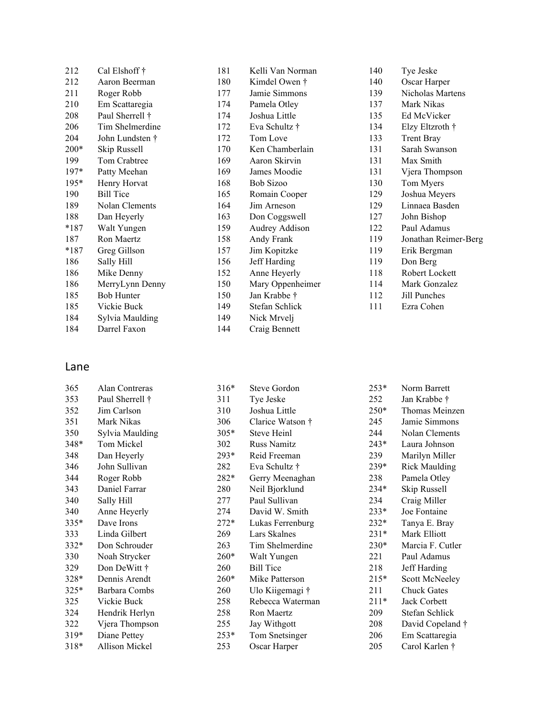| 212    | Cal Elshoff †     | 181 | Kelli Van Norman | 140 | Tye Jeske            |
|--------|-------------------|-----|------------------|-----|----------------------|
| 212    | Aaron Beerman     | 180 | Kimdel Owen †    | 140 | Oscar Harper         |
| 211    | Roger Robb        | 177 | Jamie Simmons    | 139 | Nicholas Martens     |
| 210    | Em Scattaregia    | 174 | Pamela Otley     | 137 | Mark Nikas           |
| 208    | Paul Sherrell †   | 174 | Joshua Little    | 135 | Ed McVicker          |
| 206    | Tim Shelmerdine   | 172 | Eva Schultz †    | 134 | Elzy Eltzroth †      |
| 204    | John Lundsten †   | 172 | Tom Love         | 133 | <b>Trent Bray</b>    |
| $200*$ | Skip Russell      | 170 | Ken Chamberlain  | 131 | Sarah Swanson        |
| 199    | Tom Crabtree      | 169 | Aaron Skirvin    | 131 | Max Smith            |
| 197*   | Patty Meehan      | 169 | James Moodie     | 131 | Vjera Thompson       |
| $195*$ | Henry Horvat      | 168 | Bob Sizoo        | 130 | Tom Myers            |
| 190    | <b>Bill Tice</b>  | 165 | Romain Cooper    | 129 | Joshua Meyers        |
| 189    | Nolan Clements    | 164 | Jim Arneson      | 129 | Linnaea Basden       |
| 188    | Dan Heyerly       | 163 | Don Coggswell    | 127 | John Bishop          |
| $*187$ | Walt Yungen       | 159 | Audrey Addison   | 122 | Paul Adamus          |
| 187    | Ron Maertz        | 158 | Andy Frank       | 119 | Jonathan Reimer-Berg |
| $*187$ | Greg Gillson      | 157 | Jim Kopitzke     | 119 | Erik Bergman         |
| 186    | Sally Hill        | 156 | Jeff Harding     | 119 | Don Berg             |
| 186    | Mike Denny        | 152 | Anne Heyerly     | 118 | Robert Lockett       |
| 186    | MerryLynn Denny   | 150 | Mary Oppenheimer | 114 | Mark Gonzalez        |
| 185    | <b>Bob Hunter</b> | 150 | Jan Krabbe †     | 112 | Jill Punches         |
| 185    | Vickie Buck       | 149 | Stefan Schlick   | 111 | Ezra Cohen           |
| 184    | Sylvia Maulding   | 149 | Nick Mrvelj      |     |                      |
| 184    | Darrel Faxon      | 144 | Craig Bennett    |     |                      |

### Lane

| 365    | Alan Contreras  | $316*$ | Steve Gordon     | $253*$ | Norm Barrett         |
|--------|-----------------|--------|------------------|--------|----------------------|
| 353    | Paul Sherrell † | 311    | Tye Jeske        | 252    | Jan Krabbe †         |
| 352    | Jim Carlson     | 310    | Joshua Little    | $250*$ | Thomas Meinzen       |
| 351    | Mark Nikas      | 306    | Clarice Watson † | 245    | Jamie Simmons        |
| 350    | Sylvia Maulding | $305*$ | Steve Heinl      | 244    | Nolan Clements       |
| 348*   | Tom Mickel      | 302    | Russ Namitz      | $243*$ | Laura Johnson        |
| 348    | Dan Heyerly     | 293*   | Reid Freeman     | 239    | Marilyn Miller       |
| 346    | John Sullivan   | 282    | Eva Schultz †    | 239*   | <b>Rick Maulding</b> |
| 344    | Roger Robb      | 282*   | Gerry Meenaghan  | 238    | Pamela Otley         |
| 343    | Daniel Farrar   | 280    | Neil Bjorklund   | 234*   | Skip Russell         |
| 340    | Sally Hill      | 277    | Paul Sullivan    | 234    | Craig Miller         |
| 340    | Anne Heyerly    | 274    | David W. Smith   | $233*$ | Joe Fontaine         |
| 335*   | Dave Irons      | $272*$ | Lukas Ferrenburg | $232*$ | Tanya E. Bray        |
| 333    | Linda Gilbert   | 269    | Lars Skalnes     | $231*$ | Mark Elliott         |
| 332*   | Don Schrouder   | 263    | Tim Shelmerdine  | $230*$ | Marcia F. Cutler     |
| 330    | Noah Strycker   | $260*$ | Walt Yungen      | 221    | Paul Adamus          |
| 329    | Don DeWitt †    | 260    | <b>Bill Tice</b> | 218    | Jeff Harding         |
| 328*   | Dennis Arendt   | $260*$ | Mike Patterson   | $215*$ | Scott McNeeley       |
| 325*   | Barbara Combs   | 260    | Ulo Kiigemagi †  | 211    | <b>Chuck Gates</b>   |
| 325    | Vickie Buck     | 258    | Rebecca Waterman | $211*$ | Jack Corbett         |
| 324    | Hendrik Herlyn  | 258    | Ron Maertz       | 209    | Stefan Schlick       |
| 322    | Vjera Thompson  | 255    | Jay Withgott     | 208    | David Copeland †     |
| $319*$ | Diane Pettey    | $253*$ | Tom Snetsinger   | 206    | Em Scattaregia       |
| $318*$ | Allison Mickel  | 253    | Oscar Harper     | 205    | Carol Karlen †       |
|        |                 |        |                  |        |                      |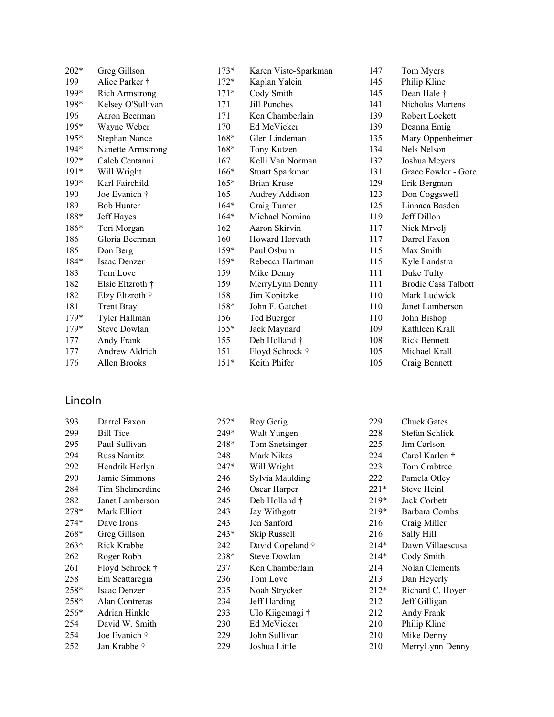| $202*$ | Greg Gillson          | $173*$ | Karen Viste-Sparkman | 147 | Tom Myers                  |
|--------|-----------------------|--------|----------------------|-----|----------------------------|
| 199    | Alice Parker †        | $172*$ | Kaplan Yalcin        | 145 | Philip Kline               |
| 199*   | <b>Rich Armstrong</b> | $171*$ | Cody Smith           | 145 | Dean Hale †                |
| 198*   | Kelsey O'Sullivan     | 171    | Jill Punches         | 141 | Nicholas Martens           |
| 196    | Aaron Beerman         | 171    | Ken Chamberlain      | 139 | Robert Lockett             |
| $195*$ | Wayne Weber           | 170    | Ed McVicker          | 139 | Deanna Emig                |
| $195*$ | Stephan Nance         | $168*$ | Glen Lindeman        | 135 | Mary Oppenheimer           |
| 194*   | Nanette Armstrong     | $168*$ | Tony Kutzen          | 134 | Nels Nelson                |
| $192*$ | Caleb Centanni        | 167    | Kelli Van Norman     | 132 | Joshua Meyers              |
| $191*$ | Will Wright           | $166*$ | Stuart Sparkman      | 131 | Grace Fowler - Gore        |
| 190*   | Karl Fairchild        | $165*$ | <b>Brian Kruse</b>   | 129 | Erik Bergman               |
| 190    | Joe Evanich †         | 165    | Audrey Addison       | 123 | Don Coggswell              |
| 189    | <b>Bob Hunter</b>     | $164*$ | Craig Tumer          | 125 | Linnaea Basden             |
| 188*   | Jeff Hayes            | $164*$ | Michael Nomina       | 119 | Jeff Dillon                |
| $186*$ | Tori Morgan           | 162    | Aaron Skirvin        | 117 | Nick Mrvelj                |
| 186    | Gloria Beerman        | 160    | Howard Horvath       | 117 | Darrel Faxon               |
| 185    | Don Berg              | $159*$ | Paul Osburn          | 115 | Max Smith                  |
| 184*   | Isaac Denzer          | $159*$ | Rebecca Hartman      | 115 | Kyle Landstra              |
| 183    | Tom Love              | 159    | Mike Denny           | 111 | Duke Tufty                 |
| 182    | Elsie Eltzroth †      | 159    | MerryLynn Denny      | 111 | <b>Brodie Cass Talbott</b> |
| 182    | Elzy Eltzroth †       | 158    | Jim Kopitzke         | 110 | Mark Ludwick               |
| 181    | <b>Trent Bray</b>     | 158*   | John F. Gatchet      | 110 | Janet Lamberson            |
| $179*$ | Tyler Hallman         | 156    | Ted Buerger          | 110 | John Bishop                |
| $179*$ | <b>Steve Dowlan</b>   | $155*$ | Jack Maynard         | 109 | Kathleen Krall             |
| 177    | Andy Frank            | 155    | Deb Holland †        | 108 | <b>Rick Bennett</b>        |
| 177    | Andrew Aldrich        | 151    | Floyd Schrock †      | 105 | Michael Krall              |
| 176    | Allen Brooks          | $151*$ | Keith Phifer         | 105 | Craig Bennett              |

### Lincoln

| 393    | Darrel Faxon       | $252*$ | Roy Gerig           | 229    | <b>Chuck Gates</b> |
|--------|--------------------|--------|---------------------|--------|--------------------|
| 299    | <b>Bill Tice</b>   | 249*   | Walt Yungen         | 228    | Stefan Schlick     |
| 295    | Paul Sullivan      | 248*   | Tom Snetsinger      | 225    | Jim Carlson        |
| 294    | <b>Russ Namitz</b> | 248    | Mark Nikas          | 224    | Carol Karlen †     |
| 292    | Hendrik Herlyn     | 247*   | Will Wright         | 223    | Tom Crabtree       |
| 290    | Jamie Simmons      | 246    | Sylvia Maulding     | 222    | Pamela Otley       |
| 284    | Tim Shelmerdine    | 246    | Oscar Harper        | $221*$ | Steve Heinl        |
| 282    | Janet Lamberson    | 245    | Deb Holland †       | $219*$ | Jack Corbett       |
| 278*   | Mark Elliott       | 243    | Jay Withgott        | $219*$ | Barbara Combs      |
| $274*$ | Dave Irons         | 243    | Jen Sanford         | 216    | Craig Miller       |
| 268*   | Greg Gillson       | $243*$ | Skip Russell        | 216    | Sally Hill         |
| $263*$ | Rick Krabbe        | 242    | David Copeland †    | $214*$ | Dawn Villaescusa   |
| 262    | Roger Robb         | 238*   | <b>Steve Dowlan</b> | $214*$ | Cody Smith         |
| 261    | Floyd Schrock †    | 237    | Ken Chamberlain     | 214    | Nolan Clements     |
| 258    | Em Scattaregia     | 236    | Tom Love            | 213    | Dan Heyerly        |
| 258*   | Isaac Denzer       | 235    | Noah Strycker       | $212*$ | Richard C. Hoyer   |
| 258*   | Alan Contreras     | 234    | Jeff Harding        | 212    | Jeff Gilligan      |
| 256*   | Adrian Hinkle      | 233    | Ulo Kiigemagi †     | 212    | Andy Frank         |
| 254    | David W. Smith     | 230    | Ed McVicker         | 210    | Philip Kline       |
| 254    | Joe Evanich †      | 229    | John Sullivan       | 210    | Mike Denny         |
| 252    | Jan Krabbe †       | 229    | Joshua Little       | 210    | MerryLynn Denny    |
|        |                    |        |                     |        |                    |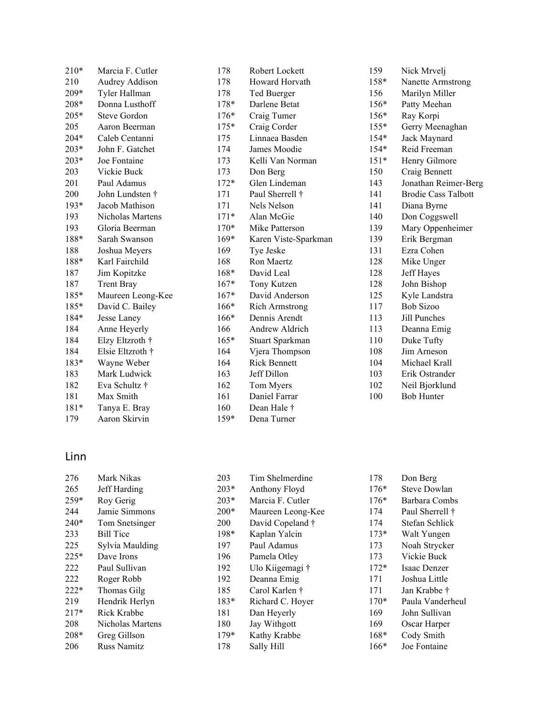| $210*$ | Marcia F. Cutler  | 178    | Robert Lockett        |
|--------|-------------------|--------|-----------------------|
| 210    | Audrey Addison    | 178    | Howard Horvath        |
| 209*   | Tyler Hallman     | 178    | Ted Buerger           |
| 208*   | Donna Lusthoff    | $178*$ | Darlene Betat         |
| $205*$ | Steve Gordon      | $176*$ | Craig Tumer           |
| 205    | Aaron Beerman     | $175*$ | Craig Corder          |
| $204*$ | Caleb Centanni    | 175    | Linnaea Basden        |
| $203*$ | John F. Gatchet   | 174    | James Moodie          |
| $203*$ | Joe Fontaine      | 173    | Kelli Van Norman      |
| 203    | Vickie Buck       | 173    | Don Berg              |
| 201    | Paul Adamus       | $172*$ | Glen Lindeman         |
| 200    | John Lundsten †   | 171    | Paul Sherrell †       |
| $193*$ | Jacob Mathison    | 171    | Nels Nelson           |
| 193    | Nicholas Martens  | $171*$ | Alan McGie            |
| 193    | Gloria Beerman    | $170*$ | Mike Patterson        |
| 188*   | Sarah Swanson     | $169*$ | Karen Viste-Sparkman  |
| 188    | Joshua Meyers     | 169    | Tye Jeske             |
| 188*   | Karl Fairchild    | 168    | Ron Maertz            |
| 187    | Jim Kopitzke      | $168*$ | David Leal            |
| 187    | <b>Trent Bray</b> | $167*$ | Tony Kutzen           |
| 185*   | Maureen Leong-Kee | $167*$ | David Anderson        |
| 185*   | David C. Bailey   | $166*$ | <b>Rich Armstrong</b> |
| 184*   | Jesse Laney       | $166*$ | Dennis Arendt         |
| 184    | Anne Heyerly      | 166    | Andrew Aldrich        |
| 184    | Elzy Eltzroth †   | $165*$ | Stuart Sparkman       |
| 184    | Elsie Eltzroth †  | 164    | Vjera Thompson        |
| $183*$ | Wayne Weber       | 164    | <b>Rick Bennett</b>   |
| 183    | Mark Ludwick      | 163    | Jeff Dillon           |
| 182    | Eva Schultz †     | 162    | Tom Myers             |
| 181    | Max Smith         | 161    | Daniel Farrar         |
| 181*   | Tanya E. Bray     | 160    | Dean Hale †           |
| 179    | Aaron Skirvin     | 159*   | Dena Turner           |

| 159    | Nick Mrvelj                |
|--------|----------------------------|
| 158*   | Nanette Armstrong          |
| 156    | Marilyn Miller             |
| 156*   | Patty Meehan               |
| 156*   | Ray Korpi                  |
| $155*$ | Gerry Meenaghan            |
| $154*$ | Jack Maynard               |
| 154*   | Reid Freeman               |
| $151*$ | Henry Gilmore              |
| 150    | Craig Bennett              |
| 143    | Jonathan Reimer-Berg       |
| 141    | <b>Brodie Cass Talbott</b> |
| 141    | Diana Byrne                |
| 140    | Don Coggswell              |
| 139    | Mary Oppenheimer           |
| 139    | Erik Bergman               |
| 131    | Ezra Cohen                 |
| 128    | Mike Unger                 |
| 128    | Jeff Hayes                 |
| 128    | John Bishop                |
| 125    | Kyle Landstra              |
| 117    | <b>Bob Sizoo</b>           |
| 113    | Jill Punches               |
| 113    | Deanna Emig                |
| 110    | Duke Tufty                 |
| 108    | Jim Arneson                |
| 104    | Michael Krall              |
| 103    | Erik Ostrander             |
| 102    | Neil Bjorklund             |
| 100    | <b>Bob Hunter</b>          |
|        |                            |

## Linn

| 276    | Mark Nikas       | 203        | Tim Shelmerdine   | 178    | Don Berg            |
|--------|------------------|------------|-------------------|--------|---------------------|
| 265    | Jeff Harding     | $203*$     | Anthony Floyd     | $176*$ | <b>Steve Dowlan</b> |
| $259*$ | Roy Gerig        | $203*$     | Marcia F. Cutler  | $176*$ | Barbara Combs       |
| 244    | Jamie Simmons    | $200*$     | Maureen Leong-Kee | 174    | Paul Sherrell †     |
| $240*$ | Tom Snetsinger   | <b>200</b> | David Copeland †  | 174    | Stefan Schlick      |
| 233    | <b>Bill Tice</b> | $198*$     | Kaplan Yalcin     | $173*$ | Walt Yungen         |
| 225    | Sylvia Maulding  | 197        | Paul Adamus       | 173    | Noah Strycker       |
| $225*$ | Dave Irons       | 196        | Pamela Otley      | 173    | Vickie Buck         |
| 222    | Paul Sullivan    | 192        | Ulo Kiigemagi †   | $172*$ | Isaac Denzer        |
| 222    | Roger Robb       | 192        | Deanna Emig       | 171    | Joshua Little       |
| $222*$ | Thomas Gilg      | 185        | Carol Karlen †    | 171    | Jan Krabbe †        |
| 219    | Hendrik Herlyn   | $183*$     | Richard C. Hoyer  | $170*$ | Paula Vanderheul    |
| $217*$ | Rick Krabbe      | 181        | Dan Heyerly       | 169    | John Sullivan       |
| 208    | Nicholas Martens | 180        | Jay Withgott      | 169    | Oscar Harper        |
| $208*$ | Greg Gillson     | $179*$     | Kathy Krabbe      | $168*$ | Cody Smith          |
| 206    | Russ Namitz      | 178        | Sally Hill        | $166*$ | Joe Fontaine        |
|        |                  |            |                   |        |                     |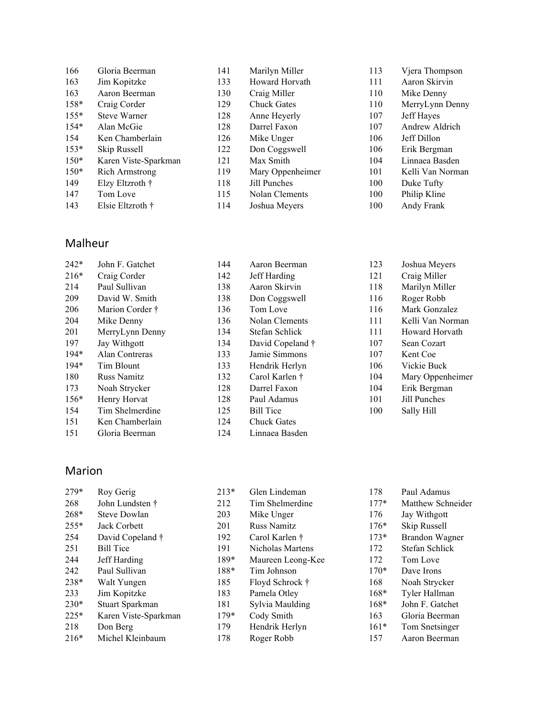| 166    | Gloria Beerman        | 141 | Marilyn Miller     | 113 | Vjera Thompson   |
|--------|-----------------------|-----|--------------------|-----|------------------|
| 163    | Jim Kopitzke          | 133 | Howard Horvath     | 111 | Aaron Skirvin    |
| 163    | Aaron Beerman         | 130 | Craig Miller       | 110 | Mike Denny       |
| $158*$ | Craig Corder          | 129 | <b>Chuck Gates</b> | 110 | MerryLynn Denny  |
| $155*$ | <b>Steve Warner</b>   | 128 | Anne Heyerly       | 107 | Jeff Hayes       |
| $154*$ | Alan McGie            | 128 | Darrel Faxon       | 107 | Andrew Aldrich   |
| 154    | Ken Chamberlain       | 126 | Mike Unger         | 106 | Jeff Dillon      |
| $153*$ | Skip Russell          | 122 | Don Coggswell      | 106 | Erik Bergman     |
| $150*$ | Karen Viste-Sparkman  | 121 | Max Smith          | 104 | Linnaea Basden   |
| $150*$ | <b>Rich Armstrong</b> | 119 | Mary Oppenheimer   | 101 | Kelli Van Norman |
| 149    | Elzy Eltzroth †       | 118 | Jill Punches       | 100 | Duke Tufty       |
| 147    | Tom Love              | 115 | Nolan Clements     | 100 | Philip Kline     |
| 143    | Elsie Eltzroth †      | 114 | Joshua Meyers      | 100 | Andy Frank       |

#### Malheur

| $242*$ | John F. Gatchet    | 144 | Aaron Beerman      | 123 | Joshua Meyers    |
|--------|--------------------|-----|--------------------|-----|------------------|
| $216*$ | Craig Corder       | 142 | Jeff Harding       | 121 | Craig Miller     |
| 214    | Paul Sullivan      | 138 | Aaron Skirvin      | 118 | Marilyn Miller   |
| 209    | David W. Smith     | 138 | Don Coggswell      | 116 | Roger Robb       |
| 206    | Marion Corder †    | 136 | Tom Love           | 116 | Mark Gonzalez    |
| 204    | Mike Denny         | 136 | Nolan Clements     | 111 | Kelli Van Norman |
| 201    | MerryLynn Denny    | 134 | Stefan Schlick     | 111 | Howard Horvath   |
| 197    | Jay Withgott       | 134 | David Copeland †   | 107 | Sean Cozart      |
| $194*$ | Alan Contreras     | 133 | Jamie Simmons      | 107 | Kent Coe         |
| $194*$ | Tim Blount         | 133 | Hendrik Herlyn     | 106 | Vickie Buck      |
| 180    | <b>Russ Namitz</b> | 132 | Carol Karlen †     | 104 | Mary Oppenheimer |
| 173    | Noah Strycker      | 128 | Darrel Faxon       | 104 | Erik Bergman     |
| $156*$ | Henry Horvat       | 128 | Paul Adamus        | 101 | Jill Punches     |
| 154    | Tim Shelmerdine    | 125 | <b>Bill Tice</b>   | 100 | Sally Hill       |
| 151    | Ken Chamberlain    | 124 | <b>Chuck Gates</b> |     |                  |
| 151    | Gloria Beerman     | 124 | Linnaea Basden     |     |                  |

### Marion

| Roy Gerig            | $213*$ | Glen Lindeman      | 178    | Paul Adamus       |
|----------------------|--------|--------------------|--------|-------------------|
| John Lundsten †      | 212    | Tim Shelmerdine    | $177*$ | Matthew Schneider |
| <b>Steve Dowlan</b>  | 203    | Mike Unger         | 176    | Jay Withgott      |
| Jack Corbett         | 201    | <b>Russ Namitz</b> | $176*$ | Skip Russell      |
| David Copeland †     | 192    | Carol Karlen †     | $173*$ | Brandon Wagner    |
| <b>Bill Tice</b>     | 191    | Nicholas Martens   | 172    | Stefan Schlick    |
| Jeff Harding         | 189*   | Maureen Leong-Kee  | 172    | Tom Love          |
| Paul Sullivan        | 188*   | Tim Johnson        | $170*$ | Dave Irons        |
| Walt Yungen          | 185    | Floyd Schrock †    | 168    | Noah Strycker     |
| Jim Kopitzke         | 183    | Pamela Otley       | $168*$ | Tyler Hallman     |
| Stuart Sparkman      | 181    | Sylvia Maulding    | $168*$ | John F. Gatchet   |
| Karen Viste-Sparkman | $179*$ | Cody Smith         | 163    | Gloria Beerman    |
| Don Berg             | 179    | Hendrik Herlyn     | $161*$ | Tom Snetsinger    |
| Michel Kleinbaum     | 178    | Roger Robb         | 157    | Aaron Beerman     |
|                      |        |                    |        |                   |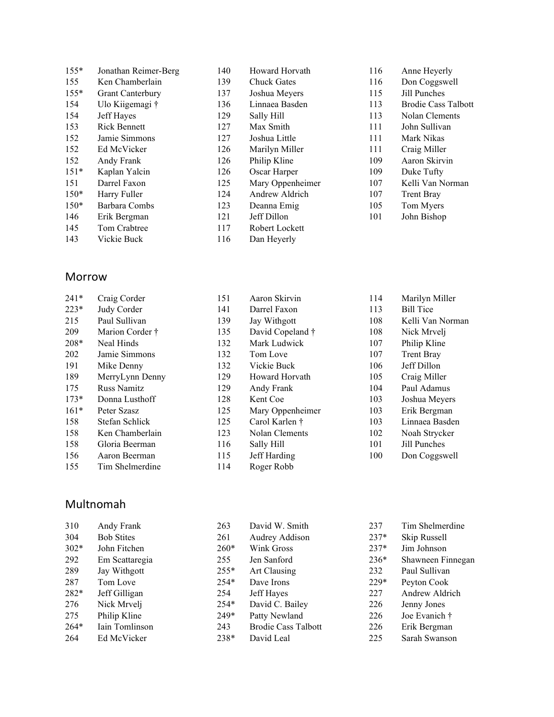| $155*$ | Jonathan Reimer-Berg    |
|--------|-------------------------|
| 155    | Ken Chamberlain         |
| 155*   | <b>Grant Canterbury</b> |
| 154    | Ulo Kiigemagi †         |
| 154    | Jeff Hayes              |
| 153    | <b>Rick Bennett</b>     |
| 152    | Jamie Simmons           |
| 152    | Ed McVicker             |
| 152    | Andy Frank              |
| $151*$ | Kaplan Yalcin           |
| 151    | Darrel Faxon            |
| 150*   | Harry Fuller            |
| $150*$ | Barbara Combs           |
| 146    | Erik Bergman            |
| 145    | Tom Crabtree            |
| 143    | Vickie Buck             |

#### Morrow

| $241*$ | Craig Corder       | 151 | Aaron Skirvin    | 114 | Marilyn Miller    |
|--------|--------------------|-----|------------------|-----|-------------------|
| $223*$ | Judy Corder        | 141 | Darrel Faxon     | 113 | <b>Bill Tice</b>  |
| 215    | Paul Sullivan      | 139 | Jay Withgott     | 108 | Kelli Van Norman  |
| 209    | Marion Corder †    | 135 | David Copeland † | 108 | Nick Mrvelj       |
| $208*$ | Neal Hinds         | 132 | Mark Ludwick     | 107 | Philip Kline      |
| 202    | Jamie Simmons      | 132 | Tom Love         | 107 | <b>Trent Bray</b> |
| 191    | Mike Denny         | 132 | Vickie Buck      | 106 | Jeff Dillon       |
| 189    | MerryLynn Denny    | 129 | Howard Horvath   | 105 | Craig Miller      |
| 175    | <b>Russ Namitz</b> | 129 | Andy Frank       | 104 | Paul Adamus       |
| $173*$ | Donna Lusthoff     | 128 | Kent Coe         | 103 | Joshua Meyers     |
| $161*$ | Peter Szasz        | 125 | Mary Oppenheimer | 103 | Erik Bergman      |
| 158    | Stefan Schlick     | 125 | Carol Karlen †   | 103 | Linnaea Basden    |
| 158    | Ken Chamberlain    | 123 | Nolan Clements   | 102 | Noah Strycker     |
| 158    | Gloria Beerman     | 116 | Sally Hill       | 101 | Jill Punches      |
| 156    | Aaron Beerman      | 115 | Jeff Harding     | 100 | Don Coggswell     |
| 155    | Tim Shelmerdine    | 114 | Roger Robb       |     |                   |

 Howard Horvath Chuck Gates Joshua Meyers Linnaea Basden Sally Hill Max Smith Joshua Little Marilyn Miller Philip Kline Oscar Harper Mary Oppenheimer Andrew Aldrich Deanna Emig Jeff Dillon Robert Lockett Dan Heyerly

 Anne Heyerly Don Coggswell Jill Punches

 Brodie Cass Talbott Nolan Clements John Sullivan Mark Nikas Craig Miller Aaron Skirvin Duke Tufty Kelli Van Norman Trent Bray Tom Myers John Bishop

#### Multnomah

| 310    | Andy Frank        | 263    | David W. Smith             | 237    | Tim Shelmerdine   |
|--------|-------------------|--------|----------------------------|--------|-------------------|
| 304    | <b>Bob Stites</b> | 261    | Audrey Addison             | $237*$ | Skip Russell      |
| $302*$ | John Fitchen      | $260*$ | Wink Gross                 | $237*$ | Jim Johnson       |
| 292    | Em Scattaregia    | 255    | Jen Sanford                | $236*$ | Shawneen Finnegan |
| 289    | Jay Withgott      | $255*$ | Art Clausing               | 232    | Paul Sullivan     |
| 287    | Tom Love          | $254*$ | Dave Irons                 | $229*$ | Peyton Cook       |
| 282*   | Jeff Gilligan     | 254    | Jeff Hayes                 | 227    | Andrew Aldrich    |
| 276    | Nick Mrvelj       | $254*$ | David C. Bailey            | 226    | Jenny Jones       |
| 275    | Philip Kline      | 249*   | Patty Newland              | 226    | Joe Evanich †     |
| $264*$ | Iain Tomlinson    | 243    | <b>Brodie Cass Talbott</b> | 226    | Erik Bergman      |
| 264    | Ed McVicker       | 238*   | David Leal                 | 225    | Sarah Swanson     |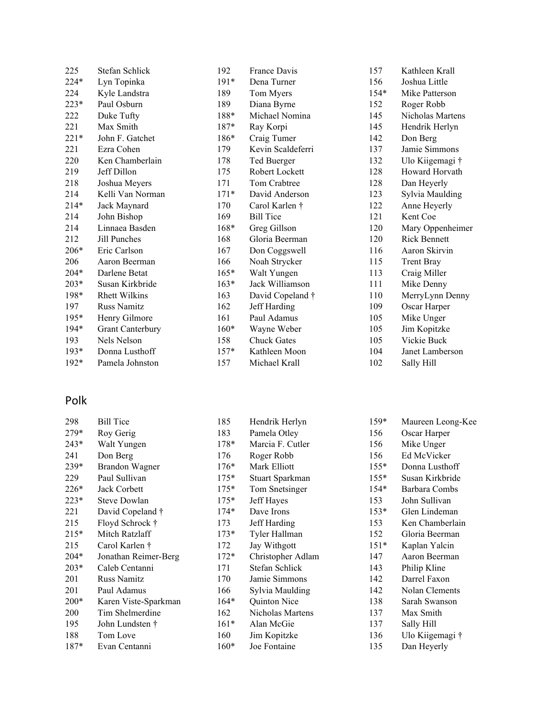| 225    | Stefan Schlick          | 192    | France Davis       | 157    | Kathleen Krall      |
|--------|-------------------------|--------|--------------------|--------|---------------------|
| 224*   | Lyn Topinka             | $191*$ | Dena Turner        | 156    | Joshua Little       |
| 224    | Kyle Landstra           | 189    | Tom Myers          | $154*$ | Mike Patterson      |
| $223*$ | Paul Osburn             | 189    | Diana Byrne        | 152    | Roger Robb          |
| 222    | Duke Tufty              | 188*   | Michael Nomina     | 145    | Nicholas Martens    |
| 221    | Max Smith               | 187*   | Ray Korpi          | 145    | Hendrik Herlyn      |
| $221*$ | John F. Gatchet         | 186*   | Craig Tumer        | 142    | Don Berg            |
| 221    | Ezra Cohen              | 179    | Kevin Scaldeferri  | 137    | Jamie Simmons       |
| 220    | Ken Chamberlain         | 178    | Ted Buerger        | 132    | Ulo Kiigemagi †     |
| 219    | Jeff Dillon             | 175    | Robert Lockett     | 128    | Howard Horvath      |
| 218    | Joshua Meyers           | 171    | Tom Crabtree       | 128    | Dan Heyerly         |
| 214    | Kelli Van Norman        | $171*$ | David Anderson     | 123    | Sylvia Maulding     |
| $214*$ | Jack Maynard            | 170    | Carol Karlen †     | 122    | Anne Heyerly        |
| 214    | John Bishop             | 169    | <b>Bill Tice</b>   | 121    | Kent Coe            |
| 214    | Linnaea Basden          | 168*   | Greg Gillson       | 120    | Mary Oppenheimer    |
| 212    | Jill Punches            | 168    | Gloria Beerman     | 120    | <b>Rick Bennett</b> |
| $206*$ | Eric Carlson            | 167    | Don Coggswell      | 116    | Aaron Skirvin       |
| 206    | Aaron Beerman           | 166    | Noah Strycker      | 115    | <b>Trent Bray</b>   |
| 204*   | Darlene Betat           | $165*$ | Walt Yungen        | 113    | Craig Miller        |
| $203*$ | Susan Kirkbride         | $163*$ | Jack Williamson    | 111    | Mike Denny          |
| 198*   | <b>Rhett Wilkins</b>    | 163    | David Copeland †   | 110    | MerryLynn Denny     |
| 197    | <b>Russ Namitz</b>      | 162    | Jeff Harding       | 109    | Oscar Harper        |
| $195*$ | Henry Gilmore           | 161    | Paul Adamus        | 105    | Mike Unger          |
| $194*$ | <b>Grant Canterbury</b> | $160*$ | Wayne Weber        | 105    | Jim Kopitzke        |
| 193    | Nels Nelson             | 158    | <b>Chuck Gates</b> | 105    | Vickie Buck         |
| $193*$ | Donna Lusthoff          | $157*$ | Kathleen Moon      | 104    | Janet Lamberson     |
| $192*$ | Pamela Johnston         | 157    | Michael Krall      | 102    | Sally Hill          |

### Polk

| 298    | <b>Bill Tice</b>     | 185    | Hendrik Herlyn    | $159*$ | Maureen Leong-Kee |
|--------|----------------------|--------|-------------------|--------|-------------------|
| $279*$ | Roy Gerig            | 183    | Pamela Otley      | 156    | Oscar Harper      |
| $243*$ | Walt Yungen          | 178*   | Marcia F. Cutler  | 156    | Mike Unger        |
| 241    | Don Berg             | 176    | Roger Robb        | 156    | Ed McVicker       |
| 239*   | Brandon Wagner       | $176*$ | Mark Elliott      | $155*$ | Donna Lusthoff    |
| 229    | Paul Sullivan        | $175*$ | Stuart Sparkman   | $155*$ | Susan Kirkbride   |
| 226*   | Jack Corbett         | $175*$ | Tom Snetsinger    | $154*$ | Barbara Combs     |
| $223*$ | <b>Steve Dowlan</b>  | $175*$ | Jeff Hayes        | 153    | John Sullivan     |
| 221    | David Copeland †     | $174*$ | Dave Irons        | $153*$ | Glen Lindeman     |
| 215    | Floyd Schrock †      | 173    | Jeff Harding      | 153    | Ken Chamberlain   |
| $215*$ | Mitch Ratzlaff       | $173*$ | Tyler Hallman     | 152    | Gloria Beerman    |
| 215    | Carol Karlen †       | 172    | Jay Withgott      | $151*$ | Kaplan Yalcin     |
| 204*   | Jonathan Reimer-Berg | $172*$ | Christopher Adlam | 147    | Aaron Beerman     |
| $203*$ | Caleb Centanni       | 171    | Stefan Schlick    | 143    | Philip Kline      |
| 201    | Russ Namitz          | 170    | Jamie Simmons     | 142    | Darrel Faxon      |
| 201    | Paul Adamus          | 166    | Sylvia Maulding   | 142    | Nolan Clements    |
| $200*$ | Karen Viste-Sparkman | $164*$ | Quinton Nice      | 138    | Sarah Swanson     |
| 200    | Tim Shelmerdine      | 162    | Nicholas Martens  | 137    | Max Smith         |
| 195    | John Lundsten †      | $161*$ | Alan McGie        | 137    | Sally Hill        |
| 188    | Tom Love             | 160    | Jim Kopitzke      | 136    | Ulo Kiigemagi †   |
| 187*   | Evan Centanni        | $160*$ | Joe Fontaine      | 135    | Dan Heyerly       |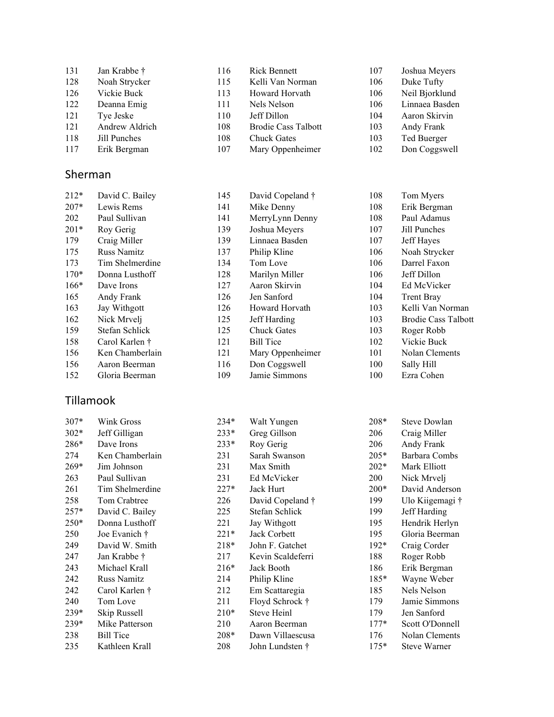| 131 | Jan Krabbe †   | 116 | <b>Rick Bennett</b>        | 107 | Joshua Meyers  |
|-----|----------------|-----|----------------------------|-----|----------------|
| 128 | Noah Strycker  | 115 | Kelli Van Norman           | 106 | Duke Tufty     |
| 126 | Vickie Buck    | 113 | Howard Horvath             | 106 | Neil Bjorklund |
| 122 | Deanna Emig    | 111 | Nels Nelson                | 106 | Linnaea Basden |
| 121 | Tye Jeske      | 110 | Jeff Dillon                | 104 | Aaron Skirvin  |
| 121 | Andrew Aldrich | 108 | <b>Brodie Cass Talbott</b> | 103 | Andy Frank     |
| 118 | Jill Punches   | 108 | <b>Chuck Gates</b>         | 103 | Ted Buerger    |
| 117 | Erik Bergman   | 107 | Mary Oppenheimer           | 102 | Don Coggswell  |

#### Sherman

| $212*$ | David C. Bailey    | 145 | David Copeland †   | 108 | Tom Myers                  |
|--------|--------------------|-----|--------------------|-----|----------------------------|
| $207*$ | Lewis Rems         | 141 | Mike Denny         | 108 | Erik Bergman               |
| 202    | Paul Sullivan      | 141 | MerryLynn Denny    | 108 | Paul Adamus                |
| $201*$ | Roy Gerig          | 139 | Joshua Meyers      | 107 | Jill Punches               |
| 179    | Craig Miller       | 139 | Linnaea Basden     | 107 | Jeff Hayes                 |
| 175    | <b>Russ Namitz</b> | 137 | Philip Kline       | 106 | Noah Strycker              |
| 173    | Tim Shelmerdine    | 134 | Tom Love           | 106 | Darrel Faxon               |
| $170*$ | Donna Lusthoff     | 128 | Marilyn Miller     | 106 | Jeff Dillon                |
| $166*$ | Dave Irons         | 127 | Aaron Skirvin      | 104 | Ed McVicker                |
| 165    | Andy Frank         | 126 | Jen Sanford        | 104 | <b>Trent Bray</b>          |
| 163    | Jay Withgott       | 126 | Howard Horvath     | 103 | Kelli Van Norman           |
| 162    | Nick Mrvelj        | 125 | Jeff Harding       | 103 | <b>Brodie Cass Talbott</b> |
| 159    | Stefan Schlick     | 125 | <b>Chuck Gates</b> | 103 | Roger Robb                 |
| 158    | Carol Karlen †     | 121 | <b>Bill Tice</b>   | 102 | Vickie Buck                |
| 156    | Ken Chamberlain    | 121 | Mary Oppenheimer   | 101 | Nolan Clements             |
| 156    | Aaron Beerman      | 116 | Don Coggswell      | 100 | Sally Hill                 |
| 152    | Gloria Beerman     | 109 | Jamie Simmons      | 100 | Ezra Cohen                 |
|        |                    |     |                    |     |                            |

### Tillamook

| $307*$ | Wink Gross         | $234*$ | Walt Yungen       | 208*   | Steve Dowlan    |
|--------|--------------------|--------|-------------------|--------|-----------------|
| $302*$ | Jeff Gilligan      | $233*$ | Greg Gillson      | 206    | Craig Miller    |
| 286*   | Dave Irons         | $233*$ | Roy Gerig         | 206    | Andy Frank      |
| 274    | Ken Chamberlain    | 231    | Sarah Swanson     | $205*$ | Barbara Combs   |
| $269*$ | Jim Johnson        | 231    | Max Smith         | $202*$ | Mark Elliott    |
| 263    | Paul Sullivan      | 231    | Ed McVicker       | 200    | Nick Mrvelj     |
| 261    | Tim Shelmerdine    | $227*$ | Jack Hurt         | $200*$ | David Anderson  |
| 258    | Tom Crabtree       | 226    | David Copeland †  | 199    | Ulo Kiigemagi † |
| $257*$ | David C. Bailey    | 225    | Stefan Schlick    | 199    | Jeff Harding    |
| $250*$ | Donna Lusthoff     | 221    | Jay Withgott      | 195    | Hendrik Herlyn  |
| 250    | Joe Evanich †      | $221*$ | Jack Corbett      | 195    | Gloria Beerman  |
| 249    | David W. Smith     | $218*$ | John F. Gatchet   | $192*$ | Craig Corder    |
| 247    | Jan Krabbe †       | 217    | Kevin Scaldeferri | 188    | Roger Robb      |
| 243    | Michael Krall      | $216*$ | Jack Booth        | 186    | Erik Bergman    |
| 242    | <b>Russ Namitz</b> | 214    | Philip Kline      | $185*$ | Wayne Weber     |
| 242    | Carol Karlen †     | 212    | Em Scattaregia    | 185    | Nels Nelson     |
| 240    | Tom Love           | 211    | Floyd Schrock †   | 179    | Jamie Simmons   |
| $239*$ | Skip Russell       | $210*$ | Steve Heinl       | 179    | Jen Sanford     |
| 239*   | Mike Patterson     | 210    | Aaron Beerman     | $177*$ | Scott O'Donnell |
| 238    | <b>Bill Tice</b>   | $208*$ | Dawn Villaescusa  | 176    | Nolan Clements  |
| 235    | Kathleen Krall     | 208    | John Lundsten †   | $175*$ | Steve Warner    |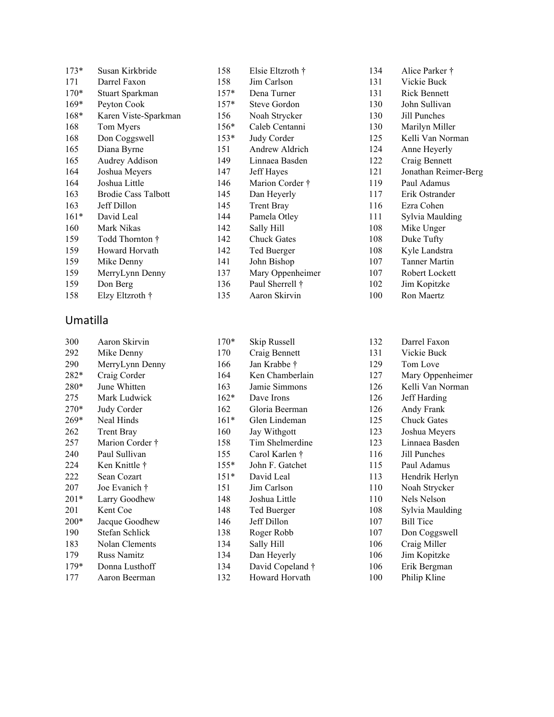| $173*$ | Susan Kirkbride            | 158    | Elsie Eltzroth †   | 134 | Alice Parker †       |
|--------|----------------------------|--------|--------------------|-----|----------------------|
| 171    | Darrel Faxon               | 158    | Jim Carlson        | 131 | Vickie Buck          |
| $170*$ | Stuart Sparkman            | $157*$ | Dena Turner        | 131 | <b>Rick Bennett</b>  |
| $169*$ | Peyton Cook                | $157*$ | Steve Gordon       | 130 | John Sullivan        |
| 168*   | Karen Viste-Sparkman       | 156    | Noah Strycker      | 130 | Jill Punches         |
| 168    | Tom Myers                  | $156*$ | Caleb Centanni     | 130 | Marilyn Miller       |
| 168    | Don Coggswell              | $153*$ | Judy Corder        | 125 | Kelli Van Norman     |
| 165    | Diana Byrne                | 151    | Andrew Aldrich     | 124 | Anne Heyerly         |
| 165    | Audrey Addison             | 149    | Linnaea Basden     | 122 | Craig Bennett        |
| 164    | Joshua Meyers              | 147    | Jeff Hayes         | 121 | Jonathan Reimer-Berg |
| 164    | Joshua Little              | 146    | Marion Corder †    | 119 | Paul Adamus          |
| 163    | <b>Brodie Cass Talbott</b> | 145    | Dan Heyerly        | 117 | Erik Ostrander       |
| 163    | Jeff Dillon                | 145    | <b>Trent Bray</b>  | 116 | Ezra Cohen           |
| $161*$ | David Leal                 | 144    | Pamela Otley       | 111 | Sylvia Maulding      |
| 160    | Mark Nikas                 | 142    | Sally Hill         | 108 | Mike Unger           |
| 159    | Todd Thornton †            | 142    | <b>Chuck Gates</b> | 108 | Duke Tufty           |
| 159    | Howard Horvath             | 142    | Ted Buerger        | 108 | Kyle Landstra        |
| 159    | Mike Denny                 | 141    | John Bishop        | 107 | Tanner Martin        |
| 159    | MerryLynn Denny            | 137    | Mary Oppenheimer   | 107 | Robert Lockett       |
| 159    | Don Berg                   | 136    | Paul Sherrell †    | 102 | Jim Kopitzke         |
| 158    | Elzy Eltzroth †            | 135    | Aaron Skirvin      | 100 | Ron Maertz           |

### Umatilla

| 300    | Aaron Skirvin     | $170*$ | Skip Russell     | 132 | Darrel Faxon       |
|--------|-------------------|--------|------------------|-----|--------------------|
| 292    | Mike Denny        | 170    | Craig Bennett    | 131 | Vickie Buck        |
| 290    | MerryLynn Denny   | 166    | Jan Krabbe †     | 129 | Tom Love           |
| 282*   | Craig Corder      | 164    | Ken Chamberlain  | 127 | Mary Oppenheimer   |
| 280*   | June Whitten      | 163    | Jamie Simmons    | 126 | Kelli Van Norman   |
| 275    | Mark Ludwick      | $162*$ | Dave Irons       | 126 | Jeff Harding       |
| 270*   | Judy Corder       | 162    | Gloria Beerman   | 126 | Andy Frank         |
| 269*   | Neal Hinds        | $161*$ | Glen Lindeman    | 125 | <b>Chuck Gates</b> |
| 262    | <b>Trent Bray</b> | 160    | Jay Withgott     | 123 | Joshua Meyers      |
| 257    | Marion Corder †   | 158    | Tim Shelmerdine  | 123 | Linnaea Basden     |
| 240    | Paul Sullivan     | 155    | Carol Karlen †   | 116 | Jill Punches       |
| 224    | Ken Knittle †     | $155*$ | John F. Gatchet  | 115 | Paul Adamus        |
| 222    | Sean Cozart       | $151*$ | David Leal       | 113 | Hendrik Herlyn     |
| 207    | Joe Evanich †     | 151    | Jim Carlson      | 110 | Noah Strycker      |
| $201*$ | Larry Goodhew     | 148    | Joshua Little    | 110 | Nels Nelson        |
| 201    | Kent Coe          | 148    | Ted Buerger      | 108 | Sylvia Maulding    |
| $200*$ | Jacque Goodhew    | 146    | Jeff Dillon      | 107 | <b>Bill Tice</b>   |
| 190    | Stefan Schlick    | 138    | Roger Robb       | 107 | Don Coggswell      |
| 183    | Nolan Clements    | 134    | Sally Hill       | 106 | Craig Miller       |
| 179    | Russ Namitz       | 134    | Dan Heyerly      | 106 | Jim Kopitzke       |
| $179*$ | Donna Lusthoff    | 134    | David Copeland † | 106 | Erik Bergman       |
| 177    | Aaron Beerman     | 132    | Howard Horvath   | 100 | Philip Kline       |
|        |                   |        |                  |     |                    |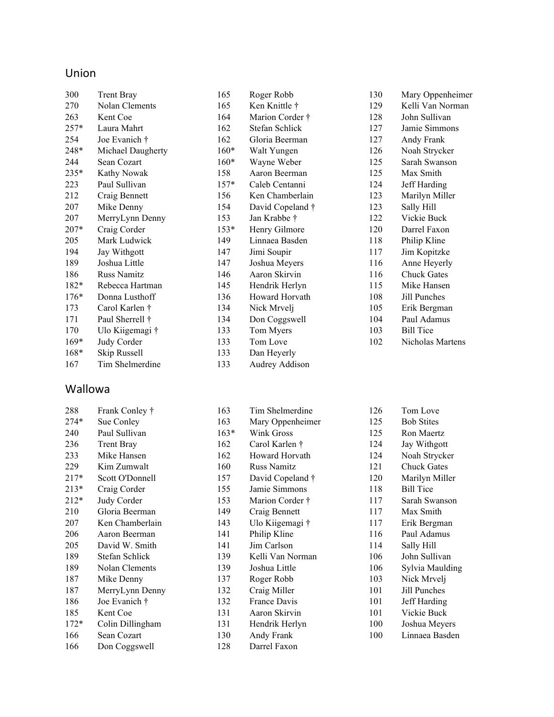### Union

| 300    | <b>Trent Bray</b>  | 165    | Roger Robb       |
|--------|--------------------|--------|------------------|
| 270    | Nolan Clements     | 165    | Ken Knittle †    |
| 263    | Kent Coe           | 164    | Marion Corder †  |
| $257*$ | Laura Mahrt        | 162    | Stefan Schlick   |
| 254    | Joe Evanich †      | 162    | Gloria Beerman   |
| 248*   | Michael Daugherty  | $160*$ | Walt Yungen      |
| 244    | Sean Cozart        | $160*$ | Wayne Weber      |
| 235*   | Kathy Nowak        | 158    | Aaron Beerman    |
| 223    | Paul Sullivan      | $157*$ | Caleb Centanni   |
| 212    | Craig Bennett      | 156    | Ken Chamberlain  |
| 207    | Mike Denny         | 154    | David Copeland † |
| 207    | MerryLynn Denny    | 153    | Jan Krabbe †     |
| $207*$ | Craig Corder       | $153*$ | Henry Gilmore    |
| 205    | Mark Ludwick       | 149    | Linnaea Basden   |
| 194    | Jay Withgott       | 147    | Jimi Soupir      |
| 189    | Joshua Little      | 147    | Joshua Meyers    |
| 186    | <b>Russ Namitz</b> | 146    | Aaron Skirvin    |
| 182*   | Rebecca Hartman    | 145    | Hendrik Herlyn   |
| $176*$ | Donna Lusthoff     | 136    | Howard Horvath   |
| 173    | Carol Karlen †     | 134    | Nick Mrvelj      |
| 171    | Paul Sherrell †    | 134    | Don Coggswell    |
| 170    | Ulo Kiigemagi †    | 133    | Tom Myers        |
| $169*$ | Judy Corder        | 133    | Tom Love         |
| $168*$ | Skip Russell       | 133    | Dan Heyerly      |
| 167    | Tim Shelmerdine    | 133    | Audrey Addison   |

### Wallowa

| 288    | Frank Conley †    | 1 |
|--------|-------------------|---|
| $274*$ | Sue Conley        | 1 |
| 240    | Paul Sullivan     | 1 |
| 236    | <b>Trent Bray</b> | 1 |
| 233    | Mike Hansen       | 1 |
| 229    | Kim Zumwalt       | 1 |
| $217*$ | Scott O'Donnell   | 1 |
| $213*$ | Craig Corder      | 1 |
| $212*$ | Judy Corder       | 1 |
| 210    | Gloria Beerman    | 1 |
| 207    | Ken Chamberlain   | 1 |
| 206    | Aaron Beerman     | 1 |
| 205    | David W. Smith    | 1 |
| 189    | Stefan Schlick    | 1 |
| 189    | Nolan Clements    | 1 |
| 187    | Mike Denny        | 1 |
| 187    | MerryLynn Denny   | 1 |
| 186    | Joe Evanich †     | 1 |
| 185    | Kent Coe          | 1 |
| $172*$ | Colin Dillingham  | 1 |
| 166    | Sean Cozart       | 1 |
| 166    | Don Coggswell     | 1 |
|        |                   |   |

| 163    | Tim Shelmerdine    |
|--------|--------------------|
| 163    | Mary Oppenheimer   |
| $163*$ | <b>Wink Gross</b>  |
| 162    | Carol Karlen †     |
| 162    | Howard Horvath     |
| 160    | <b>Russ Namitz</b> |
| 157    | David Copeland †   |
| 155    | Jamie Simmons      |
| 153    | Marion Corder †    |
| 149    | Craig Bennett      |
| 143    | Ulo Kiigemagi †    |
| 141    | Philip Kline       |
| 141    | Jim Carlson        |
| 139    | Kelli Van Norman   |
| 139    | Joshua Little      |
| 137    | Roger Robb         |
| 132    | Craig Miller       |
| 132    | France Davis       |
| 131    | Aaron Skirvin      |
| 131    | Hendrik Herlyn     |
| 130    | Andy Frank         |
| 128    | Darrel Faxon       |

| 130 | Mary Oppenheimer   |
|-----|--------------------|
| 129 | Kelli Van Norman   |
| 128 | John Sullivan      |
| 127 | Jamie Simmons      |
| 127 | Andy Frank         |
| 126 | Noah Strycker      |
| 125 | Sarah Swanson      |
| 125 | Max Smith          |
| 124 | Jeff Harding       |
| 123 | Marilyn Miller     |
| 123 | Sally Hill         |
| 122 | Vickie Buck        |
| 120 | Darrel Faxon       |
| 118 | Philip Kline       |
| 117 | Jim Kopitzke       |
| 116 | Anne Heyerly       |
| 116 | <b>Chuck Gates</b> |
| 115 | Mike Hansen        |
| 108 | Jill Punches       |
| 105 | Erik Bergman       |
| 104 | Paul Adamus        |
| 103 | <b>Bill Tice</b>   |
| 102 | Nicholas Martens   |

| 126 | Tom Love           |
|-----|--------------------|
| 125 | <b>Bob Stites</b>  |
| 125 | Ron Maertz         |
| 124 | Jay Withgott       |
| 124 | Noah Strycker      |
| 121 | <b>Chuck Gates</b> |
| 120 | Marilyn Miller     |
| 118 | <b>Bill Tice</b>   |
| 117 | Sarah Swanson      |
| 117 | Max Smith          |
| 117 | Erik Bergman       |
| 116 | Paul Adamus        |
| 114 | Sally Hill         |
| 106 | John Sullivan      |
| 106 | Sylvia Maulding    |
| 103 | Nick Mrvelj        |
| 101 | Jill Punches       |
| 101 | Jeff Harding       |
| 101 | Vickie Buck        |
| 100 | Joshua Meyers      |
| 100 | Linnaea Basden     |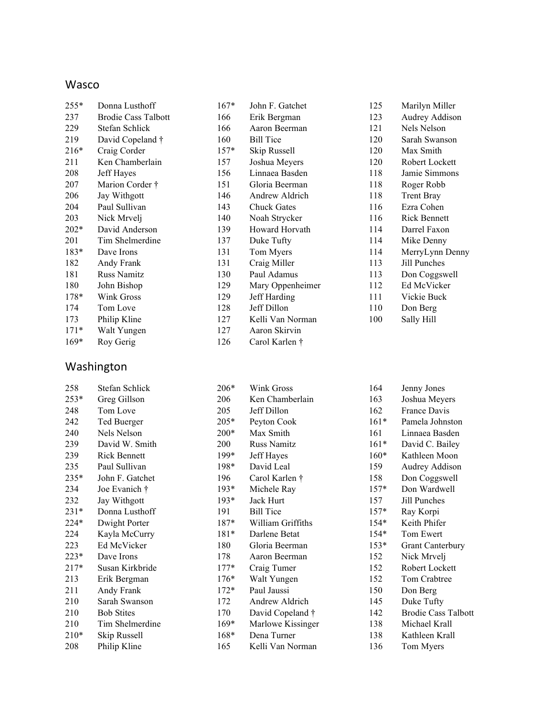#### Wasco

| $255*$ | Donna Lusthoff             |
|--------|----------------------------|
| 237    | <b>Brodie Cass Talbott</b> |
| 229    | Stefan Schlick             |
| 219    | David Copeland †           |
| $216*$ | Craig Corder               |
| 211    | Ken Chamberlain            |
| 208    | Jeff Hayes                 |
| 207    | Marion Corder †            |
| 206    | Jay Withgott               |
| 204    | Paul Sullivan              |
| 203    | Nick Mrvelj                |
| $202*$ | David Anderson             |
| 201    | Tim Shelmerdine            |
| 183*   | Dave Irons                 |
| 182    | Andy Frank                 |
| 181    | <b>Russ Namitz</b>         |
| 180    | John Bishop                |
| $178*$ | Wink Gross                 |
| 174    | Tom Love                   |
| 173    | Philip Kline               |
| 171*   | Walt Yungen                |
| $169*$ | Roy Gerig                  |

#### Washington

 Stefan Schlick 253\* Greg Gillson Tom Love Ted Buerger Nels Nelson David W. Smith Rick Bennett Paul Sullivan 235\* John F. Gatchet Joe Evanich † Jay Withgott 231\* Donna Lusthoff 224\* Dwight Porter Kayla McCurry Ed McVicker 223\* Dave Irons<br>217\* Susan Kirkl

Susan Kirkbride

 Erik Bergman Andy Frank Sarah Swanson Bob Stites Tim Shelmerdine 210\* Skip Russell Philip Kline

| $167*$ | John F. Gatchet    |
|--------|--------------------|
| 166    | Erik Bergman       |
|        |                    |
| 166    | Aaron Beerman      |
| 160    | <b>Bill Tice</b>   |
| $157*$ | Skip Russell       |
| 157    | Joshua Meyers      |
| 156    | Linnaea Basden     |
| 151    | Gloria Beerman     |
| 146    | Andrew Aldrich     |
| 143    | <b>Chuck Gates</b> |
| 140    | Noah Strycker      |
| 139    | Howard Horvath     |
| 137    | Duke Tufty         |
| 131    | Tom Myers          |
| 131    | Craig Miller       |
| 130    | Paul Adamus        |
| 129    | Mary Oppenheimer   |
| 129    | Jeff Harding       |
| 128    | Jeff Dillon        |
| 127    | Kelli Van Norman   |
| 127    | Aaron Skirvin      |
| 126    | Carol Karlen †     |

| 125 | Marilyn Miller      |
|-----|---------------------|
| 123 | Audrey Addison      |
| 121 | Nels Nelson         |
| 120 | Sarah Swanson       |
| 120 | Max Smith           |
| 120 | Robert Lockett      |
| 118 | Jamie Simmons       |
| 118 | Roger Robb          |
| 118 | <b>Trent Bray</b>   |
| 116 | Ezra Cohen          |
| 116 | <b>Rick Bennett</b> |
| 114 | Darrel Faxon        |
| 114 | Mike Denny          |
| 114 | MerryLynn Denny     |
| 113 | Jill Punches        |
| 113 | Don Coggswell       |
| 112 | Ed McVicker         |
| 111 | Vickie Buck         |
| 110 | Don Berg            |
| 100 | Sally Hill          |
|     |                     |

| 206*   | Wink Gross         |
|--------|--------------------|
| 206    | Ken Chamberlain    |
| 205    | Jeff Dillon        |
| 205*   | Peyton Cook        |
| 200*   | Max Smith          |
| 200    | <b>Russ Namitz</b> |
| 199*   | Jeff Hayes         |
| 198*   | David Leal         |
| 196    | Carol Karlen †     |
| $193*$ | Michele Ray        |
| $193*$ | Jack Hurt          |
| 191    | <b>Bill Tice</b>   |
| $187*$ | William Griffiths  |
| $181*$ | Darlene Betat      |
| 180    | Gloria Beerman     |
| 178    | Aaron Beerman      |
| $177*$ | Craig Tumer        |
| $176*$ | Walt Yungen        |
| $172*$ | Paul Jaussi        |
| 172    | Andrew Aldrich     |
| 170    | David Copeland †   |
| $169*$ | Marlowe Kissinger  |
| $168*$ | Dena Turner        |
| 165    | Kelli Van Norman   |

| 164    | Jenny Jones                |
|--------|----------------------------|
| 163    | Joshua Meyers              |
| 162    | <b>France Davis</b>        |
| $161*$ | Pamela Johnston            |
| 161    | Linnaea Basden             |
| $161*$ | David C. Bailey            |
| 160*   | Kathleen Moon              |
| 159    | Audrey Addison             |
| 158    | Don Coggswell              |
| 157*   | Don Wardwell               |
| 157    | Jill Punches               |
| 157*   | Ray Korpi                  |
| 154*   | Keith Phifer               |
| 154*   | Tom Ewert                  |
| 153*   | <b>Grant Canterbury</b>    |
| 152    | Nick Mrvelj                |
| 152    | Robert Lockett             |
| 152    | Tom Crabtree               |
| 150    | Don Berg                   |
| 145    | Duke Tufty                 |
| 142    | <b>Brodie Cass Talbott</b> |
| 138    | Michael Krall              |
| 138    | Kathleen Krall             |
| 136    | Tom Myers                  |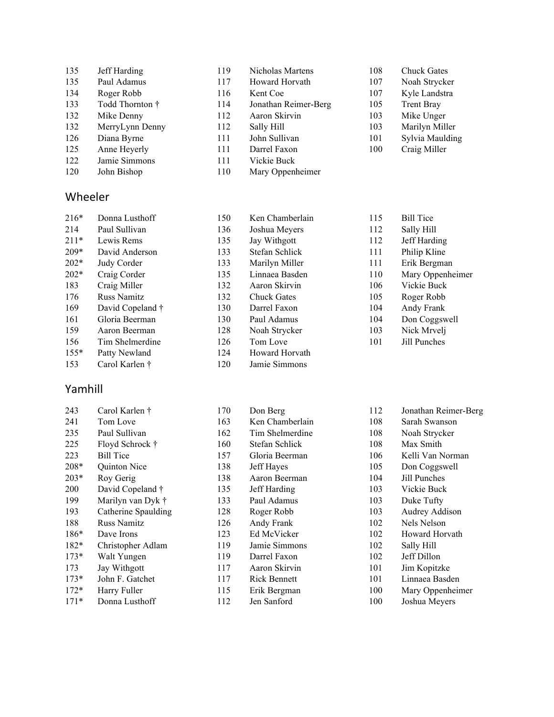| 135 | Jeff Harding    |
|-----|-----------------|
| 135 | Paul Adamus     |
| 134 | Roger Robb      |
| 133 | Todd Thornton † |
| 132 | Mike Denny      |
| 132 | MerryLynn Denny |
| 126 | Diana Byrne     |
| 125 | Anne Heyerly    |

- 
- 122 Jamie Si John Bishop
- 

#### Wheeler

| $216*$ | Donna Lusthoff     |
|--------|--------------------|
| 214    | Paul Sullivan      |
| $211*$ | Lewis Rems         |
| $209*$ | David Anderson     |
| $202*$ | Judy Corder        |
| $202*$ | Craig Corder       |
| 183    | Craig Miller       |
| 176    | <b>Russ Namitz</b> |
| 169    | David Copeland †   |
| 161    | Gloria Beerman     |
| 159    | Aaron Beerman      |
| 156    | Tim Shelmerdine    |
| $155*$ | Patty Newland      |
| 153    | Carol Karlen †     |

#### Yamhill

| 243    | Carol Karlen †      | 170 | Don Berg            | 112 | Jonathan Reimer-Berg |
|--------|---------------------|-----|---------------------|-----|----------------------|
| 241    | Tom Love            | 163 | Ken Chamberlain     | 108 | Sarah Swanson        |
| 235    | Paul Sullivan       | 162 | Tim Shelmerdine     | 108 | Noah Strycker        |
| 225    | Floyd Schrock †     | 160 | Stefan Schlick      | 108 | Max Smith            |
| 223    | <b>Bill Tice</b>    | 157 | Gloria Beerman      | 106 | Kelli Van Norman     |
| $208*$ | Quinton Nice        | 138 | Jeff Hayes          | 105 | Don Coggswell        |
| $203*$ | Roy Gerig           | 138 | Aaron Beerman       | 104 | Jill Punches         |
| 200    | David Copeland †    | 135 | Jeff Harding        | 103 | Vickie Buck          |
| 199    | Marilyn van Dyk †   | 133 | Paul Adamus         | 103 | Duke Tufty           |
| 193    | Catherine Spaulding | 128 | Roger Robb          | 103 | Audrey Addison       |
| 188    | <b>Russ Namitz</b>  | 126 | Andy Frank          | 102 | Nels Nelson          |
| $186*$ | Dave Irons          | 123 | Ed McVicker         | 102 | Howard Horvath       |
| $182*$ | Christopher Adlam   | 119 | Jamie Simmons       | 102 | Sally Hill           |
| $173*$ | Walt Yungen         | 119 | Darrel Faxon        | 102 | Jeff Dillon          |
| 173    | Jay Withgott        | 117 | Aaron Skirvin       | 101 | Jim Kopitzke         |
| $173*$ | John F. Gatchet     | 117 | <b>Rick Bennett</b> | 101 | Linnaea Basden       |
| $172*$ | Harry Fuller        | 115 | Erik Bergman        | 100 | Mary Oppenheimer     |
| $171*$ | Donna Lusthoff      | 112 | Jen Sanford         | 100 | Joshua Meyers        |
|        |                     |     |                     |     |                      |

| ding      | 119 | Nicholas Martens     |
|-----------|-----|----------------------|
| amus      | 117 | Howard Horvath       |
| obb       | 116 | Kent Coe             |
| nornton † | 114 | Jonathan Reimer-Berg |
| enny      | 112 | Aaron Skirvin        |
| ynn Denny | 112 | Sally Hill           |
| yrne      | 111 | John Sullivan        |
| eyerly    | 111 | Darrel Faxon         |
| immons    | 111 | Vickie Buck          |
|           |     |                      |

Mary Oppenheimer

 Ken Chamberlain Joshua Meyers Jay Withgott Stefan Schlick 133 Marilyn Miller<br>135 Linnaea Basder

 Aaron Skirvin Chuck Gates Darrel Faxon Paul Adamus Noah Strycker Tom Love Howard Horvath Jamie Simmons

Linnaea Basden

 Chuck Gates Noah Strycker Kyle Landstra Trent Bray Mike Unger Marilyn Miller Sylvia Maulding Craig Miller

| 115 | <b>Bill Tice</b> |
|-----|------------------|
| 112 | Sally Hill       |
| 112 | Jeff Harding     |
| 111 | Philip Kline     |
| 111 | Erik Bergman     |
| 110 | Mary Oppenheimer |
| 106 | Vickie Buck      |
| 105 | Roger Robb       |
| 104 | Andy Frank       |
| 104 | Don Coggswell    |
| 103 | Nick Mrvelj      |
| 101 | Jill Punches     |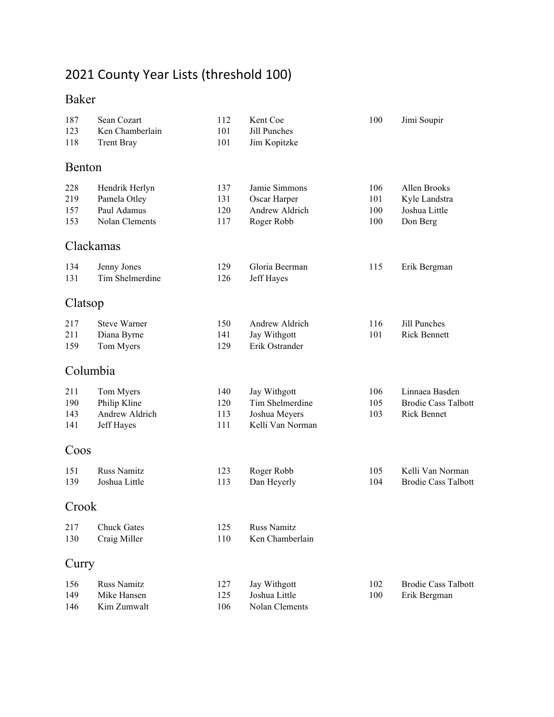# County Year Lists (threshold 100)

### Baker

| 187<br>123<br>118 | Sean Cozart<br>Ken Chamberlain<br><b>Trent Bray</b> | 112<br>101<br>101 | Kent Coe<br>Jill Punches<br>Jim Kopitzke | 100        | Jimi Soupir                |
|-------------------|-----------------------------------------------------|-------------------|------------------------------------------|------------|----------------------------|
| Benton            |                                                     |                   |                                          |            |                            |
|                   |                                                     |                   |                                          |            |                            |
| 228               | Hendrik Herlyn                                      | 137               | Jamie Simmons                            | 106        | Allen Brooks               |
| 219               | Pamela Otley                                        | 131               | Oscar Harper<br>Andrew Aldrich           | 101        | Kyle Landstra              |
| 157<br>153        | Paul Adamus<br>Nolan Clements                       | 120<br>117        | Roger Robb                               | 100<br>100 | Joshua Little<br>Don Berg  |
|                   | Clackamas                                           |                   |                                          |            |                            |
| 134               | Jenny Jones                                         | 129               | Gloria Beerman                           | 115        | Erik Bergman               |
| 131               | Tim Shelmerdine                                     | 126               | Jeff Hayes                               |            |                            |
| Clatsop           |                                                     |                   |                                          |            |                            |
| 217               | <b>Steve Warner</b>                                 | 150               | Andrew Aldrich                           | 116        | Jill Punches               |
| 211               | Diana Byrne                                         | 141               | Jay Withgott                             | 101        | <b>Rick Bennett</b>        |
| 159               | Tom Myers                                           | 129               | Erik Ostrander                           |            |                            |
|                   | Columbia                                            |                   |                                          |            |                            |
| 211               | Tom Myers                                           | 140               | Jay Withgott                             | 106        | Linnaea Basden             |
| 190               | Philip Kline                                        | 120               | Tim Shelmerdine                          | 105        | <b>Brodie Cass Talbott</b> |
| 143               | Andrew Aldrich                                      | 113               | Joshua Meyers                            | 103        | Rick Bennet                |
| 141               | Jeff Hayes                                          | 111               | Kelli Van Norman                         |            |                            |
| Coos              |                                                     |                   |                                          |            |                            |
| 151               | Russ Namitz                                         | 123               | Roger Robb                               | 105        | Kelli Van Norman           |
| 139               | Joshua Little                                       | 113               | Dan Heyerly                              | 104        | <b>Brodie Cass Talbott</b> |
| Crook             |                                                     |                   |                                          |            |                            |
| 217               | <b>Chuck Gates</b>                                  | 125               | Russ Namitz                              |            |                            |
| 130               | Craig Miller                                        | 110               | Ken Chamberlain                          |            |                            |
| Curry             |                                                     |                   |                                          |            |                            |
| 156               | <b>Russ Namitz</b>                                  | 127               | Jay Withgott                             | 102        | <b>Brodie Cass Talbott</b> |
| 149               | Mike Hansen                                         | 125               | Joshua Little                            | 100        | Erik Bergman               |
| 146               | Kim Zumwalt                                         | 106               | Nolan Clements                           |            |                            |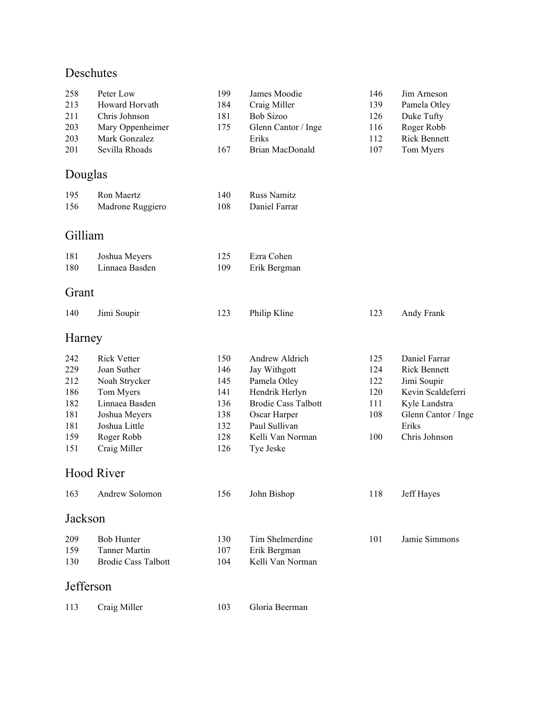### Deschutes

| 258        | Peter Low                  | 199        | James Moodie                  | 146 | Jim Arneson         |
|------------|----------------------------|------------|-------------------------------|-----|---------------------|
| 213        | Howard Horvath             | 184        | Craig Miller                  | 139 | Pamela Otley        |
| 211        | Chris Johnson              | 181        | <b>Bob Sizoo</b>              | 126 | Duke Tufty          |
| 203        | Mary Oppenheimer           | 175        | Glenn Cantor / Inge           | 116 | Roger Robb          |
| 203        | Mark Gonzalez              |            | Eriks                         | 112 | <b>Rick Bennett</b> |
| 201        | Sevilla Rhoads             | 167        | Brian MacDonald               | 107 | Tom Myers           |
| Douglas    |                            |            |                               |     |                     |
| 195        | Ron Maertz                 | 140        | <b>Russ Namitz</b>            |     |                     |
| 156        | Madrone Ruggiero           | 108        | Daniel Farrar                 |     |                     |
| Gilliam    |                            |            |                               |     |                     |
| 181        | Joshua Meyers              | 125        | Ezra Cohen                    |     |                     |
| 180        | Linnaea Basden             | 109        | Erik Bergman                  |     |                     |
| Grant      |                            |            |                               |     |                     |
| 140        | Jimi Soupir                | 123        | Philip Kline                  | 123 | Andy Frank          |
| Harney     |                            |            |                               |     |                     |
| 242        | <b>Rick Vetter</b>         | 150        | Andrew Aldrich                | 125 | Daniel Farrar       |
| 229        | Joan Suther                | 146        | Jay Withgott                  | 124 | <b>Rick Bennett</b> |
| 212        | Noah Strycker              | 145        | Pamela Otley                  | 122 | Jimi Soupir         |
| 186        | Tom Myers                  | 141        | Hendrik Herlyn                | 120 | Kevin Scaldeferri   |
| 182        | Linnaea Basden             | 136        | <b>Brodie Cass Talbott</b>    | 111 | Kyle Landstra       |
| 181        | Joshua Meyers              | 138        | Oscar Harper                  | 108 | Glenn Cantor / Inge |
| 181        | Joshua Little              | 132        | Paul Sullivan                 |     | Eriks               |
| 159<br>151 | Roger Robb<br>Craig Miller | 128<br>126 | Kelli Van Norman<br>Tye Jeske | 100 | Chris Johnson       |
|            | <b>Hood River</b>          |            |                               |     |                     |
|            | 163 Andrew Solomon         | 156        | John Bishop                   | 118 | Jeff Hayes          |
| Jackson    |                            |            |                               |     |                     |
| 209        | <b>Bob Hunter</b>          | 130        | Tim Shelmerdine               | 101 | Jamie Simmons       |
| 159        | Tanner Martin              | 107        | Erik Bergman                  |     |                     |
| 130        | <b>Brodie Cass Talbott</b> | 104        | Kelli Van Norman              |     |                     |
| Jefferson  |                            |            |                               |     |                     |
| 113        | Craig Miller               | 103        | Gloria Beerman                |     |                     |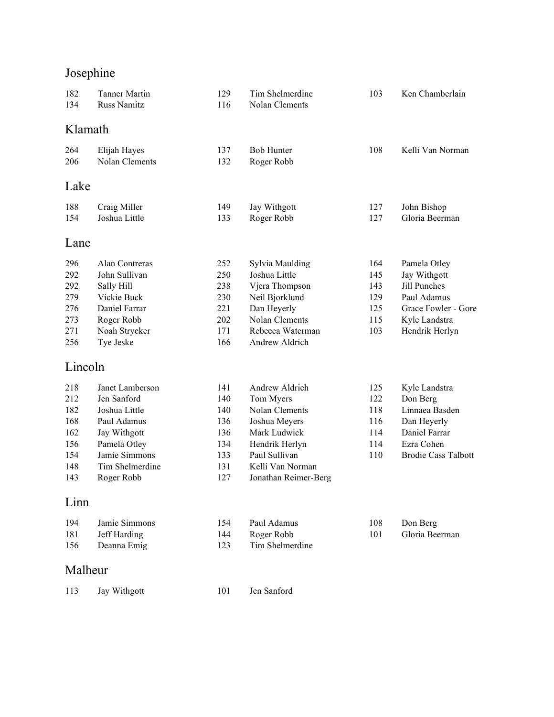# Josephine

| 182<br>134                                                  | <b>Tanner Martin</b><br><b>Russ Namitz</b>                                                                                                       | 129<br>116                                                  | Tim Shelmerdine<br>Nolan Clements                                                                                                                             | 103                                           | Ken Chamberlain                                                                                                         |
|-------------------------------------------------------------|--------------------------------------------------------------------------------------------------------------------------------------------------|-------------------------------------------------------------|---------------------------------------------------------------------------------------------------------------------------------------------------------------|-----------------------------------------------|-------------------------------------------------------------------------------------------------------------------------|
| Klamath                                                     |                                                                                                                                                  |                                                             |                                                                                                                                                               |                                               |                                                                                                                         |
| 264<br>206                                                  | Elijah Hayes<br>Nolan Clements                                                                                                                   | 137<br>132                                                  | <b>Bob Hunter</b><br>Roger Robb                                                                                                                               | 108                                           | Kelli Van Norman                                                                                                        |
| Lake                                                        |                                                                                                                                                  |                                                             |                                                                                                                                                               |                                               |                                                                                                                         |
| 188<br>154                                                  | Craig Miller<br>Joshua Little                                                                                                                    | 149<br>133                                                  | Jay Withgott<br>Roger Robb                                                                                                                                    | 127<br>127                                    | John Bishop<br>Gloria Beerman                                                                                           |
| Lane                                                        |                                                                                                                                                  |                                                             |                                                                                                                                                               |                                               |                                                                                                                         |
| 296<br>292<br>292<br>279<br>276<br>273<br>271<br>256        | Alan Contreras<br>John Sullivan<br>Sally Hill<br>Vickie Buck<br>Daniel Farrar<br>Roger Robb<br>Noah Strycker<br>Tye Jeske                        | 252<br>250<br>238<br>230<br>221<br>202<br>171<br>166        | Sylvia Maulding<br>Joshua Little<br>Vjera Thompson<br>Neil Bjorklund<br>Dan Heyerly<br>Nolan Clements<br>Rebecca Waterman<br>Andrew Aldrich                   | 164<br>145<br>143<br>129<br>125<br>115<br>103 | Pamela Otley<br>Jay Withgott<br>Jill Punches<br>Paul Adamus<br>Grace Fowler - Gore<br>Kyle Landstra<br>Hendrik Herlyn   |
| Lincoln                                                     |                                                                                                                                                  |                                                             |                                                                                                                                                               |                                               |                                                                                                                         |
| 218<br>212<br>182<br>168<br>162<br>156<br>154<br>148<br>143 | Janet Lamberson<br>Jen Sanford<br>Joshua Little<br>Paul Adamus<br>Jay Withgott<br>Pamela Otley<br>Jamie Simmons<br>Tim Shelmerdine<br>Roger Robb | 141<br>140<br>140<br>136<br>136<br>134<br>133<br>131<br>127 | Andrew Aldrich<br>Tom Myers<br>Nolan Clements<br>Joshua Meyers<br>Mark Ludwick<br>Hendrik Herlyn<br>Paul Sullivan<br>Kelli Van Norman<br>Jonathan Reimer-Berg | 125<br>122<br>118<br>116<br>114<br>114<br>110 | Kyle Landstra<br>Don Berg<br>Linnaea Basden<br>Dan Heyerly<br>Daniel Farrar<br>Ezra Cohen<br><b>Brodie Cass Talbott</b> |
| Linn                                                        |                                                                                                                                                  |                                                             |                                                                                                                                                               |                                               |                                                                                                                         |
| 194<br>181<br>156                                           | Jamie Simmons<br>Jeff Harding<br>Deanna Emig                                                                                                     | 154<br>144<br>123                                           | Paul Adamus<br>Roger Robb<br>Tim Shelmerdine                                                                                                                  | 108<br>101                                    | Don Berg<br>Gloria Beerman                                                                                              |
| Malheur                                                     |                                                                                                                                                  |                                                             |                                                                                                                                                               |                                               |                                                                                                                         |
| 113                                                         | Jay Withgott                                                                                                                                     | 101                                                         | Jen Sanford                                                                                                                                                   |                                               |                                                                                                                         |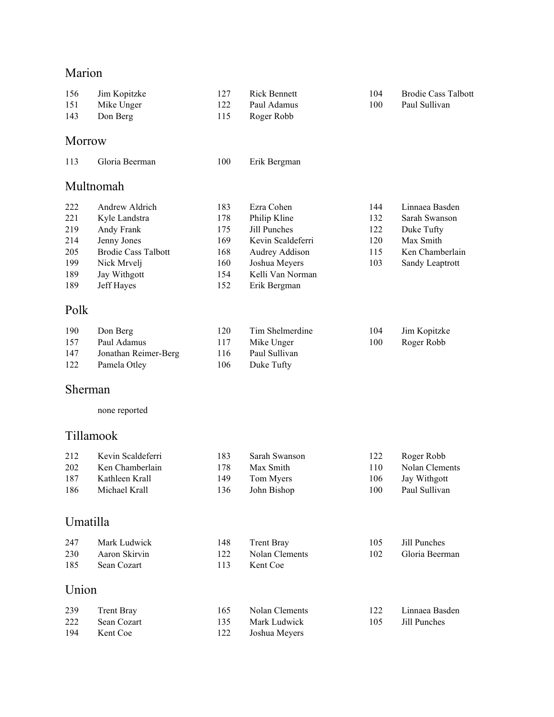### Marion

|            |                            | 127 | <b>Rick Bennett</b>   | 104 | <b>Brodie Cass Talbott</b> |
|------------|----------------------------|-----|-----------------------|-----|----------------------------|
| 156<br>151 | Jim Kopitzke<br>Mike Unger | 122 | Paul Adamus           | 100 | Paul Sullivan              |
| 143        | Don Berg                   | 115 | Roger Robb            |     |                            |
|            |                            |     |                       |     |                            |
| Morrow     |                            |     |                       |     |                            |
| 113        | Gloria Beerman             | 100 | Erik Bergman          |     |                            |
|            | Multnomah                  |     |                       |     |                            |
| 222        | Andrew Aldrich             | 183 | Ezra Cohen            | 144 | Linnaea Basden             |
| 221        | Kyle Landstra              | 178 | Philip Kline          | 132 | Sarah Swanson              |
| 219        | Andy Frank                 | 175 | Jill Punches          | 122 | Duke Tufty                 |
| 214        | Jenny Jones                | 169 | Kevin Scaldeferri     | 120 | Max Smith                  |
| 205        | <b>Brodie Cass Talbott</b> | 168 | Audrey Addison        | 115 | Ken Chamberlain            |
| 199        | Nick Mrvelj                | 160 | Joshua Meyers         | 103 | Sandy Leaptrott            |
| 189        | Jay Withgott               | 154 | Kelli Van Norman      |     |                            |
| 189        | Jeff Hayes                 | 152 | Erik Bergman          |     |                            |
| Polk       |                            |     |                       |     |                            |
| 190        | Don Berg                   | 120 | Tim Shelmerdine       | 104 | Jim Kopitzke               |
| 157        | Paul Adamus                | 117 | Mike Unger            | 100 | Roger Robb                 |
| 147        | Jonathan Reimer-Berg       | 116 | Paul Sullivan         |     |                            |
| 122        | Pamela Otley               | 106 | Duke Tufty            |     |                            |
|            |                            |     |                       |     |                            |
| Sherman    |                            |     |                       |     |                            |
|            | none reported              |     |                       |     |                            |
| Tillamook  |                            |     |                       |     |                            |
| 212        | Kevin Scaldeferri          | 183 | Sarah Swanson         | 122 | Roger Robb                 |
| 202        | Ken Chamberlain            | 178 | Max Smith             | 110 | Nolan Clements             |
| 187        | Kathleen Krall             | 149 | Tom Myers             | 106 | Jay Withgott               |
| 186        | Michael Krall              | 136 | John Bishop           | 100 | Paul Sullivan              |
|            |                            |     |                       |     |                            |
| Umatilla   |                            |     |                       |     |                            |
| 247        | Mark Ludwick               | 148 | <b>Trent Bray</b>     | 105 | Jill Punches               |
| 230        | Aaron Skirvin              | 122 | <b>Nolan Clements</b> | 102 | Gloria Beerman             |
| 185        | Sean Cozart                | 113 | Kent Coe              |     |                            |
| Union      |                            |     |                       |     |                            |
| 239        | <b>Trent Bray</b>          | 165 | Nolan Clements        | 122 | Linnaea Basden             |
| 222        | Sean Cozart                | 135 | Mark Ludwick          | 105 | Jill Punches               |
| 194        | Kent Coe                   | 122 | Joshua Meyers         |     |                            |
|            |                            |     |                       |     |                            |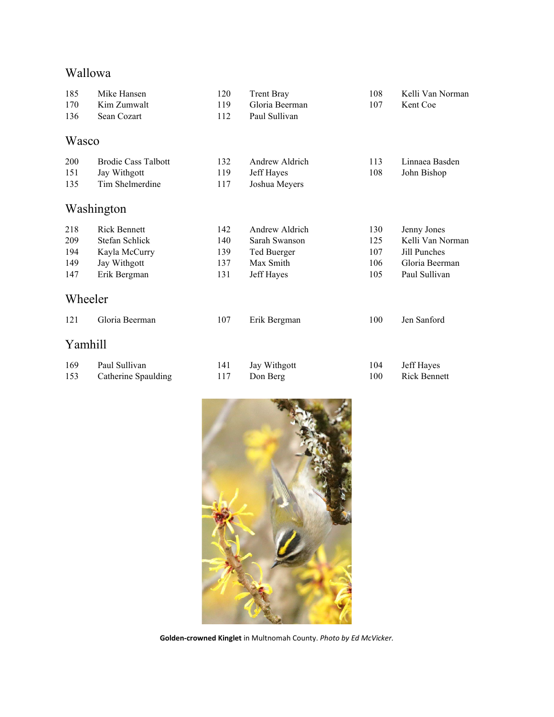## Wallowa

| 185     | Mike Hansen                | 120 | <b>Trent Bray</b> | 108 | Kelli Van Norman    |
|---------|----------------------------|-----|-------------------|-----|---------------------|
| 170     | Kim Zumwalt                | 119 | Gloria Beerman    | 107 | Kent Coe            |
| 136     | Sean Cozart                | 112 | Paul Sullivan     |     |                     |
| Wasco   |                            |     |                   |     |                     |
| 200     | <b>Brodie Cass Talbott</b> | 132 | Andrew Aldrich    | 113 | Linnaea Basden      |
| 151     | Jay Withgott               | 119 | Jeff Hayes        | 108 | John Bishop         |
| 135     | Tim Shelmerdine            | 117 | Joshua Meyers     |     |                     |
|         | Washington                 |     |                   |     |                     |
| 218     | <b>Rick Bennett</b>        | 142 | Andrew Aldrich    | 130 | Jenny Jones         |
| 209     | Stefan Schlick             | 140 | Sarah Swanson     | 125 | Kelli Van Norman    |
| 194     | Kayla McCurry              | 139 | Ted Buerger       | 107 | Jill Punches        |
| 149     | Jay Withgott               | 137 | Max Smith         | 106 | Gloria Beerman      |
| 147     | Erik Bergman               | 131 | Jeff Hayes        | 105 | Paul Sullivan       |
| Wheeler |                            |     |                   |     |                     |
| 121     | Gloria Beerman             | 107 | Erik Bergman      | 100 | Jen Sanford         |
| Yamhill |                            |     |                   |     |                     |
| 169     | Paul Sullivan              | 141 | Jay Withgott      | 104 | Jeff Hayes          |
| 153     | Catherine Spaulding        | 117 | Don Berg          | 100 | <b>Rick Bennett</b> |



**Golden-crowned Kinglet** in Multnomah County. *Photo by Ed McVicker.*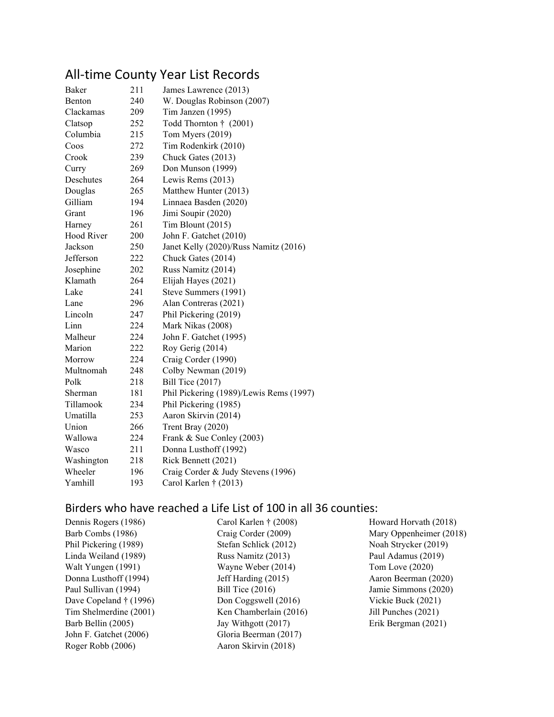## All-time County Year List Records

| Baker         | 211 | James Lawrence (2013)                   |
|---------------|-----|-----------------------------------------|
| <b>Benton</b> | 240 | W. Douglas Robinson (2007)              |
| Clackamas     | 209 | Tim Janzen (1995)                       |
| Clatsop       | 252 | Todd Thornton † (2001)                  |
| Columbia      | 215 | Tom Myers (2019)                        |
| Coos          | 272 | Tim Rodenkirk (2010)                    |
| Crook         | 239 | Chuck Gates (2013)                      |
| Curry         | 269 | Don Munson (1999)                       |
| Deschutes     | 264 | Lewis Rems (2013)                       |
| Douglas       | 265 | Matthew Hunter (2013)                   |
| Gilliam       | 194 | Linnaea Basden (2020)                   |
| Grant         | 196 | Jimi Soupir (2020)                      |
| Harney        | 261 | Tim Blount (2015)                       |
| Hood River    | 200 | John F. Gatchet (2010)                  |
| Jackson       | 250 | Janet Kelly (2020)/Russ Namitz (2016)   |
| Jefferson     | 222 | Chuck Gates (2014)                      |
| Josephine     | 202 | Russ Namitz (2014)                      |
| Klamath       | 264 | Elijah Hayes (2021)                     |
| Lake          | 241 | Steve Summers (1991)                    |
| Lane          | 296 | Alan Contreras (2021)                   |
| Lincoln       | 247 | Phil Pickering (2019)                   |
| Linn          | 224 | Mark Nikas (2008)                       |
| Malheur       | 224 | John F. Gatchet (1995)                  |
| Marion        | 222 | Roy Gerig (2014)                        |
| Morrow        | 224 | Craig Corder (1990)                     |
| Multnomah     | 248 | Colby Newman (2019)                     |
| Polk          | 218 | Bill Tice $(2017)$                      |
| Sherman       | 181 | Phil Pickering (1989)/Lewis Rems (1997) |
| Tillamook     | 234 | Phil Pickering (1985)                   |
| Umatilla      | 253 | Aaron Skirvin (2014)                    |
| Union         | 266 | Trent Bray (2020)                       |
| Wallowa       | 224 | Frank & Sue Conley (2003)               |
| Wasco         | 211 | Donna Lusthoff (1992)                   |
| Washington    | 218 | Rick Bennett (2021)                     |
| Wheeler       | 196 | Craig Corder & Judy Stevens (1996)      |
| Yamhill       | 193 | Carol Karlen $\dagger$ (2013)           |

### Birders who have reached a Life List of 100 in all 36 counties:

| Carol Karlen $\dagger$ (2008) | Howard Horvath (2018)   |
|-------------------------------|-------------------------|
| Craig Corder (2009)           | Mary Oppenheimer (2018) |
| Stefan Schlick (2012)         | Noah Strycker (2019)    |
| Russ Namitz (2013)            | Paul Adamus (2019)      |
| Wayne Weber (2014)            | Tom Love $(2020)$       |
| Jeff Harding (2015)           | Aaron Beerman (2020)    |
| Bill Tice $(2016)$            | Jamie Simmons (2020)    |
| Don Coggswell (2016)          | Vickie Buck (2021)      |
| Ken Chamberlain (2016)        | Jill Punches (2021)     |
| Jay Withgott (2017)           | Erik Bergman (2021)     |
| Gloria Beerman (2017)         |                         |
| Aaron Skirvin (2018)          |                         |
|                               |                         |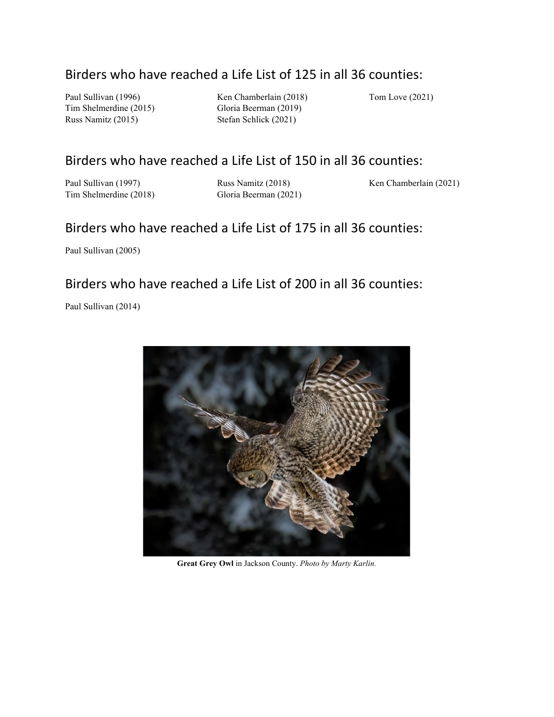### Birders who have reached a Life List of 125 in all 36 counties:

Paul Sullivan (1996) Tim Shelmerdine (2015) Russ Namitz (2015)

Ken Chamberlain (2018) Gloria Beerman (2019) Stefan Schlick (2021)

Tom Love (2021)

### Birders who have reached a Life List of 150 in all 36 counties:

Paul Sullivan (1997) Tim Shelmerdine (2018) Russ Namitz (2018) Gloria Beerman (2021) Ken Chamberlain (2021)

### Birders who have reached a Life List of 175 in all 36 counties:

Paul Sullivan (2005)

#### Birders who have reached a Life List of 200 in all 36 counties:

Paul Sullivan (2014)



**Great Grey Owl** in Jackson County. *Photo by Marty Karlin.*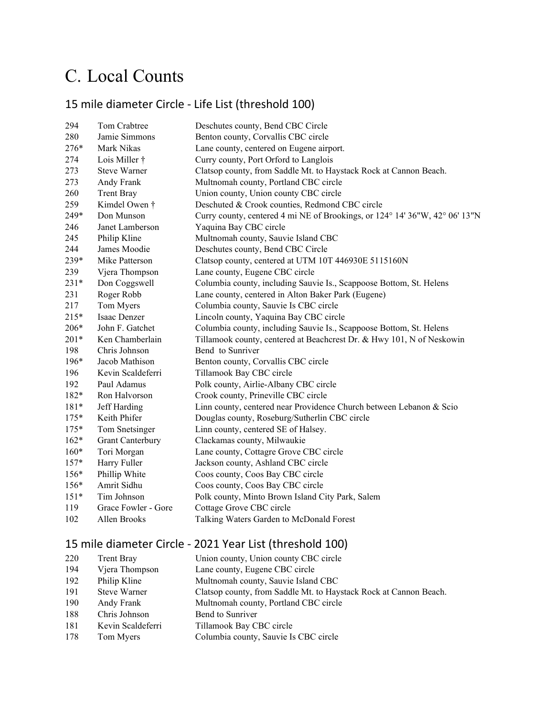# C. Local Counts

### 15 mile diameter Circle - Life List (threshold 100)

| 294    | Tom Crabtree            | Deschutes county, Bend CBC Circle                                           |
|--------|-------------------------|-----------------------------------------------------------------------------|
| 280    | Jamie Simmons           | Benton county, Corvallis CBC circle                                         |
| 276*   | Mark Nikas              | Lane county, centered on Eugene airport.                                    |
| 274    | Lois Miller †           | Curry county, Port Orford to Langlois                                       |
| 273    | <b>Steve Warner</b>     | Clatsop county, from Saddle Mt. to Haystack Rock at Cannon Beach.           |
| 273    | Andy Frank              | Multnomah county, Portland CBC circle                                       |
| 260    | <b>Trent Bray</b>       | Union county, Union county CBC circle                                       |
| 259    | Kimdel Owen †           | Deschuted & Crook counties, Redmond CBC circle                              |
| 249*   | Don Munson              | Curry county, centered 4 mi NE of Brookings, or 124° 14' 36"W, 42° 06' 13"N |
| 246    | Janet Lamberson         | Yaquina Bay CBC circle                                                      |
| 245    | Philip Kline            | Multnomah county, Sauvie Island CBC                                         |
| 244    | James Moodie            | Deschutes county, Bend CBC Circle                                           |
| 239*   | Mike Patterson          | Clatsop county, centered at UTM 10T 446930E 5115160N                        |
| 239    | Vjera Thompson          | Lane county, Eugene CBC circle                                              |
| 231*   | Don Coggswell           | Columbia county, including Sauvie Is., Scappoose Bottom, St. Helens         |
| 231    | Roger Robb              | Lane county, centered in Alton Baker Park (Eugene)                          |
| 217    | Tom Myers               | Columbia county, Sauvie Is CBC circle                                       |
| 215*   | Isaac Denzer            | Lincoln county, Yaquina Bay CBC circle                                      |
| 206*   | John F. Gatchet         | Columbia county, including Sauvie Is., Scappoose Bottom, St. Helens         |
| 201*   | Ken Chamberlain         | Tillamook county, centered at Beachcrest Dr. & Hwy 101, N of Neskowin       |
| 198    | Chris Johnson           | Bend to Sunriver                                                            |
| 196*   | Jacob Mathison          | Benton county, Corvallis CBC circle                                         |
| 196    | Kevin Scaldeferri       | Tillamook Bay CBC circle                                                    |
| 192    | Paul Adamus             | Polk county, Airlie-Albany CBC circle                                       |
| 182*   | Ron Halvorson           | Crook county, Prineville CBC circle                                         |
| $181*$ | Jeff Harding            | Linn county, centered near Providence Church between Lebanon & Scio         |
| $175*$ | Keith Phifer            | Douglas county, Roseburg/Sutherlin CBC circle                               |
| $175*$ | Tom Snetsinger          | Linn county, centered SE of Halsey.                                         |
| $162*$ | <b>Grant Canterbury</b> | Clackamas county, Milwaukie                                                 |
| $160*$ | Tori Morgan             | Lane county, Cottagre Grove CBC circle                                      |
| $157*$ | Harry Fuller            | Jackson county, Ashland CBC circle                                          |
| 156*   | Phillip White           | Coos county, Coos Bay CBC circle                                            |
| 156*   | Amrit Sidhu             | Coos county, Coos Bay CBC circle                                            |
| $151*$ | Tim Johnson             | Polk county, Minto Brown Island City Park, Salem                            |
| 119    | Grace Fowler - Gore     | Cottage Grove CBC circle                                                    |
| 102    | Allen Brooks            | Talking Waters Garden to McDonald Forest                                    |
|        |                         |                                                                             |

### 15 mile diameter Circle - 2021 Year List (threshold 100)

| 220 | Trent Bray          | Union county, Union county CBC circle                             |
|-----|---------------------|-------------------------------------------------------------------|
| 194 | Vjera Thompson      | Lane county, Eugene CBC circle                                    |
| 192 | Philip Kline        | Multnomah county, Sauvie Island CBC                               |
| 191 | <b>Steve Warner</b> | Clatsop county, from Saddle Mt. to Haystack Rock at Cannon Beach. |
| 190 | Andy Frank          | Multnomah county, Portland CBC circle                             |
| 188 | Chris Johnson       | Bend to Sunriver                                                  |
| 181 | Kevin Scaldeferri   | Tillamook Bay CBC circle                                          |
| 178 | Tom Myers           | Columbia county, Sauvie Is CBC circle                             |
|     |                     |                                                                   |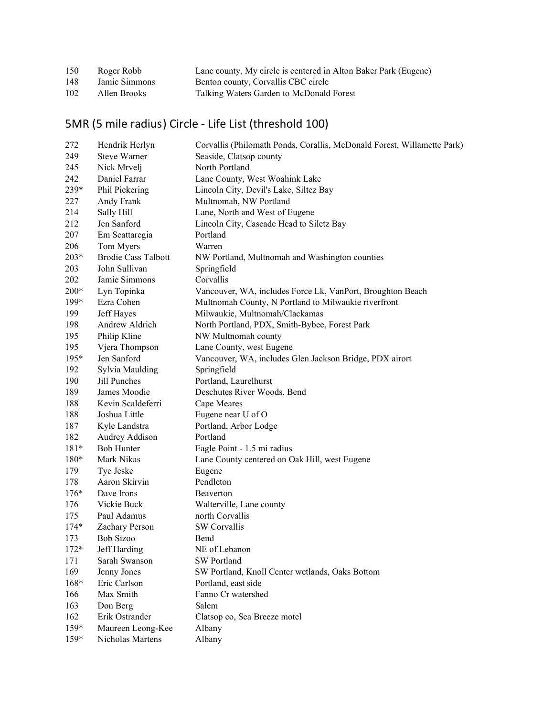| 150 | Roger Robb    | Lane county, My circle is centered in Alton Baker Park (Eugene) |
|-----|---------------|-----------------------------------------------------------------|
| 148 | Jamie Simmons | Benton county, Corvallis CBC circle                             |
| 102 | Allen Brooks  | Talking Waters Garden to McDonald Forest                        |

## 5MR (5 mile radius) Circle - Life List (threshold 100)

| 272    | Hendrik Herlyn             | Corvallis (Philomath Ponds, Corallis, McDonald Forest, Willamette Park) |
|--------|----------------------------|-------------------------------------------------------------------------|
| 249    | <b>Steve Warner</b>        | Seaside, Clatsop county                                                 |
| 245    | Nick Mrvelj                | North Portland                                                          |
| 242    | Daniel Farrar              | Lane County, West Woahink Lake                                          |
| 239*   | Phil Pickering             | Lincoln City, Devil's Lake, Siltez Bay                                  |
| 227    | Andy Frank                 | Multnomah, NW Portland                                                  |
| 214    | Sally Hill                 | Lane, North and West of Eugene                                          |
| 212    | Jen Sanford                | Lincoln City, Cascade Head to Siletz Bay                                |
| 207    | Em Scattaregia             | Portland                                                                |
| 206    | Tom Myers                  | Warren                                                                  |
| $203*$ | <b>Brodie Cass Talbott</b> | NW Portland, Multnomah and Washington counties                          |
| 203    | John Sullivan              | Springfield                                                             |
| 202    | Jamie Simmons              | Corvallis                                                               |
| $200*$ | Lyn Topinka                | Vancouver, WA, includes Force Lk, VanPort, Broughton Beach              |
| $199*$ | Ezra Cohen                 | Multnomah County, N Portland to Milwaukie riverfront                    |
| 199    | Jeff Hayes                 | Milwaukie, Multnomah/Clackamas                                          |
| 198    | Andrew Aldrich             | North Portland, PDX, Smith-Bybee, Forest Park                           |
| 195    | Philip Kline               | NW Multnomah county                                                     |
| 195    | Vjera Thompson             | Lane County, west Eugene                                                |
| $195*$ | Jen Sanford                | Vancouver, WA, includes Glen Jackson Bridge, PDX airort                 |
| 192    | Sylvia Maulding            | Springfield                                                             |
| 190    | Jill Punches               | Portland, Laurelhurst                                                   |
| 189    | James Moodie               | Deschutes River Woods, Bend                                             |
| 188    | Kevin Scaldeferri          | Cape Meares                                                             |
| 188    | Joshua Little              | Eugene near U of O                                                      |
| 187    | Kyle Landstra              | Portland, Arbor Lodge                                                   |
| 182    | Audrey Addison             | Portland                                                                |
| $181*$ | <b>Bob Hunter</b>          | Eagle Point - 1.5 mi radius                                             |
| $180*$ | Mark Nikas                 | Lane County centered on Oak Hill, west Eugene                           |
| 179    | Tye Jeske                  | Eugene                                                                  |
| 178    | Aaron Skirvin              | Pendleton                                                               |
| $176*$ | Dave Irons                 | Beaverton                                                               |
| 176    | Vickie Buck                | Walterville, Lane county                                                |
| 175    | Paul Adamus                | north Corvallis                                                         |
| $174*$ | Zachary Person             | SW Corvallis                                                            |
| 173    | Bob Sizoo                  | Bend                                                                    |
| $172*$ | Jeff Harding               | NE of Lebanon                                                           |
| 171    | Sarah Swanson              | SW Portland                                                             |
| 169    | Jenny Jones                | SW Portland, Knoll Center wetlands, Oaks Bottom                         |
| 168*   | Eric Carlson               | Portland, east side                                                     |
| 166    | Max Smith                  | Fanno Cr watershed                                                      |
| 163    | Don Berg                   | Salem                                                                   |
| 162    | Erik Ostrander             | Clatsop co, Sea Breeze motel                                            |
| $159*$ | Maureen Leong-Kee          | Albany                                                                  |
| $159*$ | Nicholas Martens           | Albany                                                                  |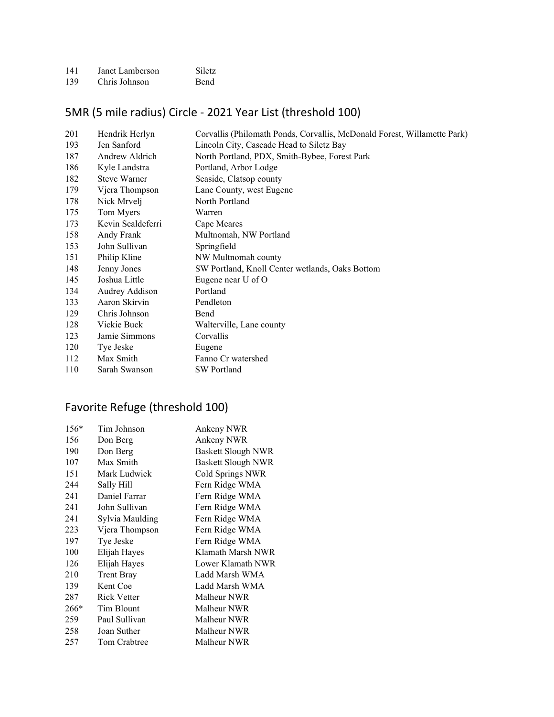| 141 | Janet Lamberson | <b>Siletz</b> |
|-----|-----------------|---------------|
| 139 | Chris Johnson   | <b>Bend</b>   |

### 5MR (5 mile radius) Circle - 2021 Year List (threshold 100)

| 201 | Hendrik Herlyn      | Corvallis (Philomath Ponds, Corvallis, McDonald Forest, Willamette Park) |
|-----|---------------------|--------------------------------------------------------------------------|
| 193 | Jen Sanford         | Lincoln City, Cascade Head to Siletz Bay                                 |
| 187 | Andrew Aldrich      | North Portland, PDX, Smith-Bybee, Forest Park                            |
| 186 | Kyle Landstra       | Portland, Arbor Lodge                                                    |
| 182 | <b>Steve Warner</b> | Seaside, Clatsop county                                                  |
| 179 | Vjera Thompson      | Lane County, west Eugene                                                 |
| 178 | Nick Mrvelj         | North Portland                                                           |
| 175 | Tom Myers           | Warren                                                                   |
| 173 | Kevin Scaldeferri   | Cape Meares                                                              |
| 158 | Andy Frank          | Multnomah, NW Portland                                                   |
| 153 | John Sullivan       | Springfield                                                              |
| 151 | Philip Kline        | NW Multnomah county                                                      |
| 148 | Jenny Jones         | SW Portland, Knoll Center wetlands, Oaks Bottom                          |
| 145 | Joshua Little       | Eugene near U of O                                                       |
| 134 | Audrey Addison      | Portland                                                                 |
| 133 | Aaron Skirvin       | Pendleton                                                                |
| 129 | Chris Johnson       | Bend                                                                     |
| 128 | Vickie Buck         | Walterville, Lane county                                                 |
| 123 | Jamie Simmons       | Corvallis                                                                |
| 120 | Tye Jeske           | Eugene                                                                   |
| 112 | Max Smith           | Fanno Cr watershed                                                       |
| 110 | Sarah Swanson       | <b>SW</b> Portland                                                       |

### Favorite Refuge (threshold 100)

| $156*$ | Tim Johnson        | Ankeny NWR                |
|--------|--------------------|---------------------------|
| 156    | Don Berg           | Ankeny NWR                |
| 190    | Don Berg           | <b>Baskett Slough NWR</b> |
| 107    | Max Smith          | <b>Baskett Slough NWR</b> |
| 151    | Mark Ludwick       | Cold Springs NWR          |
| 244    | Sally Hill         | Fern Ridge WMA            |
| 241    | Daniel Farrar      | Fern Ridge WMA            |
| 241    | John Sullivan      | Fern Ridge WMA            |
| 241    | Sylvia Maulding    | Fern Ridge WMA            |
| 223    | Vjera Thompson     | Fern Ridge WMA            |
| 197    | Tye Jeske          | Fern Ridge WMA            |
| 100    | Elijah Hayes       | Klamath Marsh NWR         |
| 126    | Elijah Hayes       | Lower Klamath NWR         |
| 210    | <b>Trent Bray</b>  | Ladd Marsh WMA            |
| 139    | Kent Coe           | Ladd Marsh WMA            |
| 287    | <b>Rick Vetter</b> | Malheur NWR               |
| $266*$ | Tim Blount         | Malheur NWR               |
| 259    | Paul Sullivan      | Malheur NWR               |
| 258    | Joan Suther        | Malheur NWR               |
| 257    | Tom Crabtree       | Malheur NWR               |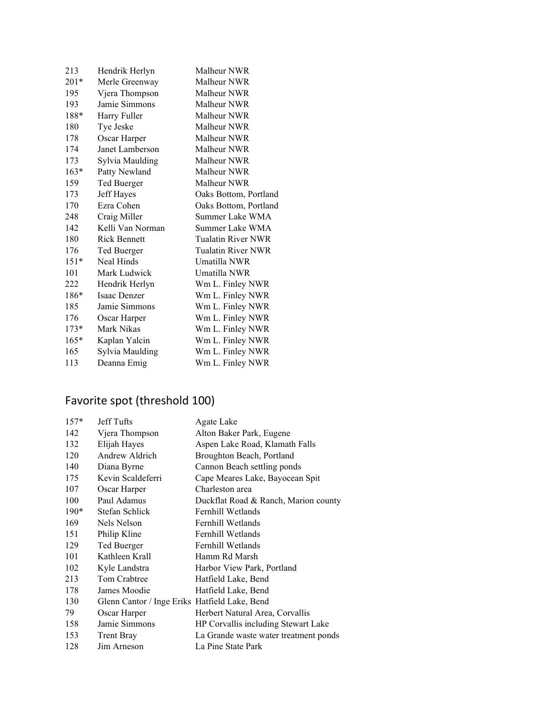| 213    | Hendrik Herlyn      | Malheur NWR           |
|--------|---------------------|-----------------------|
| $201*$ | Merle Greenway      | Malheur NWR           |
| 195    | Vjera Thompson      | Malheur NWR           |
| 193    | Jamie Simmons       | Malheur NWR           |
| 188*   | Harry Fuller        | Malheur NWR           |
| 180    | Tye Jeske           | Malheur NWR           |
| 178    | Oscar Harper        | Malheur NWR           |
| 174    | Janet Lamberson     | Malheur NWR           |
| 173    | Sylvia Maulding     | Malheur NWR           |
| $163*$ | Patty Newland       | Malheur NWR           |
| 159    | Ted Buerger         | Malheur NWR           |
| 173    | Jeff Hayes          | Oaks Bottom, Portland |
| 170    | Ezra Cohen          | Oaks Bottom, Portland |
| 248    | Craig Miller        | Summer Lake WMA       |
| 142    | Kelli Van Norman    | Summer Lake WMA       |
| 180    | <b>Rick Bennett</b> | Tualatin River NWR    |
| 176    | Ted Buerger         | Tualatin River NWR    |
| $151*$ | Neal Hinds          | Umatilla NWR          |
| 101    | Mark Ludwick        | Umatilla NWR          |
| 222    | Hendrik Herlyn      | Wm L. Finley NWR      |
| 186*   | Isaac Denzer        | Wm L. Finley NWR      |
| 185    | Jamie Simmons       | Wm L. Finley NWR      |
| 176    | Oscar Harper        | Wm L. Finley NWR      |
| $173*$ | Mark Nikas          | Wm L. Finley NWR      |
| $165*$ | Kaplan Yalcin       | Wm L. Finley NWR      |
| 165    | Sylvia Maulding     | Wm L. Finley NWR      |
| 113    | Deanna Emig         | Wm L. Finley NWR      |

# Favorite spot (threshold 100)

| $157*$ | Jeff Tufts                                    | Agate Lake                            |
|--------|-----------------------------------------------|---------------------------------------|
| 142    | Vjera Thompson                                | Alton Baker Park, Eugene              |
| 132    | Elijah Hayes                                  | Aspen Lake Road, Klamath Falls        |
| 120    | Andrew Aldrich                                | Broughton Beach, Portland             |
| 140    | Diana Byrne                                   | Cannon Beach settling ponds           |
| 175    | Kevin Scaldeferri                             | Cape Meares Lake, Bayocean Spit       |
| 107    | Oscar Harper                                  | Charleston area                       |
| 100    | Paul Adamus                                   | Duckflat Road & Ranch, Marion county  |
| $190*$ | Stefan Schlick                                | Fernhill Wetlands                     |
| 169    | Nels Nelson                                   | Fernhill Wetlands                     |
| 151    | Philip Kline                                  | Fernhill Wetlands                     |
| 129    | Ted Buerger                                   | Fernhill Wetlands                     |
| 101    | Kathleen Krall                                | Hamm Rd Marsh                         |
| 102    | Kyle Landstra                                 | Harbor View Park, Portland            |
| 213    | Tom Crabtree                                  | Hatfield Lake, Bend                   |
| 178    | James Moodie                                  | Hatfield Lake, Bend                   |
| 130    | Glenn Cantor / Inge Eriks Hatfield Lake, Bend |                                       |
| 79     | Oscar Harper                                  | Herbert Natural Area, Corvallis       |
| 158    | Jamie Simmons                                 | HP Corvallis including Stewart Lake   |
| 153    | <b>Trent Bray</b>                             | La Grande waste water treatment ponds |
| 128    | Jim Arneson                                   | La Pine State Park                    |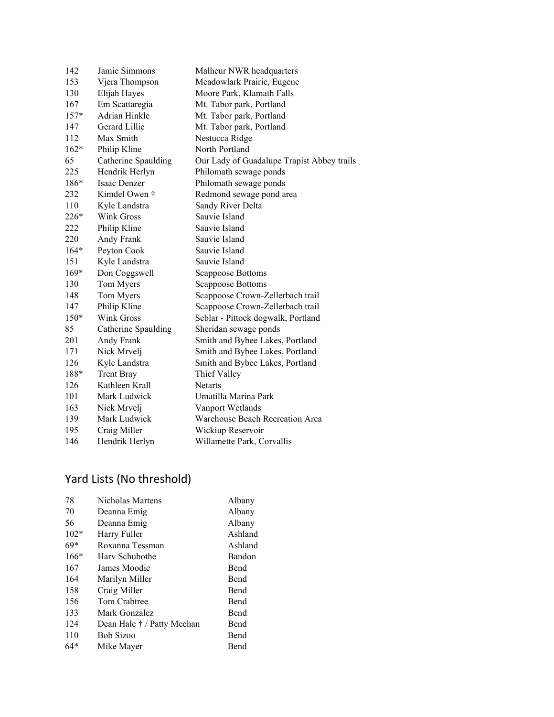| 142    | Jamie Simmons       | Malheur NWR headquarters                   |
|--------|---------------------|--------------------------------------------|
| 153    | Vjera Thompson      | Meadowlark Prairie, Eugene                 |
| 130    | Elijah Hayes        | Moore Park, Klamath Falls                  |
| 167    | Em Scattaregia      | Mt. Tabor park, Portland                   |
| $157*$ | Adrian Hinkle       | Mt. Tabor park, Portland                   |
| 147    | Gerard Lillie       | Mt. Tabor park, Portland                   |
| 112    | Max Smith           | Nestucca Ridge                             |
| $162*$ | Philip Kline        | North Portland                             |
| 65     | Catherine Spaulding | Our Lady of Guadalupe Trapist Abbey trails |
| 225    | Hendrik Herlyn      | Philomath sewage ponds                     |
| $186*$ | Isaac Denzer        | Philomath sewage ponds                     |
| 232    | Kimdel Owen †       | Redmond sewage pond area                   |
| 110    | Kyle Landstra       | Sandy River Delta                          |
| 226*   | Wink Gross          | Sauvie Island                              |
| 222    | Philip Kline        | Sauvie Island                              |
| 220    | Andy Frank          | Sauvie Island                              |
| $164*$ | Peyton Cook         | Sauvie Island                              |
| 151    | Kyle Landstra       | Sauvie Island                              |
| $169*$ | Don Coggswell       | Scappoose Bottoms                          |
| 130    | Tom Myers           | Scappoose Bottoms                          |
| 148    | Tom Myers           | Scappoose Crown-Zellerbach trail           |
| 147    | Philip Kline        | Scappoose Crown-Zellerbach trail           |
| $150*$ | Wink Gross          | Seblar - Pittock dogwalk, Portland         |
| 85     | Catherine Spaulding | Sheridan sewage ponds                      |
| 201    | Andy Frank          | Smith and Bybee Lakes, Portland            |
| 171    | Nick Mrvelj         | Smith and Bybee Lakes, Portland            |
| 126    | Kyle Landstra       | Smith and Bybee Lakes, Portland            |
| 188*   | <b>Trent Bray</b>   | Thief Valley                               |
| 126    | Kathleen Krall      | <b>Netarts</b>                             |
| 101    | Mark Ludwick        | Umatilla Marina Park                       |
| 163    | Nick Mrvelj         | Vanport Wetlands                           |
| 139    | Mark Ludwick        | Warehouse Beach Recreation Area            |
| 195    | Craig Miller        | Wickiup Reservoir                          |
| 146    | Hendrik Herlyn      | Willamette Park, Corvallis                 |
|        |                     |                                            |

### Yard Lists (No threshold)

| 78     | Nicholas Martens           | Albany      |
|--------|----------------------------|-------------|
| 70     | Deanna Emig                | Albany      |
| 56     | Deanna Emig                | Albany      |
| $102*$ | Harry Fuller               | Ashland     |
| 69*    | Roxanna Tessman            | Ashland     |
| $166*$ | Hary Schubothe             | Bandon      |
| 167    | James Moodie               | Bend        |
| 164    | Marilyn Miller             | Bend        |
| 158    | Craig Miller               | <b>Bend</b> |
| 156    | Tom Crabtree               | Bend        |
| 133    | Mark Gonzalez              | Bend        |
| 124    | Dean Hale † / Patty Meehan | Bend        |
| 110    | Bob Sizoo                  | Bend        |
| $64*$  | Mike Mayer                 | Bend        |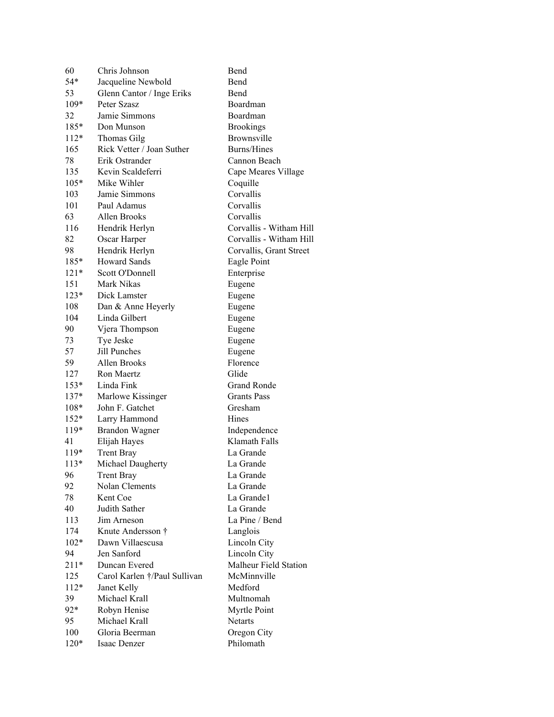| 60     | Chris Johnson                | Bend                    |
|--------|------------------------------|-------------------------|
| 54*    | Jacqueline Newbold           | Bend                    |
| 53     | Glenn Cantor / Inge Eriks    | Bend                    |
| $109*$ | Peter Szasz                  | Boardman                |
| 32     | Jamie Simmons                | Boardman                |
| 185*   | Don Munson                   | <b>Brookings</b>        |
| $112*$ | Thomas Gilg                  | Brownsville             |
| 165    | Rick Vetter / Joan Suther    | Burns/Hines             |
| 78     | Erik Ostrander               | Cannon Beach            |
| 135    | Kevin Scaldeferri            | Cape Meares Village     |
| $105*$ | Mike Wihler                  | Coquille                |
| 103    | Jamie Simmons                | Corvallis               |
| 101    | Paul Adamus                  | Corvallis               |
| 63     | Allen Brooks                 | Corvallis               |
| 116    | Hendrik Herlyn               | Corvallis - Witham Hill |
| 82     | Oscar Harper                 | Corvallis - Witham Hill |
| 98     | Hendrik Herlyn               | Corvallis, Grant Street |
| 185*   | Howard Sands                 | Eagle Point             |
| $121*$ | Scott O'Donnell              | Enterprise              |
| 151    | Mark Nikas                   | Eugene                  |
| $123*$ | Dick Lamster                 | Eugene                  |
| 108    | Dan & Anne Heyerly           | Eugene                  |
| 104    | Linda Gilbert                | Eugene                  |
| 90     | Vjera Thompson               | Eugene                  |
| 73     | Tye Jeske                    | Eugene                  |
| 57     | Jill Punches                 | Eugene                  |
| 59     | Allen Brooks                 | Florence                |
| 127    | <b>Ron Maertz</b>            | Glide                   |
| $153*$ | Linda Fink                   | <b>Grand Ronde</b>      |
| $137*$ | Marlowe Kissinger            | Grants Pass             |
| $108*$ | John F. Gatchet              | Gresham                 |
| $152*$ | Larry Hammond                | Hines                   |
| $119*$ | <b>Brandon Wagner</b>        | Independence            |
| 41     | Elijah Hayes                 | Klamath Falls           |
| $119*$ | <b>Trent Bray</b>            | La Grande               |
| $113*$ | Michael Daugherty            | La Grande               |
| 96     | Trent Bray                   | La Grande               |
| 92     | Nolan Clements               | La Grande               |
| 78     | Kent Coe                     | La Grande1              |
| 40     | Judith Sather                | La Grande               |
| 113    | Jim Arneson                  | La Pine / Bend          |
| 174    | Knute Andersson †            | Langlois                |
| $102*$ | Dawn Villaescusa             | Lincoln City            |
| 94     | Jen Sanford                  | Lincoln City            |
| $211*$ | Duncan Evered                | Malheur Field Station   |
| 125    | Carol Karlen †/Paul Sullivan | McMinnville             |
| $112*$ | Janet Kelly                  | Medford                 |
| 39     | Michael Krall                | Multnomah               |
| $92*$  | Robyn Henise                 | Myrtle Point            |
| 95     | Michael Krall                | <b>Netarts</b>          |
| 100    | Gloria Beerman               | Oregon City             |
| $120*$ | Isaac Denzer                 | Philomath               |